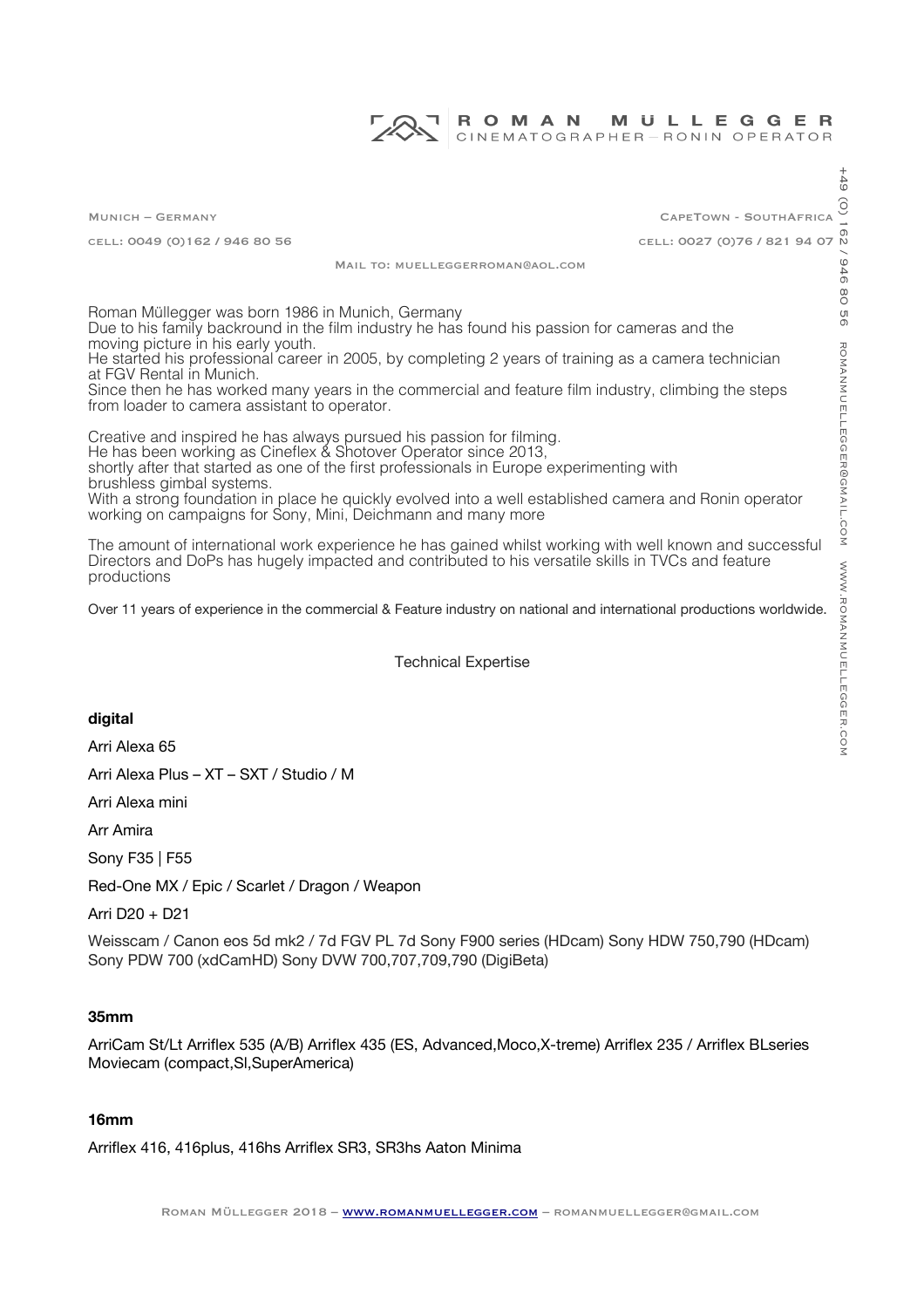#### ROMAN **MULLEGGER** CINEMATOGRAPHER-RONIN OPERATOR

Munich – Germany CapeTown - SouthAfrica cell: 0049 (0)162 / 946 80 56 cell: 0027 (0)76 / 821 94 07

Mail to: muelleggerroman@aol.com

Roman Müllegger was born 1986 in Munich, Germany Due to his family backround in the film industry he has found his passion for cameras and the moving picture in his early youth. He started his professional career in 2005, by completing 2 years of training as a camera technician at FGV Rental in Munich. Since then he has worked many years in the commercial and feature flm industry, climbing the steps from loader to camera assistant to operator.

Creative and inspired he has always pursued his passion for flming. He has been working as Cineflex & Shotover Operator since 2013, shortly after that started as one of the frst professionals in Europe experimenting with brushless gimbal systems. With a strong foundation in place he quickly evolved into a well established camera and Ronin operator working on campaigns for Sony, Mini, Deichmann and many more

The amount of international work experience he has gained whilst working with well known and successful Directors and DoPs has hugely impacted and contributed to his versatile skills in TVCs and feature productions

Over 11 years of experience in the commercial & Feature industry on national and international productions worldwide.

#### Technical Expertise

#### **digital**

Arri Alexa 65

Arri Alexa Plus – XT – SXT / Studio / M

Arri Alexa mini

Arr Amira

Sony F35 | F55

Red-One MX / Epic / Scarlet / Dragon / Weapon

Arri D20 + D21

Weisscam / Canon eos 5d mk2 / 7d FGV PL 7d Sony F900 series (HDcam) Sony HDW 750,790 (HDcam) Sony PDW 700 (xdCamHD) Sony DVW 700,707,709,790 (DigiBeta)

# **35mm**

ArriCam St/Lt Arrifex 535 (A/B) Arrifex 435 (ES, Advanced,Moco,X-treme) Arrifex 235 / Arrifex BLseries Moviecam (compact,Sl,SuperAmerica)

#### **16mm**

Arrifex 416, 416plus, 416hs Arrifex SR3, SR3hs Aaton Minima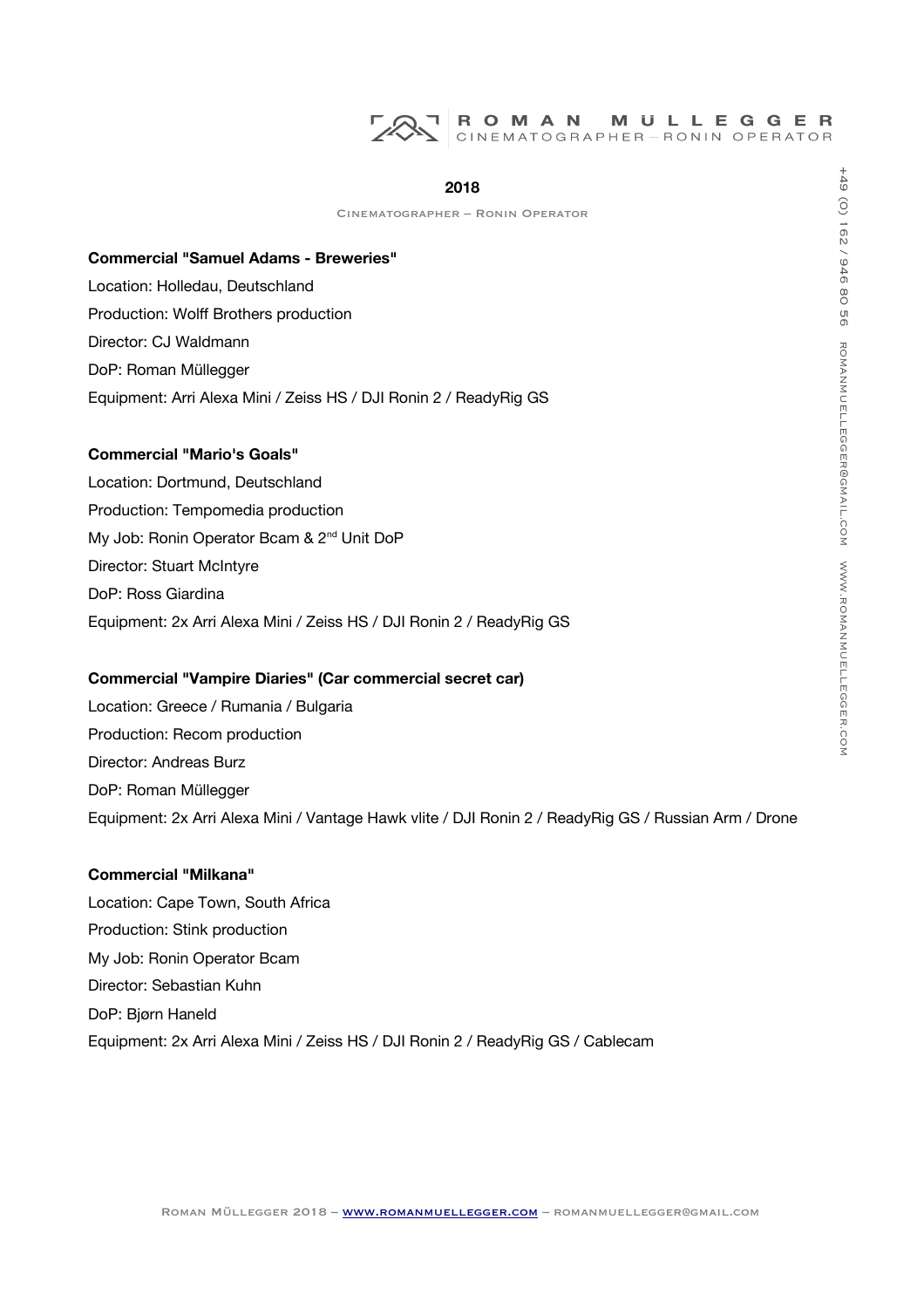#### **2018**

Cinematographer – Ronin Operator

# **Commercial "Samuel Adams - Breweries"** Location: Holledau, Deutschland Production: Wolf Brothers production Director: CJ Waldmann DoP: Roman Müllegger Equipment: Arri Alexa Mini / Zeiss HS / DJI Ronin 2 / ReadyRig GS

#### **Commercial "Mario's Goals"**

Location: Dortmund, Deutschland Production: Tempomedia production My Job: Ronin Operator Bcam & 2<sup>nd</sup> Unit DoP Director: Stuart McIntyre DoP: Ross Giardina Equipment: 2x Arri Alexa Mini / Zeiss HS / DJI Ronin 2 / ReadyRig GS

## **Commercial "Vampire Diaries" (Car commercial secret car)**

Location: Greece / Rumania / Bulgaria Production: Recom production Director: Andreas Burz DoP: Roman Müllegger Equipment: 2x Arri Alexa Mini / Vantage Hawk vlite / DJI Ronin 2 / ReadyRig GS / Russian Arm / Drone

#### **Commercial "Milkana"**

Location: Cape Town, South Africa Production: Stink production My Job: Ronin Operator Bcam Director: Sebastian Kuhn DoP: Bjørn Haneld Equipment: 2x Arri Alexa Mini / Zeiss HS / DJI Ronin 2 / ReadyRig GS / Cablecam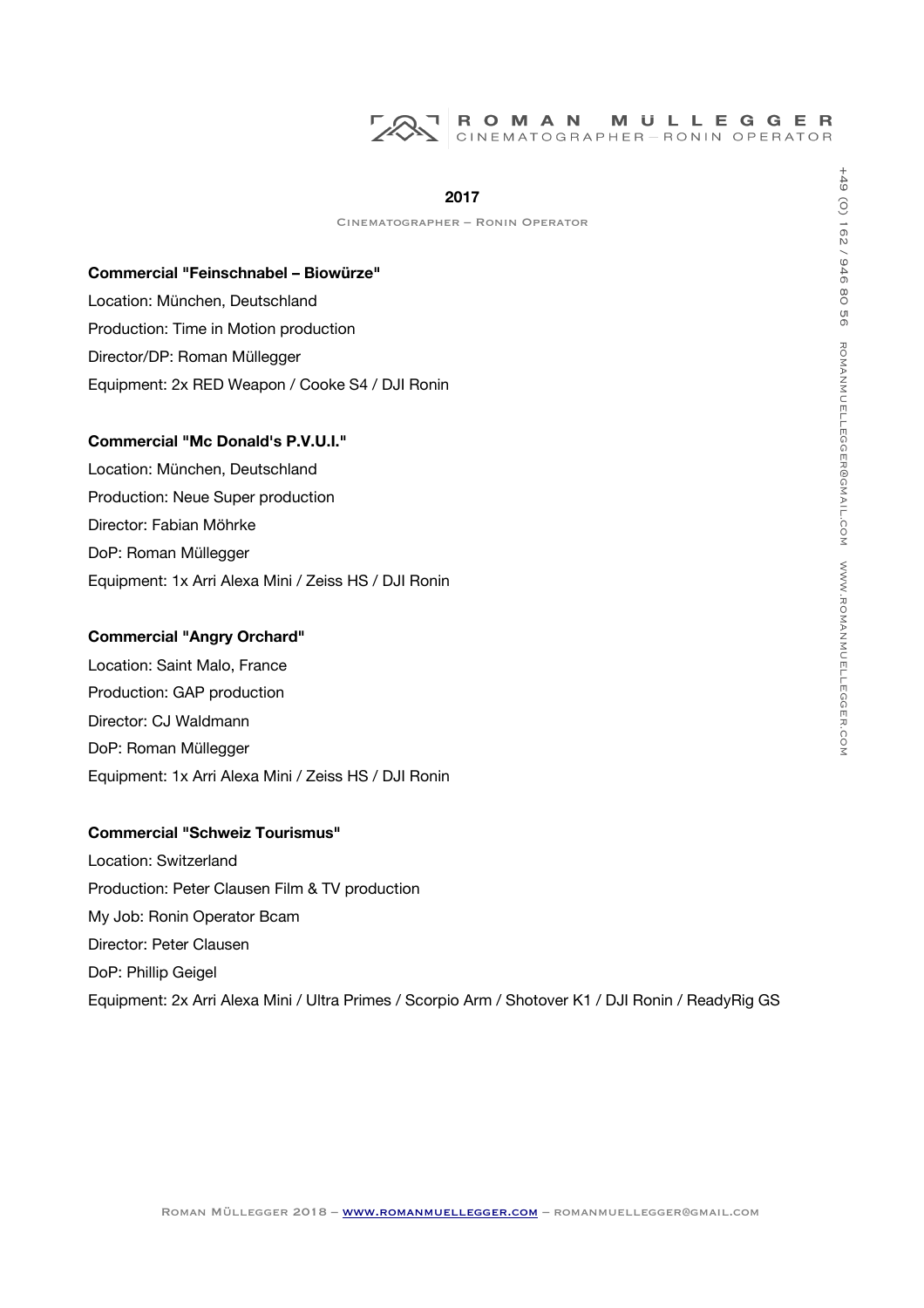#### **2017**

Cinematographer – Ronin Operator

**Commercial "Feinschnabel – Biowürze"** Location: München, Deutschland Production: Time in Motion production Director/DP: Roman Müllegger Equipment: 2x RED Weapon / Cooke S4 / DJI Ronin

# **Commercial "Mc Donald's P.V.U.I."**

Location: München, Deutschland Production: Neue Super production Director: Fabian Möhrke DoP: Roman Müllegger Equipment: 1x Arri Alexa Mini / Zeiss HS / DJI Ronin

## **Commercial "Angry Orchard"**

Location: Saint Malo, France Production: GAP production Director: CJ Waldmann DoP: Roman Müllegger Equipment: 1x Arri Alexa Mini / Zeiss HS / DJI Ronin

#### **Commercial "Schweiz Tourismus"**

Location: Switzerland Production: Peter Clausen Film & TV production My Job: Ronin Operator Bcam Director: Peter Clausen DoP: Phillip Geigel Equipment: 2x Arri Alexa Mini / Ultra Primes / Scorpio Arm / Shotover K1 / DJI Ronin / ReadyRig GS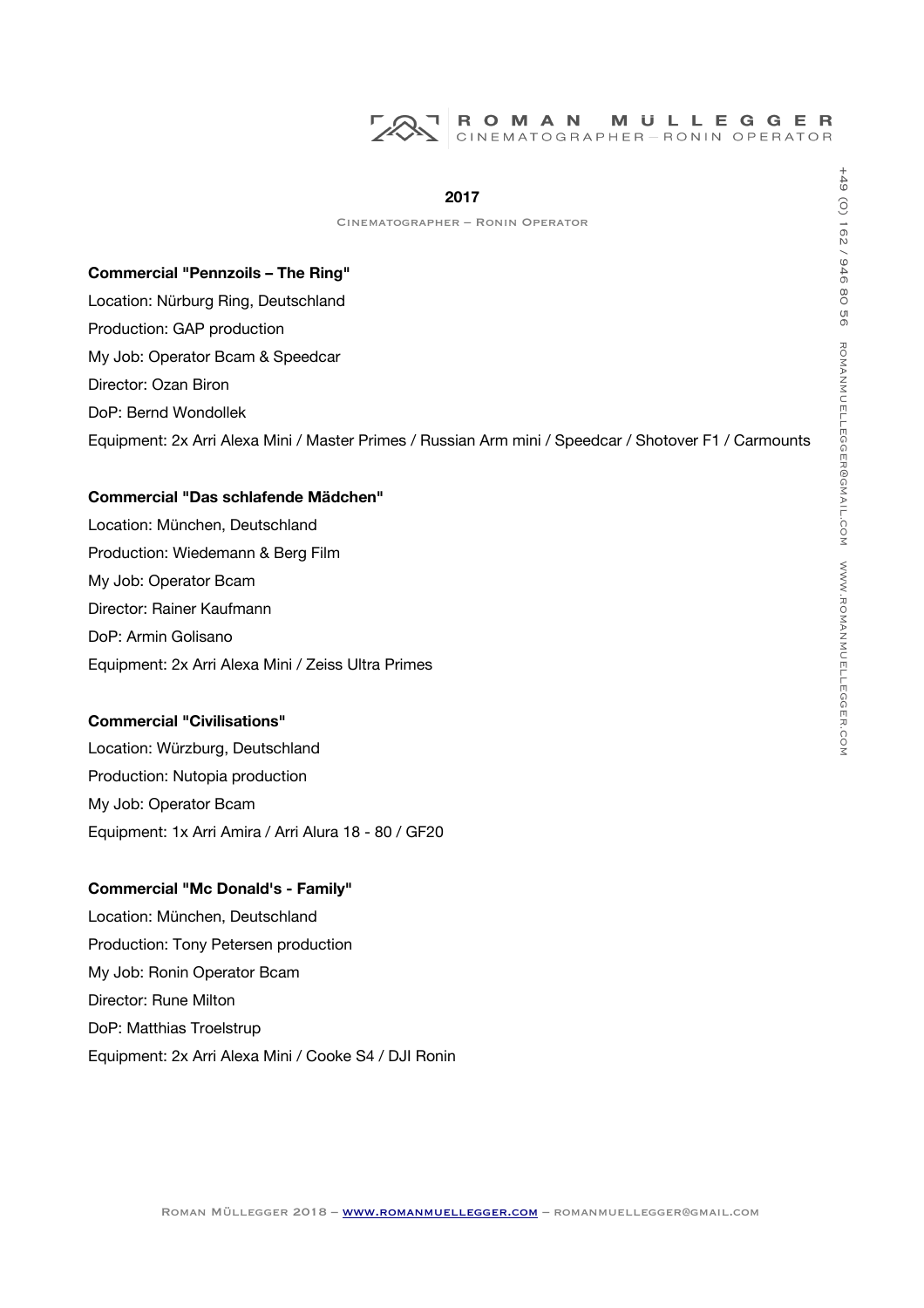## **2017**

Cinematographer – Ronin Operator

# **Commercial "Pennzoils – The Ring"**

Location: Nürburg Ring, Deutschland Production: GAP production My Job: Operator Bcam & Speedcar Director: Ozan Biron DoP: Bernd Wondollek Equipment: 2x Arri Alexa Mini / Master Primes / Russian Arm mini / Speedcar / Shotover F1 / Carmounts

#### **Commercial "Das schlafende Mädchen"**

Location: München, Deutschland Production: Wiedemann & Berg Film My Job: Operator Bcam Director: Rainer Kaufmann DoP: Armin Golisano Equipment: 2x Arri Alexa Mini / Zeiss Ultra Primes

#### **Commercial "Civilisations"**

Location: Würzburg, Deutschland Production: Nutopia production My Job: Operator Bcam Equipment: 1x Arri Amira / Arri Alura 18 - 80 / GF20

# **Commercial "Mc Donald's - Family"**

Location: München, Deutschland Production: Tony Petersen production My Job: Ronin Operator Bcam Director: Rune Milton DoP: Matthias Troelstrup Equipment: 2x Arri Alexa Mini / Cooke S4 / DJI Ronin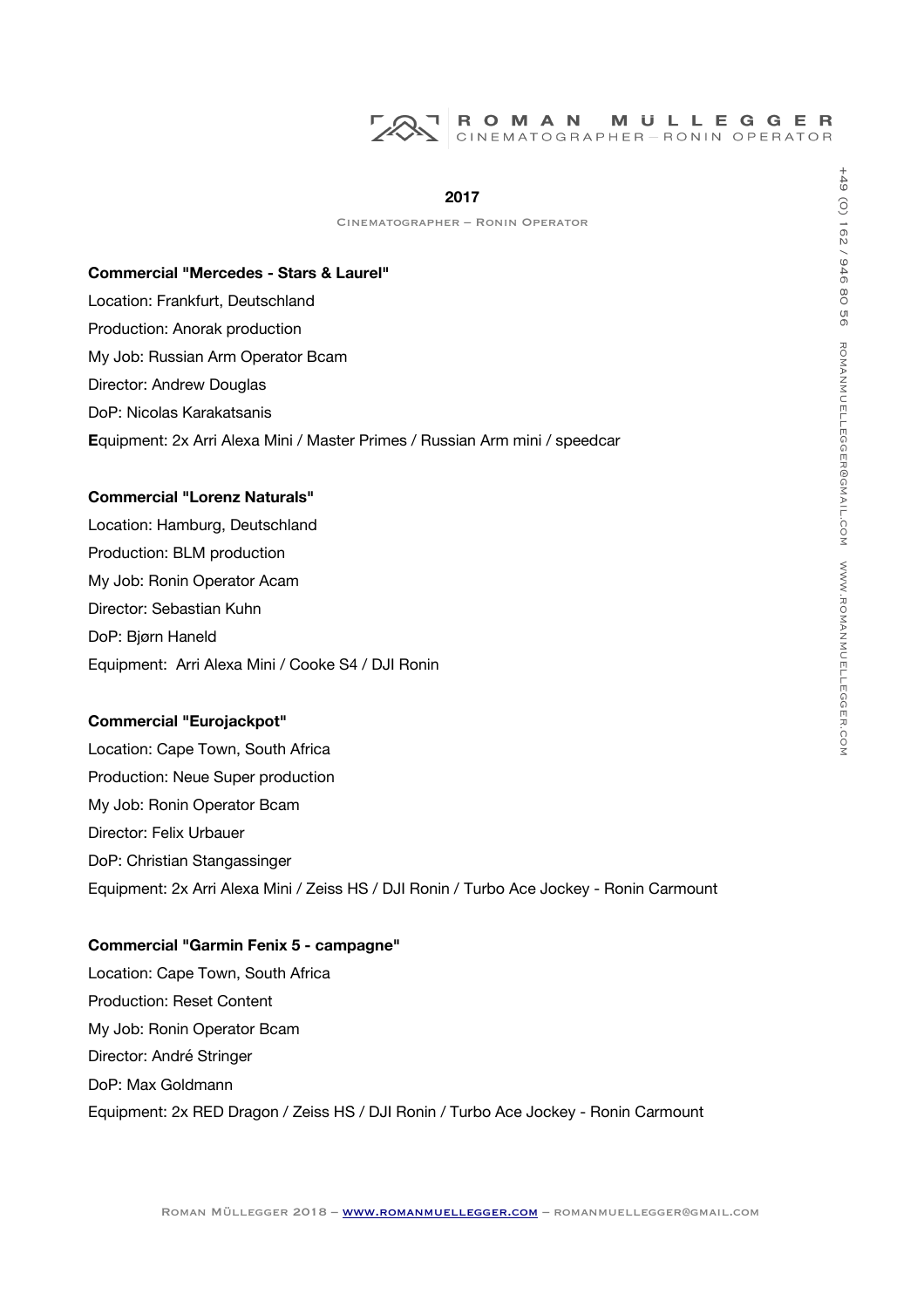#### **2017**

Cinematographer – Ronin Operator

#### **Commercial "Mercedes - Stars & Laurel"**

Location: Frankfurt, Deutschland Production: Anorak production My Job: Russian Arm Operator Bcam Director: Andrew Douglas DoP: Nicolas Karakatsanis **E**quipment: 2x Arri Alexa Mini / Master Primes / Russian Arm mini / speedcar

#### **Commercial "Lorenz Naturals"**

Location: Hamburg, Deutschland Production: BLM production My Job: Ronin Operator Acam Director: Sebastian Kuhn DoP: Bjørn Haneld Equipment: Arri Alexa Mini / Cooke S4 / DJI Ronin

# **Commercial "Eurojackpot"**

Location: Cape Town, South Africa Production: Neue Super production My Job: Ronin Operator Bcam Director: Felix Urbauer DoP: Christian Stangassinger Equipment: 2x Arri Alexa Mini / Zeiss HS / DJI Ronin / Turbo Ace Jockey - Ronin Carmount

# **Commercial "Garmin Fenix 5 - campagne"**

Location: Cape Town, South Africa Production: Reset Content My Job: Ronin Operator Bcam Director: André Stringer DoP: Max Goldmann Equipment: 2x RED Dragon / Zeiss HS / DJI Ronin / Turbo Ace Jockey - Ronin Carmount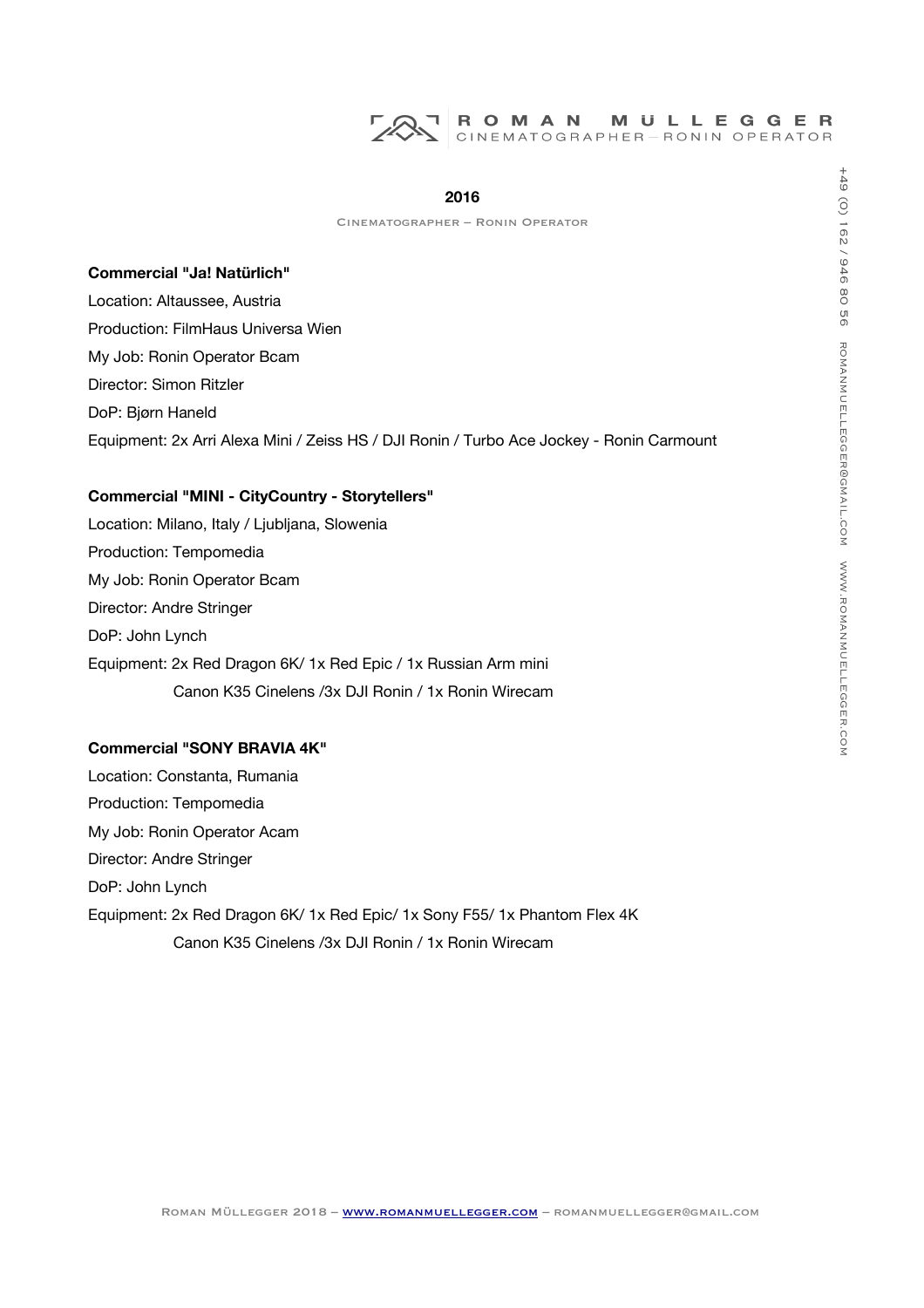# ROMAN MULLEGGER<br>CINEMATOGRAPHER-RONIN OPERATOR

#### **2016**

# **Commercial "Ja! Natürlich"**

Location: Altaussee, Austria Production: FilmHaus Universa Wien My Job: Ronin Operator Bcam Director: Simon Ritzler DoP: Bjørn Haneld Equipment: 2x Arri Alexa Mini / Zeiss HS / DJI Ronin / Turbo Ace Jockey - Ronin Carmount

#### **Commercial "MINI - CityCountry - Storytellers"**

Location: Milano, Italy / Ljubljana, Slowenia Production: Tempomedia My Job: Ronin Operator Bcam Director: Andre Stringer DoP: John Lynch Equipment: 2x Red Dragon 6K/ 1x Red Epic / 1x Russian Arm mini Canon K35 Cinelens /3x DJI Ronin / 1x Ronin Wirecam

# **Commercial "SONY BRAVIA 4K"**

Location: Constanta, Rumania Production: Tempomedia My Job: Ronin Operator Acam Director: Andre Stringer DoP: John Lynch Equipment: 2x Red Dragon 6K/ 1x Red Epic/ 1x Sony F55/ 1x Phantom Flex 4K Canon K35 Cinelens /3x DJI Ronin / 1x Ronin Wirecam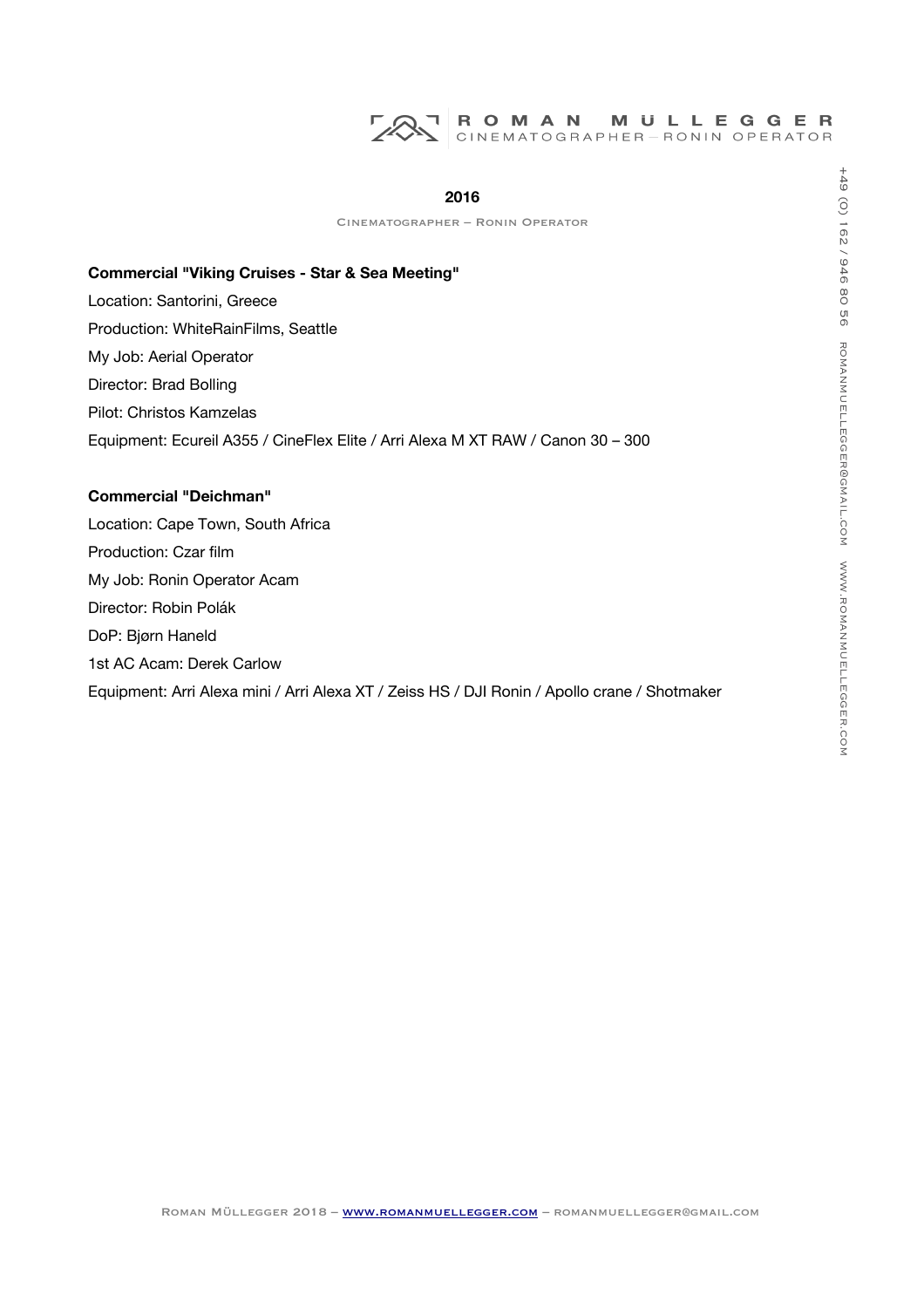#### ROMAN **MULLEGGER** CINEMATOGRAPHER-RONIN OPERATOR

#### **2016**

Cinematographer – Ronin Operator

#### **Commercial "Viking Cruises - Star & Sea Meeting"**

Location: Santorini, Greece

Production: WhiteRainFilms, Seattle My Job: Aerial Operator Director: Brad Bolling Pilot: Christos Kamzelas Equipment: Ecureil A355 / CineFlex Elite / Arri Alexa M XT RAW / Canon 30 – 300

# **Commercial "Deichman"**

Location: Cape Town, South Africa Production: Czar film My Job: Ronin Operator Acam Director: Robin Polák DoP: Bjørn Haneld 1st AC Acam: Derek Carlow Equipment: Arri Alexa mini / Arri Alexa XT / Zeiss HS / DJI Ronin / Apollo crane / Shotmaker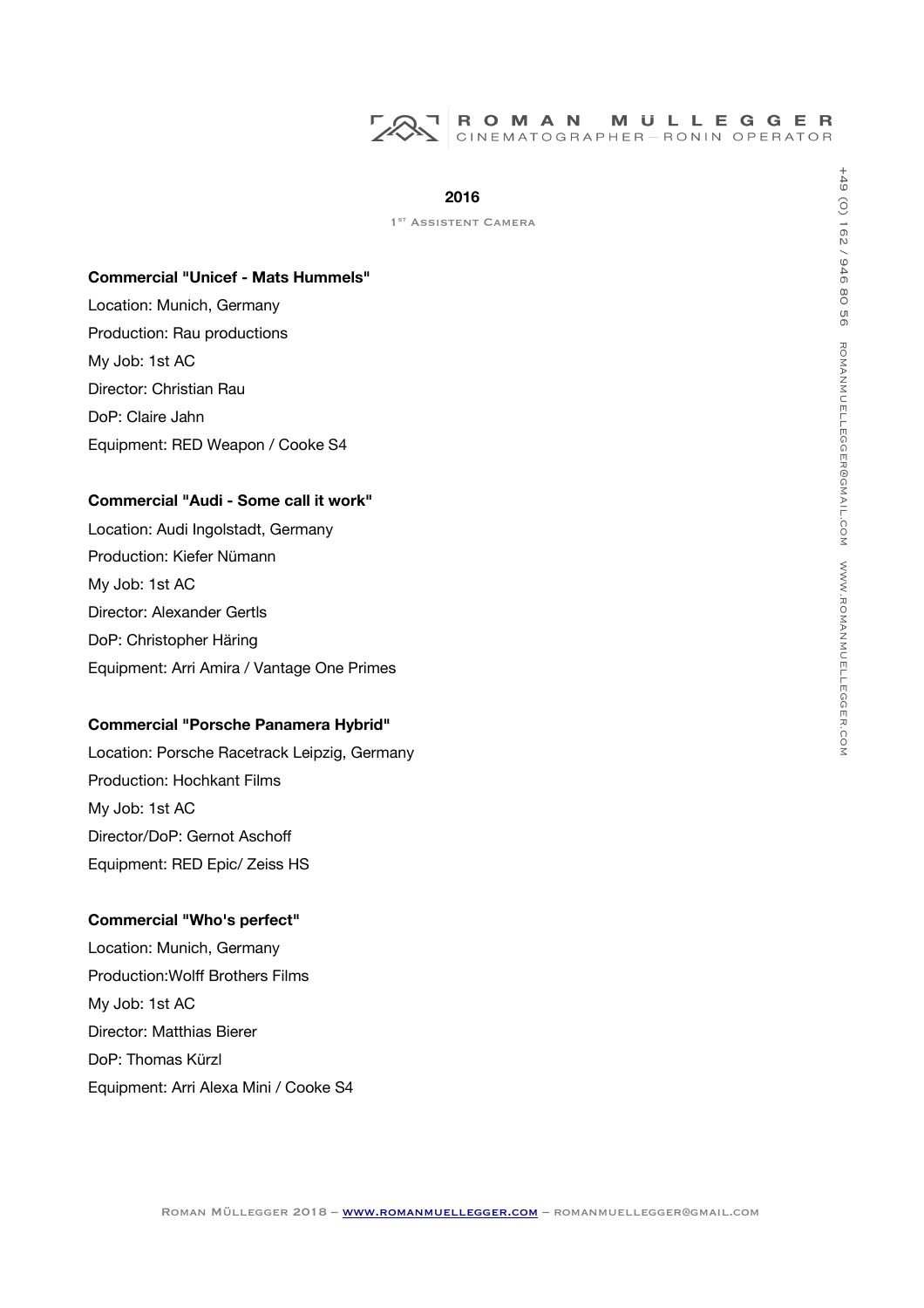

1<sup>ST</sup> ASSISTENT CAMERA

#### **Commercial "Unicef - Mats Hummels"**

Location: Munich, Germany Production: Rau productions My Job: 1st AC Director: Christian Rau DoP: Claire Jahn Equipment: RED Weapon / Cooke S4

# **Commercial "Audi - Some call it work"**

Location: Audi Ingolstadt, Germany Production: Kiefer Nümann My Job: 1st AC Director: Alexander Gertls DoP: Christopher Häring Equipment: Arri Amira / Vantage One Primes

## **Commercial "Porsche Panamera Hybrid"**

Location: Porsche Racetrack Leipzig, Germany Production: Hochkant Films My Job: 1st AC Director/DoP: Gernot Aschof Equipment: RED Epic/ Zeiss HS

#### **Commercial "Who's perfect"**

Location: Munich, Germany Production: Wolff Brothers Films My Job: 1st AC Director: Matthias Bierer DoP: Thomas Kürzl Equipment: Arri Alexa Mini / Cooke S4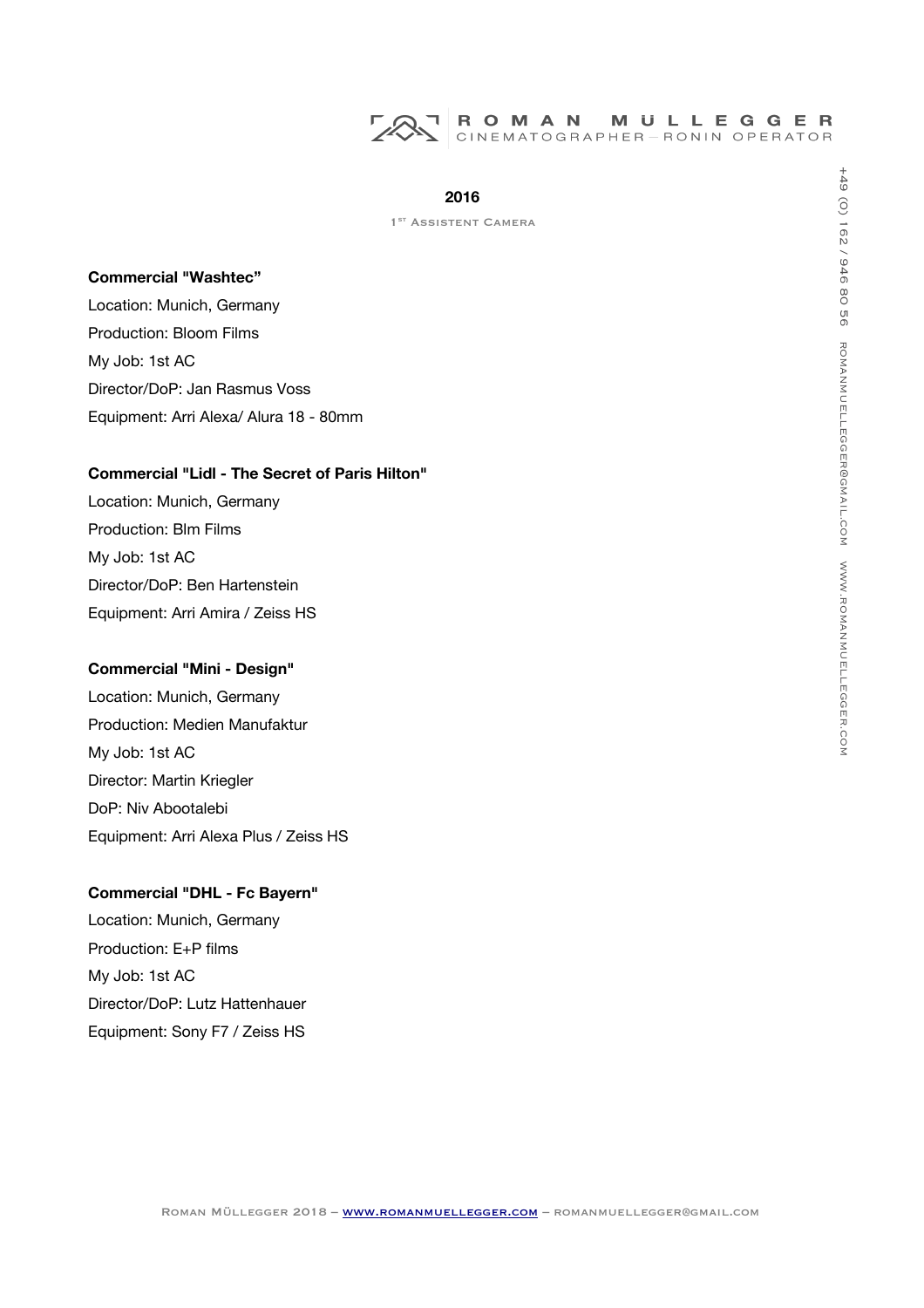

1<sup>ST</sup> ASSISTENT CAMERA

#### **Commercial "Washtec"**

Location: Munich, Germany Production: Bloom Films My Job: 1st AC Director/DoP: Jan Rasmus Voss Equipment: Arri Alexa/ Alura 18 - 80mm

# **Commercial "Lidl - The Secret of Paris Hilton"**

Location: Munich, Germany Production: Blm Films My Job: 1st AC Director/DoP: Ben Hartenstein Equipment: Arri Amira / Zeiss HS

#### **Commercial "Mini - Design"**

Location: Munich, Germany Production: Medien Manufaktur My Job: 1st AC Director: Martin Kriegler DoP: Niv Abootalebi Equipment: Arri Alexa Plus / Zeiss HS

# **Commercial "DHL - Fc Bayern"**

Location: Munich, Germany Production: E+P flms My Job: 1st AC Director/DoP: Lutz Hattenhauer Equipment: Sony F7 / Zeiss HS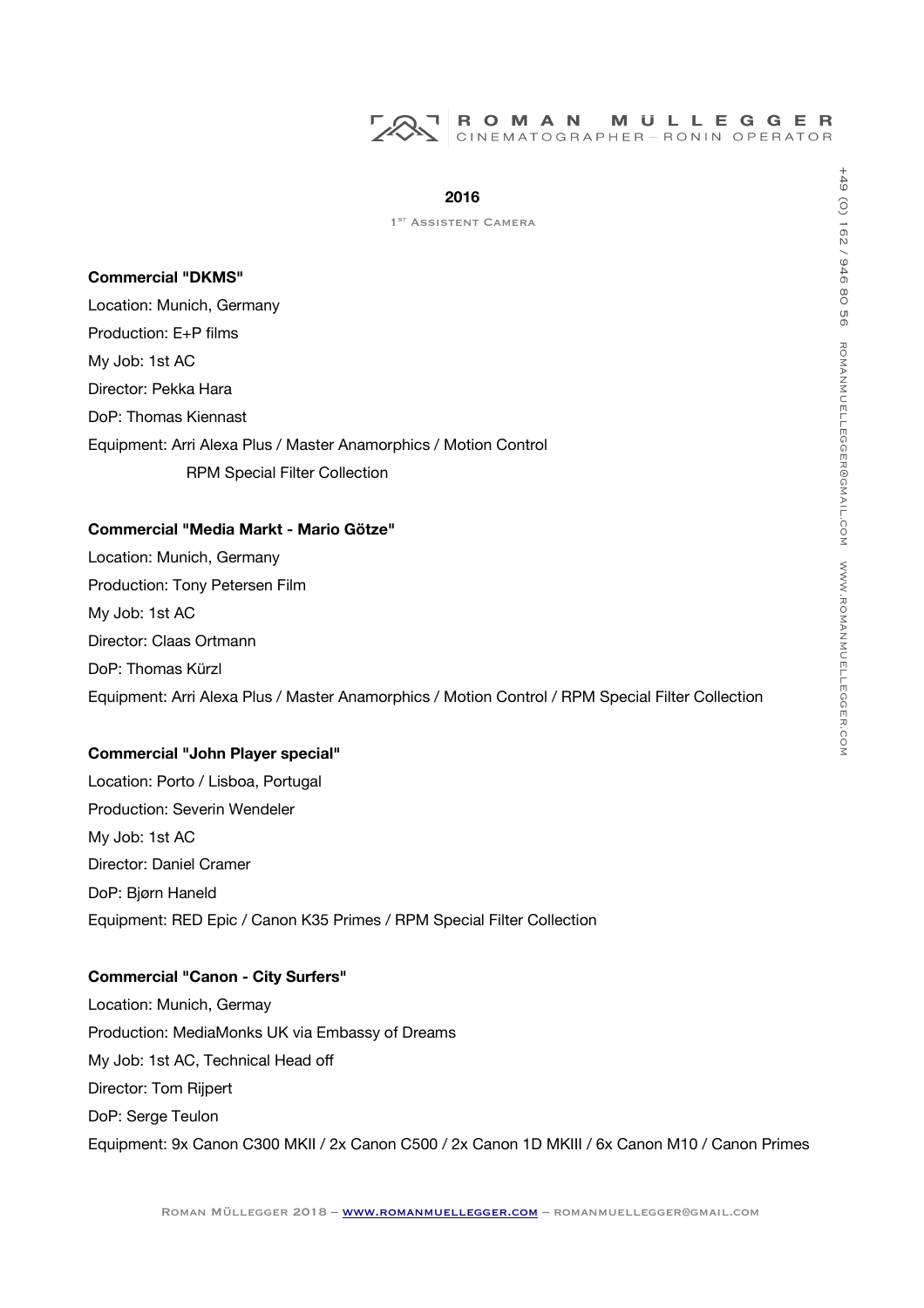

#### **Commercial "DKMS"**

Location: Munich, Germany Production: E+P films My Job: 1st AC Director: Pekka Hara DoP: Thomas Kiennast Equipment: Arri Alexa Plus / Master Anamorphics / Motion Control RPM Special Filter Collection

# **Commercial "Media Markt - Mario Götze"**

Location: Munich, Germany Production: Tony Petersen Film My Job: 1st AC Director: Claas Ortmann DoP: Thomas Kürzl Equipment: Arri Alexa Plus / Master Anamorphics / Motion Control / RPM Special Filter Collection

## **Commercial "John Player special"**

Location: Porto / Lisboa, Portugal Production: Severin Wendeler My Job: 1st AC Director: Daniel Cramer DoP: Bjørn Haneld Equipment: RED Epic / Canon K35 Primes / RPM Special Filter Collection

# **Commercial "Canon - City Surfers"**

Location: Munich, Germay Production: MediaMonks UK via Embassy of Dreams My Job: 1st AC, Technical Head of Director: Tom Rijpert DoP: Serge Teulon Equipment: 9x Canon C300 MKII / 2x Canon C500 / 2x Canon 1D MKIII / 6x Canon M10 / Canon Primes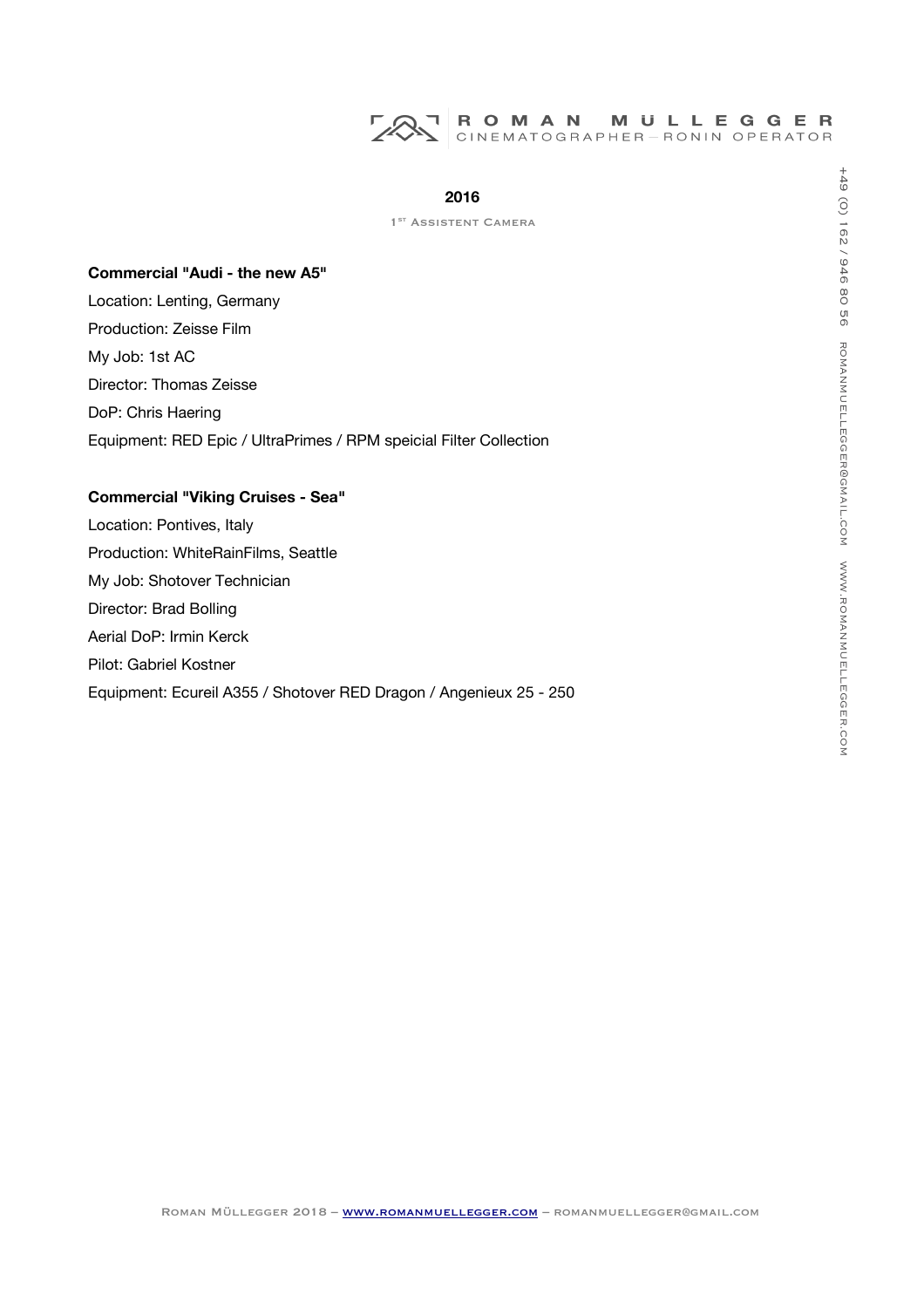

1<sup>ST</sup> ASSISTENT CAMERA

# **Commercial "Audi - the new A5"**

Location: Lenting, Germany Production: Zeisse Film My Job: 1st AC Director: Thomas Zeisse DoP: Chris Haering Equipment: RED Epic / UltraPrimes / RPM speicial Filter Collection

# **Commercial "Viking Cruises - Sea"**

Location: Pontives, Italy Production: WhiteRainFilms, Seattle My Job: Shotover Technician Director: Brad Bolling Aerial DoP: Irmin Kerck Pilot: Gabriel Kostner Equipment: Ecureil A355 / Shotover RED Dragon / Angenieux 25 - 250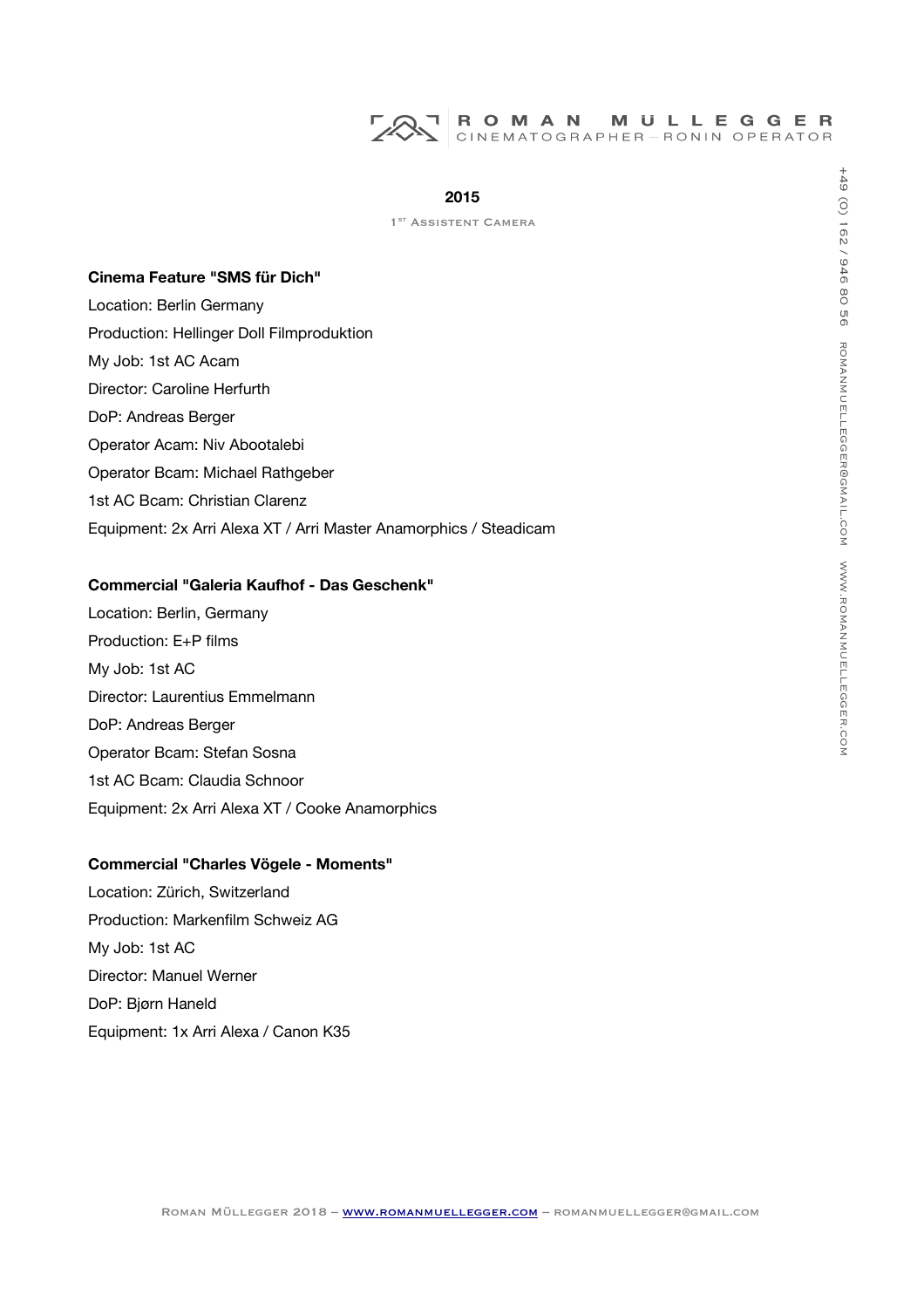

|  |  | 1 <sup>ST</sup> ASSISTENT CAMERA |
|--|--|----------------------------------|
|--|--|----------------------------------|

#### **Cinema Feature "SMS für Dich"**

Location: Berlin Germany Production: Hellinger Doll Filmproduktion My Job: 1st AC Acam Director: Caroline Herfurth DoP: Andreas Berger Operator Acam: Niv Abootalebi Operator Bcam: Michael Rathgeber 1st AC Bcam: Christian Clarenz Equipment: 2x Arri Alexa XT / Arri Master Anamorphics / Steadicam

## **Commercial "Galeria Kaufhof - Das Geschenk"**

Location: Berlin, Germany Production: E+P flms My Job: 1st AC Director: Laurentius Emmelmann DoP: Andreas Berger Operator Bcam: Stefan Sosna 1st AC Bcam: Claudia Schnoor Equipment: 2x Arri Alexa XT / Cooke Anamorphics

#### **Commercial "Charles Vögele - Moments"**

Location: Zürich, Switzerland Production: Markenflm Schweiz AG My Job: 1st AC Director: Manuel Werner DoP: Bjørn Haneld Equipment: 1x Arri Alexa / Canon K35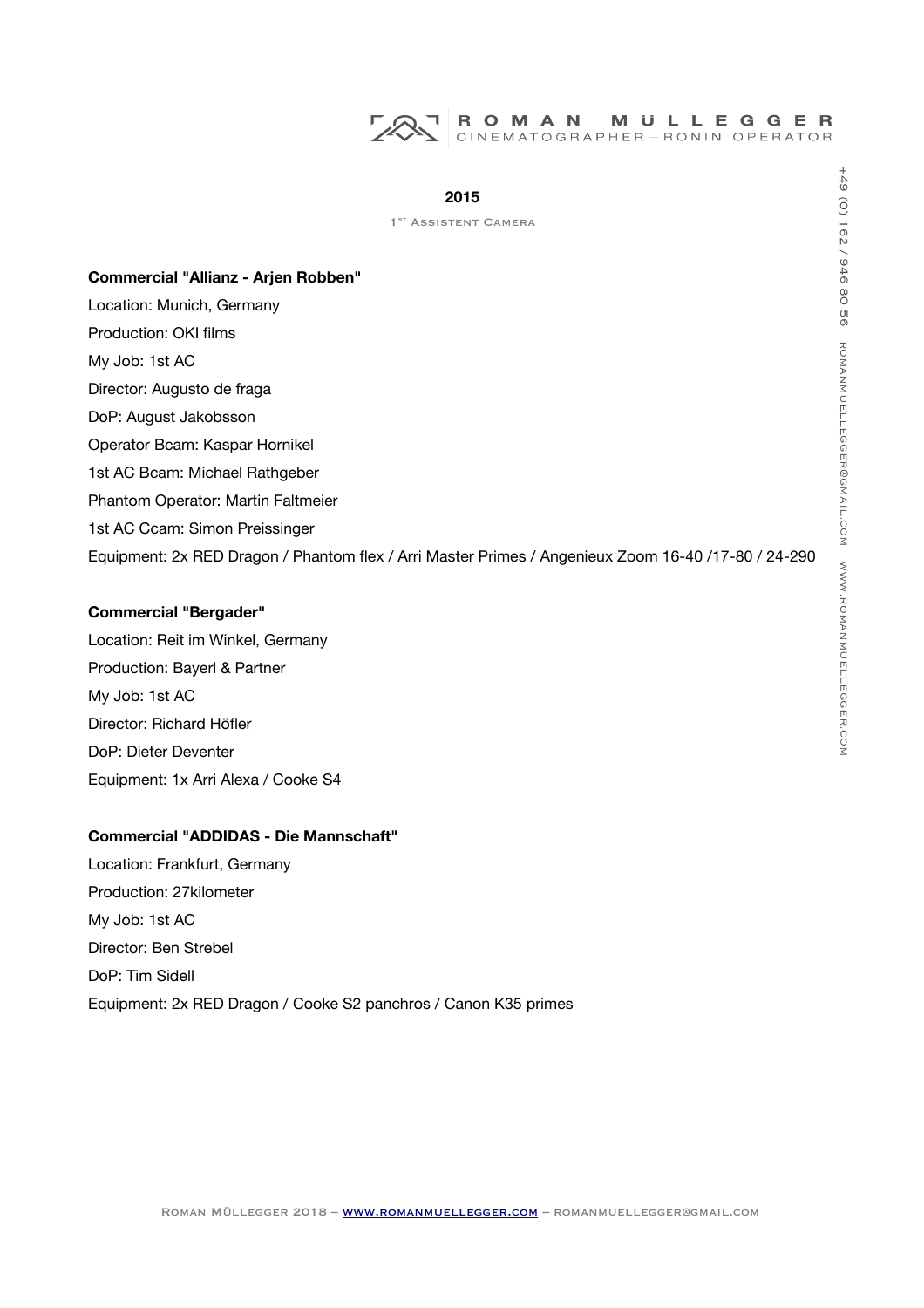#### **2015**

1<sup>ST</sup> ASSISTENT CAMERA

#### **Commercial "Allianz - Arjen Robben"**

Location: Munich, Germany Production: OKI films My Job: 1st AC Director: Augusto de fraga DoP: August Jakobsson Operator Bcam: Kaspar Hornikel 1st AC Bcam: Michael Rathgeber Phantom Operator: Martin Faltmeier 1st AC Ccam: Simon Preissinger Equipment: 2x RED Dragon / Phantom flex / Arri Master Primes / Angenieux Zoom 16-40 /17-80 / 24-290

# **Commercial "Bergader"**

Location: Reit im Winkel, Germany Production: Bayerl & Partner My Job: 1st AC Director: Richard Höfler DoP: Dieter Deventer Equipment: 1x Arri Alexa / Cooke S4

# **Commercial "ADDIDAS - Die Mannschaft"**

Location: Frankfurt, Germany Production: 27kilometer My Job: 1st AC Director: Ben Strebel DoP: Tim Sidell Equipment: 2x RED Dragon / Cooke S2 panchros / Canon K35 primes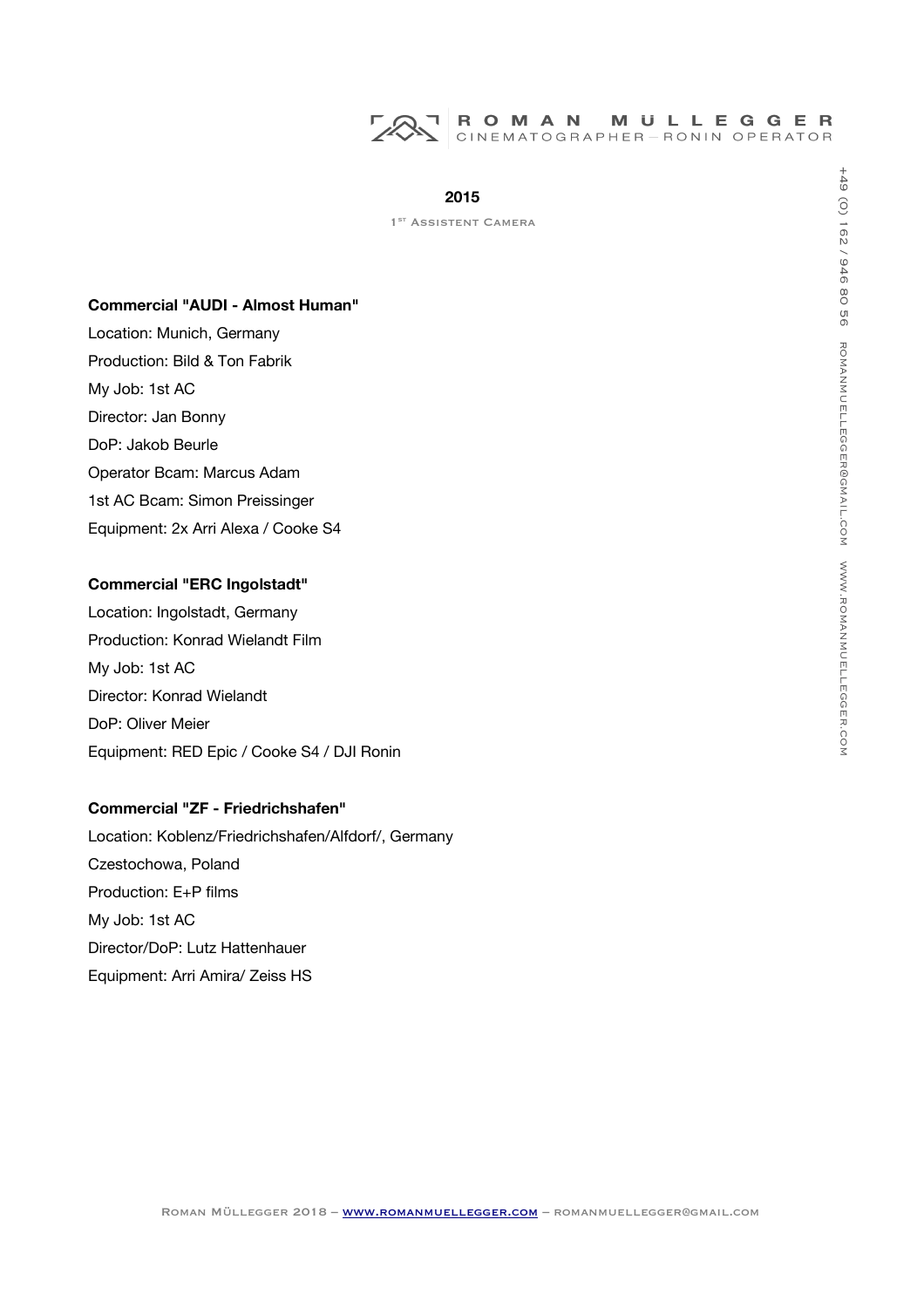

1<sup>ST</sup> ASSISTENT CAMERA

#### **Commercial "AUDI - Almost Human"**

Location: Munich, Germany Production: Bild & Ton Fabrik My Job: 1st AC Director: Jan Bonny DoP: Jakob Beurle Operator Bcam: Marcus Adam 1st AC Bcam: Simon Preissinger Equipment: 2x Arri Alexa / Cooke S4

# **Commercial "ERC Ingolstadt"**

Location: Ingolstadt, Germany Production: Konrad Wielandt Film My Job: 1st AC Director: Konrad Wielandt DoP: Oliver Meier Equipment: RED Epic / Cooke S4 / DJI Ronin

# **Commercial "ZF - Friedrichshafen"**

Location: Koblenz/Friedrichshafen/Alfdorf/, Germany Czestochowa, Poland Production: E+P flms My Job: 1st AC Director/DoP: Lutz Hattenhauer Equipment: Arri Amira/ Zeiss HS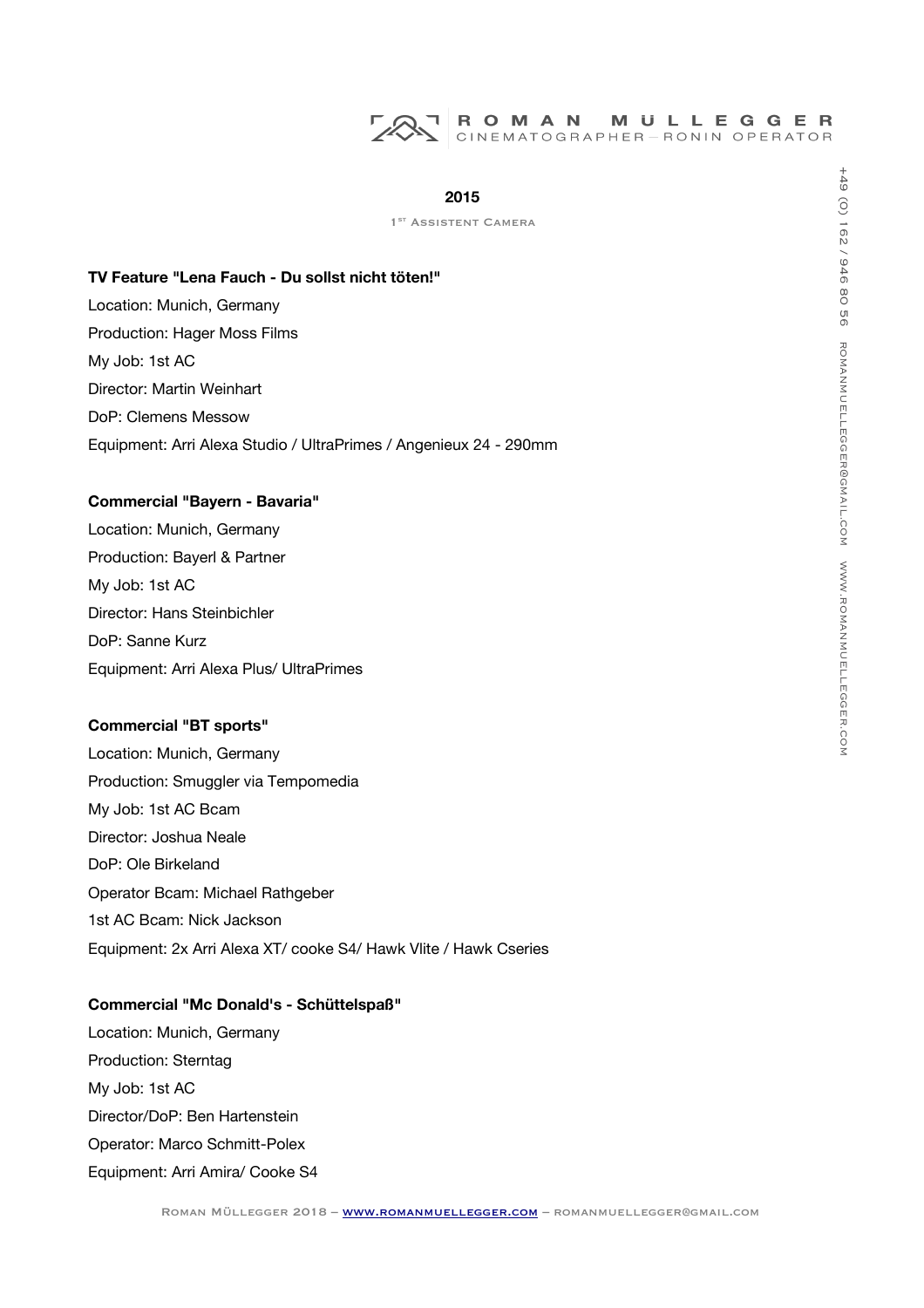## **2015**

1<sup>ST</sup> ASSISTENT CAMERA

#### **TV Feature "Lena Fauch - Du sollst nicht töten!"**

Location: Munich, Germany Production: Hager Moss Films My Job: 1st AC Director: Martin Weinhart DoP: Clemens Messow Equipment: Arri Alexa Studio / UltraPrimes / Angenieux 24 - 290mm

# **Commercial "Bayern - Bavaria"**

Location: Munich, Germany Production: Bayerl & Partner My Job: 1st AC Director: Hans Steinbichler DoP: Sanne Kurz Equipment: Arri Alexa Plus/ UltraPrimes

#### **Commercial "BT sports"**

Location: Munich, Germany Production: Smuggler via Tempomedia My Job: 1st AC Bcam Director: Joshua Neale DoP: Ole Birkeland Operator Bcam: Michael Rathgeber 1st AC Bcam: Nick Jackson Equipment: 2x Arri Alexa XT/ cooke S4/ Hawk Vlite / Hawk Cseries

## **Commercial "Mc Donald's - Schüttelspaß"**

Location: Munich, Germany Production: Sterntag My Job: 1st AC Director/DoP: Ben Hartenstein Operator: Marco Schmitt-Polex Equipment: Arri Amira/ Cooke S4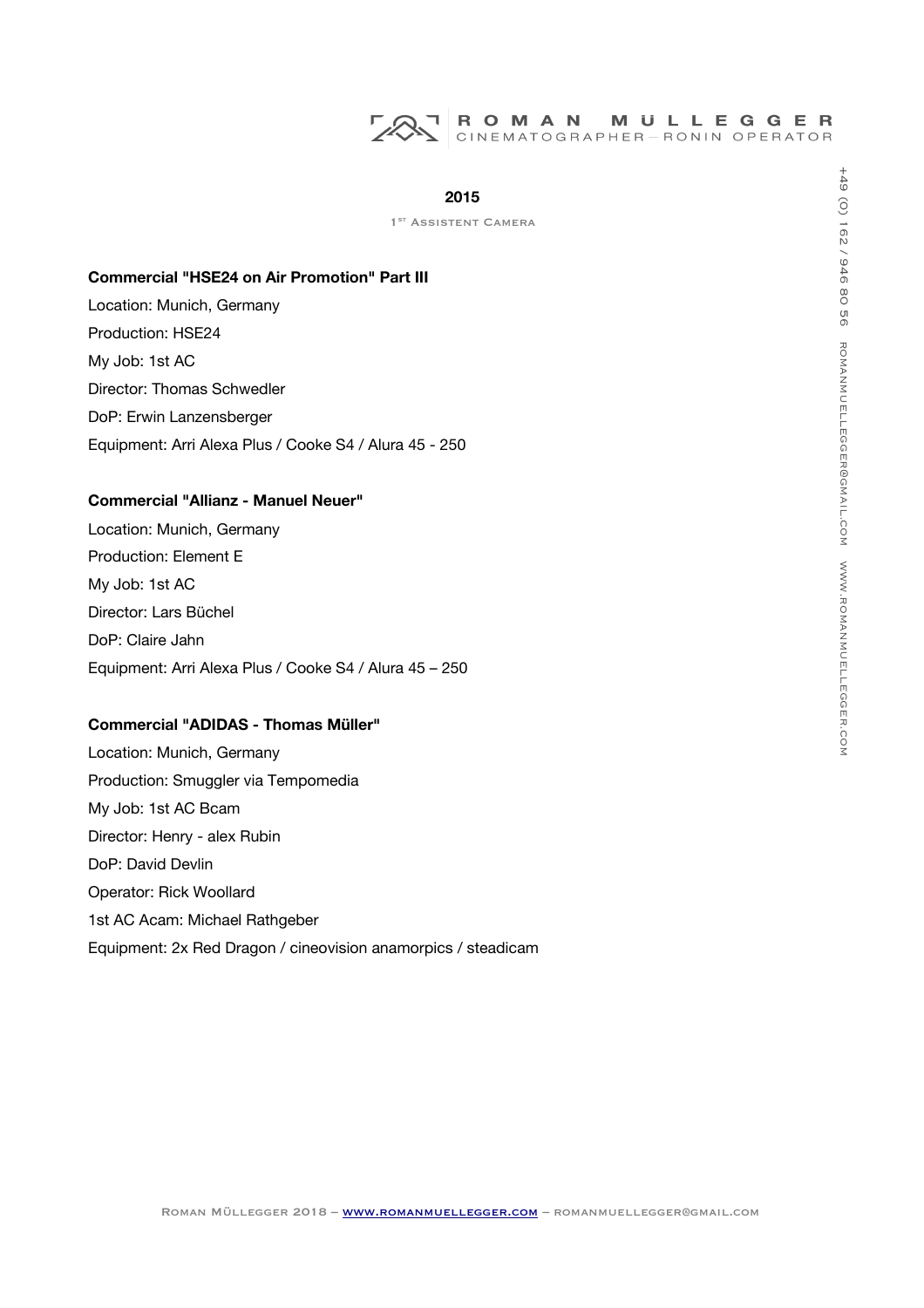# ROMAN MULLEGGER<br>CINEMATOGRAPHER-RONIN OPERATOR

#### **2015**

1<sup>ST</sup> ASSISTENT CAMERA

#### **Commercial "HSE24 on Air Promotion" Part III**

Location: Munich, Germany Production: HSE24 My Job: 1st AC Director: Thomas Schwedler DoP: Erwin Lanzensberger Equipment: Arri Alexa Plus / Cooke S4 / Alura 45 - 250

# **Commercial "Allianz - Manuel Neuer"**

Location: Munich, Germany Production: Element E My Job: 1st AC Director: Lars Büchel DoP: Claire Jahn Equipment: Arri Alexa Plus / Cooke S4 / Alura 45 – 250

# **Commercial "ADIDAS - Thomas Müller"**

Location: Munich, Germany Production: Smuggler via Tempomedia My Job: 1st AC Bcam Director: Henry - alex Rubin DoP: David Devlin Operator: Rick Woollard 1st AC Acam: Michael Rathgeber Equipment: 2x Red Dragon / cineovision anamorpics / steadicam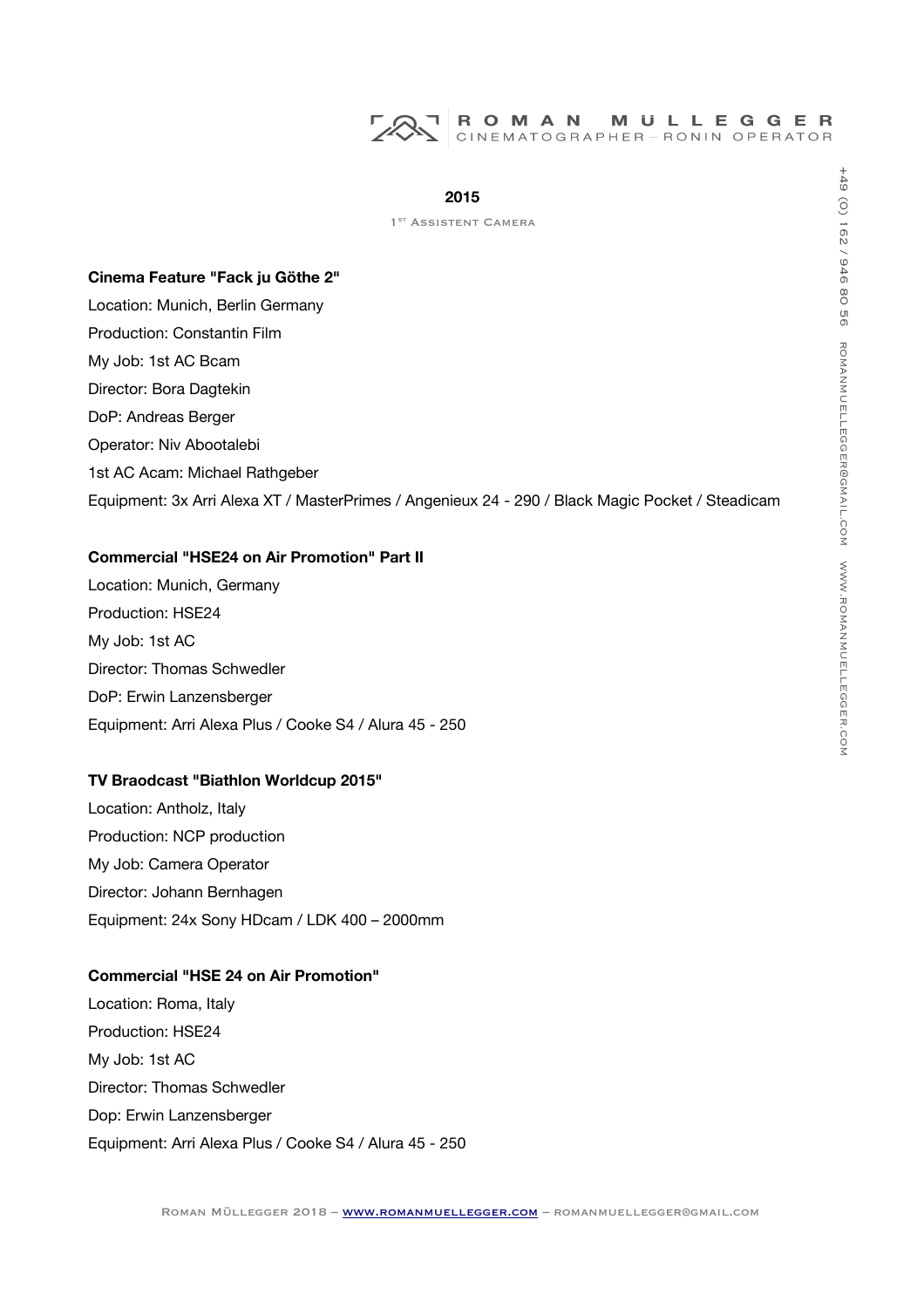#### **2015**

#### **Cinema Feature "Fack ju Göthe 2"**

Location: Munich, Berlin Germany Production: Constantin Film My Job: 1st AC Bcam Director: Bora Dagtekin DoP: Andreas Berger Operator: Niv Abootalebi 1st AC Acam: Michael Rathgeber Equipment: 3x Arri Alexa XT / MasterPrimes / Angenieux 24 - 290 / Black Magic Pocket / Steadicam

# **Commercial "HSE24 on Air Promotion" Part II**

Location: Munich, Germany Production: HSE24 My Job: 1st AC Director: Thomas Schwedler DoP: Erwin Lanzensberger Equipment: Arri Alexa Plus / Cooke S4 / Alura 45 - 250

#### **TV Braodcast "Biathlon Worldcup 2015"**

Location: Antholz, Italy Production: NCP production My Job: Camera Operator Director: Johann Bernhagen Equipment: 24x Sony HDcam / LDK 400 – 2000mm

# **Commercial "HSE 24 on Air Promotion"**

Location: Roma, Italy Production: HSE24 My Job: 1st AC Director: Thomas Schwedler Dop: Erwin Lanzensberger Equipment: Arri Alexa Plus / Cooke S4 / Alura 45 - 250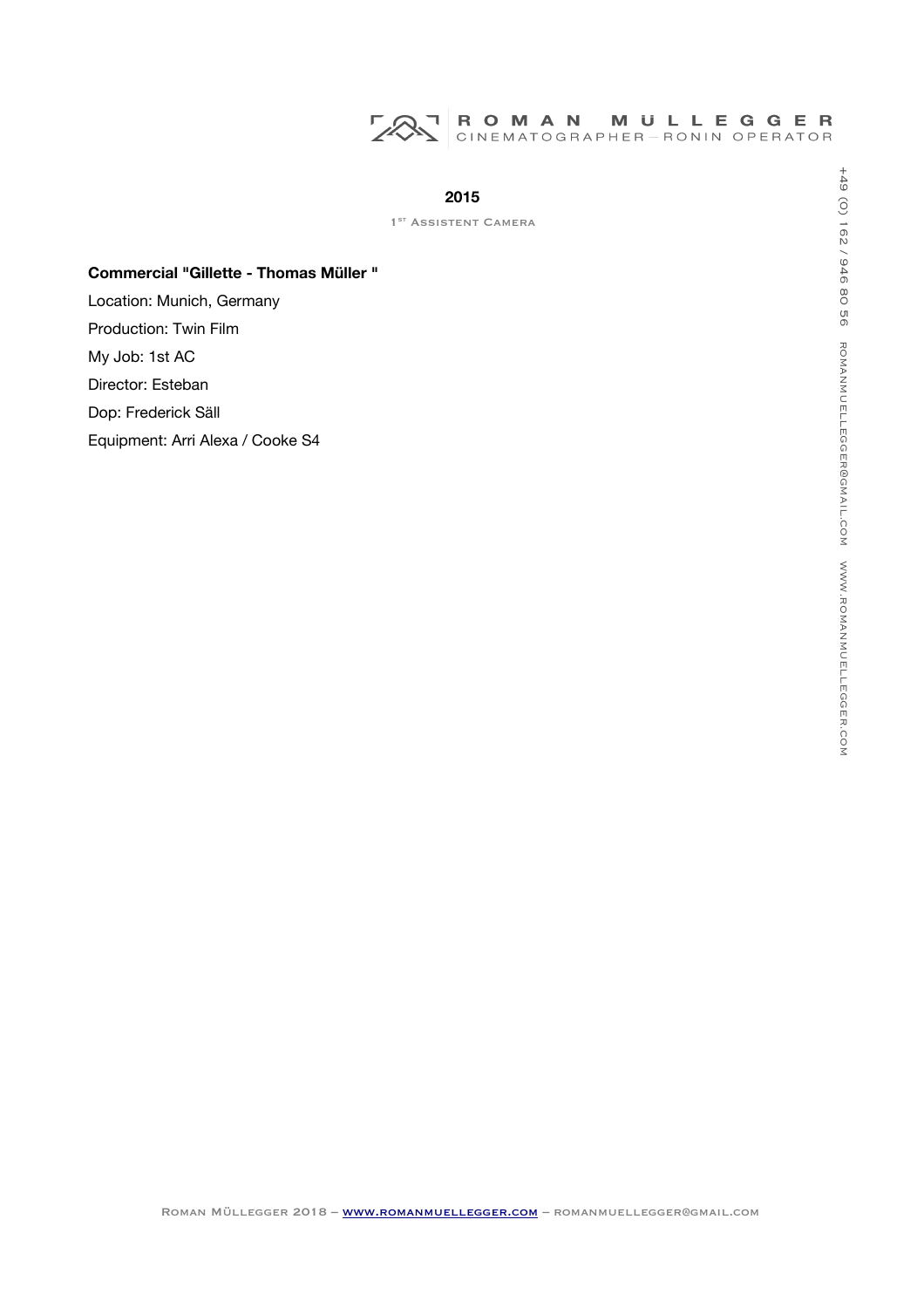

1<sup>ST</sup> ASSISTENT CAMERA

## **Commercial "Gillette - Thomas Müller "**

Location: Munich, Germany Production: Twin Film My Job: 1st AC Director: Esteban Dop: Frederick Säll Equipment: Arri Alexa / Cooke S4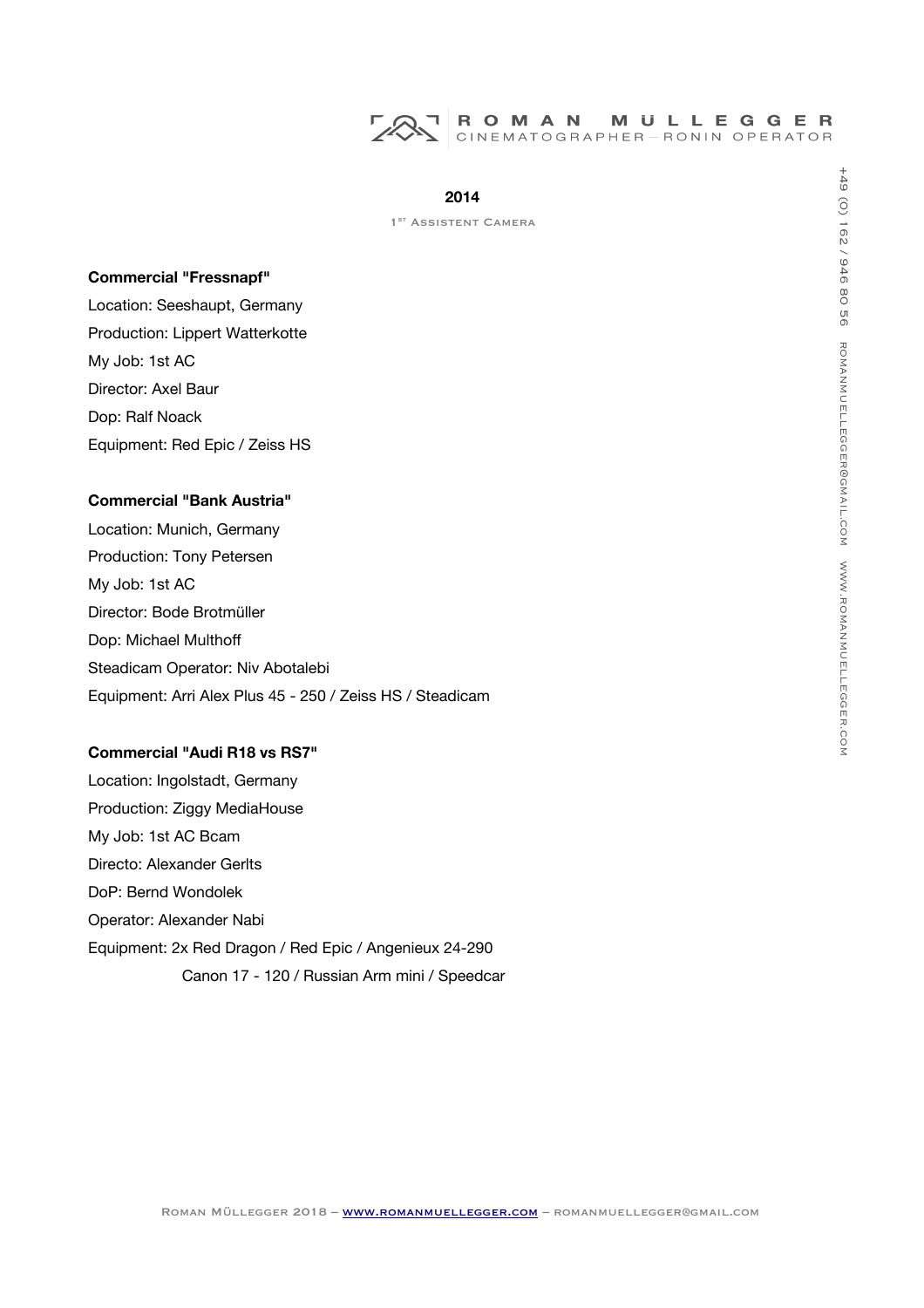

1<sup>ST</sup> ASSISTENT CAMERA

#### **Commercial "Fressnapf"**

Location: Seeshaupt, Germany Production: Lippert Watterkotte My Job: 1st AC Director: Axel Baur Dop: Ralf Noack Equipment: Red Epic / Zeiss HS

## **Commercial "Bank Austria"**

Location: Munich, Germany Production: Tony Petersen My Job: 1st AC Director: Bode Brotmüller Dop: Michael Multhof Steadicam Operator: Niv Abotalebi Equipment: Arri Alex Plus 45 - 250 / Zeiss HS / Steadicam

# **Commercial "Audi R18 vs RS7"**

Location: Ingolstadt, Germany Production: Ziggy MediaHouse My Job: 1st AC Bcam Directo: Alexander Gerlts DoP: Bernd Wondolek Operator: Alexander Nabi Equipment: 2x Red Dragon / Red Epic / Angenieux 24-290 Canon 17 - 120 / Russian Arm mini / Speedcar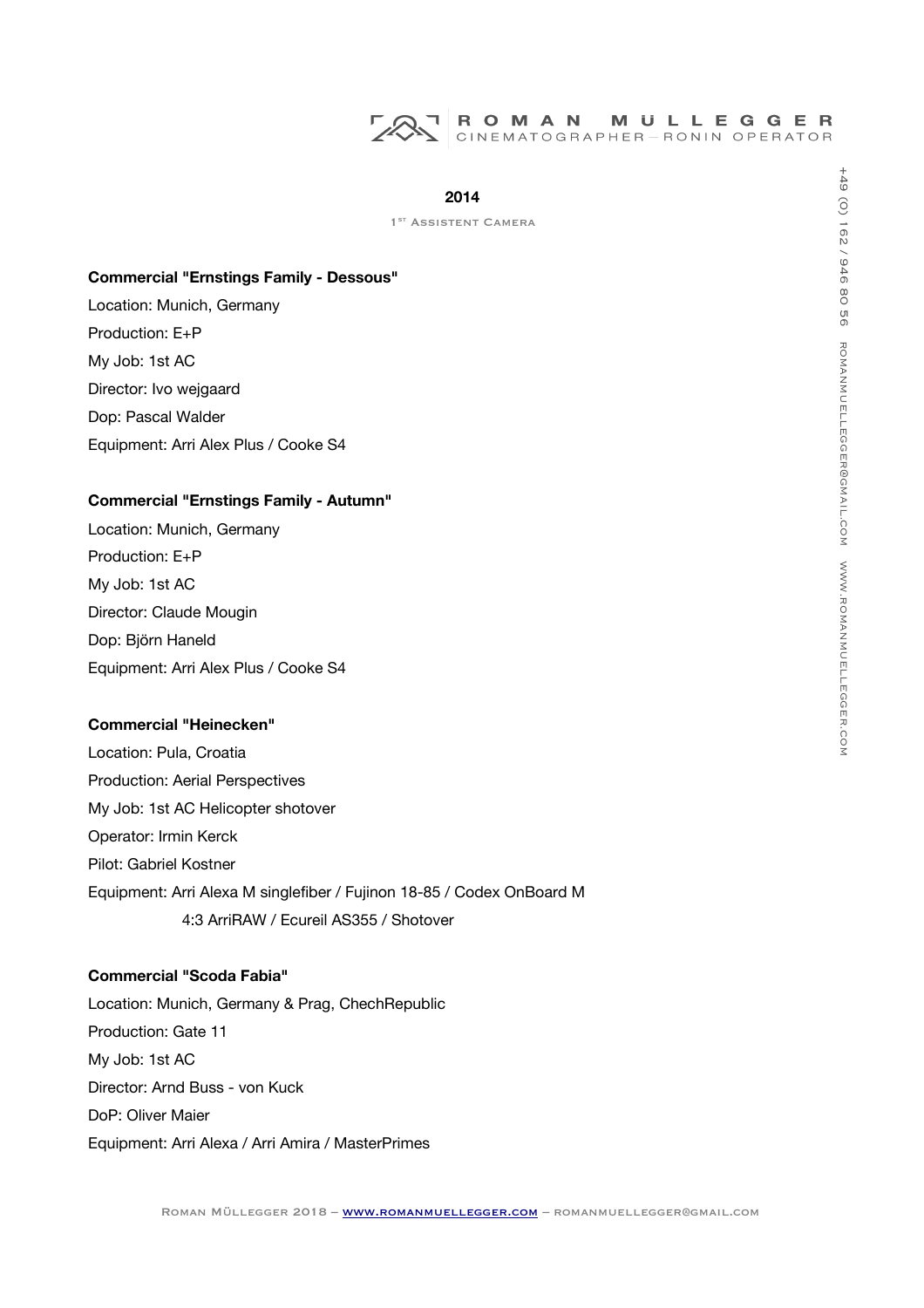# **2014**

1<sup>ST</sup> ASSISTENT CAMERA

#### **Commercial "Ernstings Family - Dessous"**

Location: Munich, Germany Production: E+P My Job: 1st AC Director: Ivo wejgaard Dop: Pascal Walder Equipment: Arri Alex Plus / Cooke S4

## **Commercial "Ernstings Family - Autumn"**

Location: Munich, Germany Production: E+P My Job: 1st AC Director: Claude Mougin Dop: Björn Haneld Equipment: Arri Alex Plus / Cooke S4

## **Commercial "Heinecken"**

Location: Pula, Croatia Production: Aerial Perspectives My Job: 1st AC Helicopter shotover Operator: Irmin Kerck Pilot: Gabriel Kostner Equipment: Arri Alexa M singlefber / Fujinon 18-85 / Codex OnBoard M 4:3 ArriRAW / Ecureil AS355 / Shotover

# **Commercial "Scoda Fabia"**

Location: Munich, Germany & Prag, ChechRepublic Production: Gate 11 My Job: 1st AC Director: Arnd Buss - von Kuck DoP: Oliver Maier Equipment: Arri Alexa / Arri Amira / MasterPrimes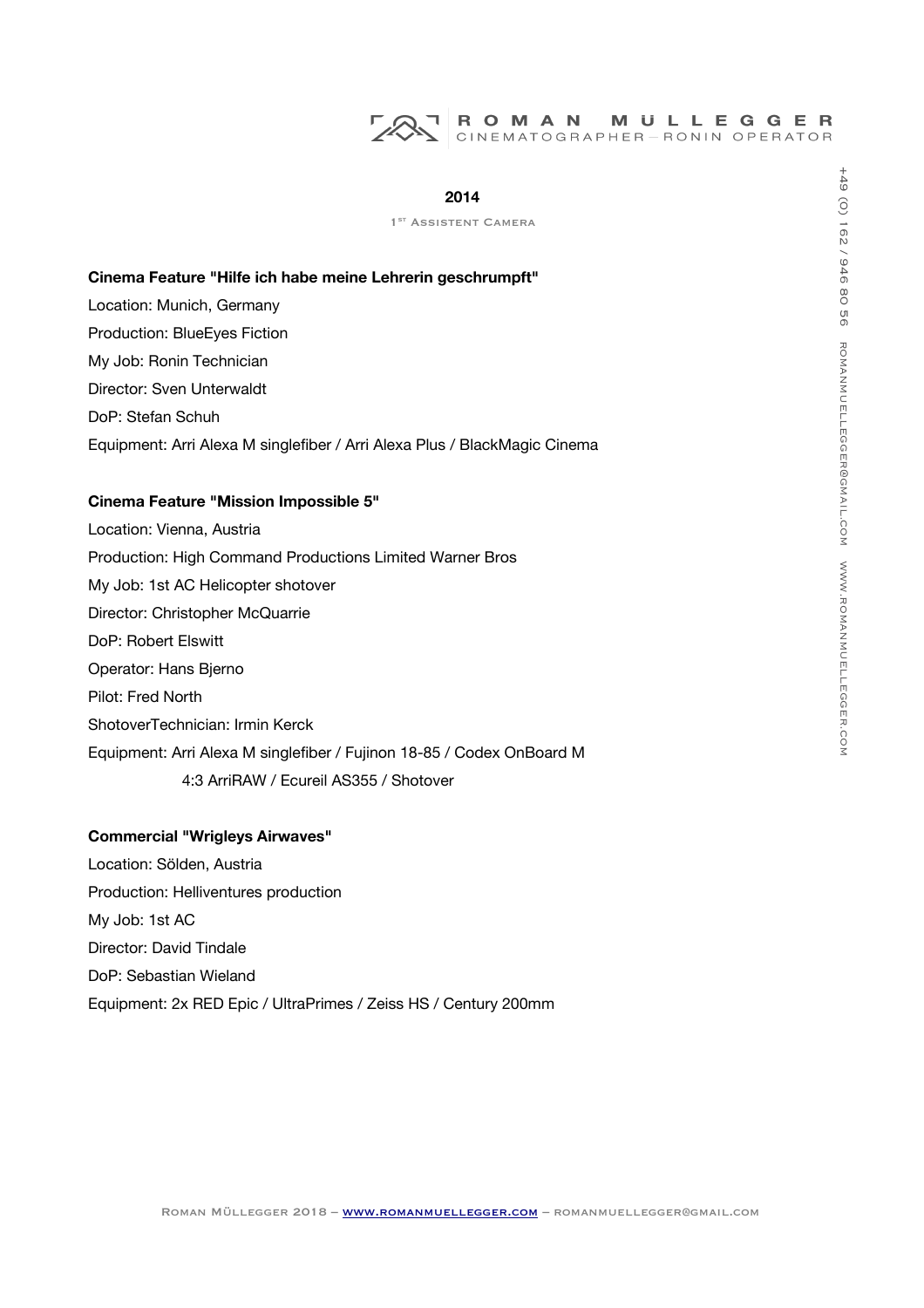#### **2014**

#### **Cinema Feature "Hilfe ich habe meine Lehrerin geschrumpft"**

Location: Munich, Germany Production: BlueEyes Fiction My Job: Ronin Technician Director: Sven Unterwaldt DoP: Stefan Schuh Equipment: Arri Alexa M singlefber / Arri Alexa Plus / BlackMagic Cinema

# **Cinema Feature "Mission Impossible 5"**

Location: Vienna, Austria Production: High Command Productions Limited Warner Bros My Job: 1st AC Helicopter shotover Director: Christopher McQuarrie DoP: Robert Elswitt Operator: Hans Bjerno Pilot: Fred North ShotoverTechnician: Irmin Kerck Equipment: Arri Alexa M singlefber / Fujinon 18-85 / Codex OnBoard M 4:3 ArriRAW / Ecureil AS355 / Shotover

#### **Commercial "Wrigleys Airwaves"**

Location: Sölden, Austria Production: Helliventures production My Job: 1st AC Director: David Tindale DoP: Sebastian Wieland Equipment: 2x RED Epic / UltraPrimes / Zeiss HS / Century 200mm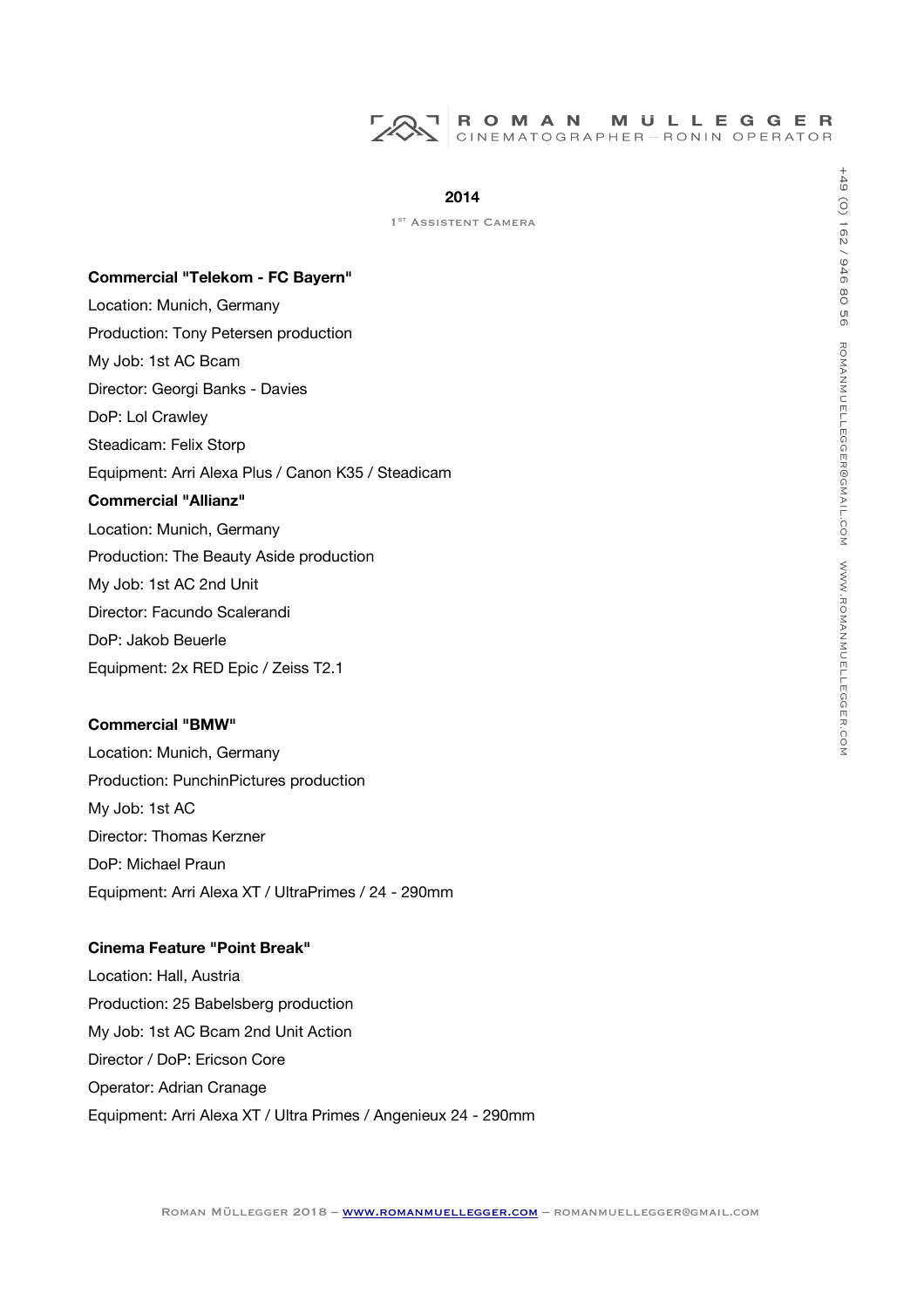

1<sup>ST</sup> ASSISTENT CAMERA

#### **Commercial "Telekom - FC Bayern"**

Location: Munich, Germany Production: Tony Petersen production My Job: 1st AC Bcam Director: Georgi Banks - Davies DoP: Lol Crawley Steadicam: Felix Storp Equipment: Arri Alexa Plus / Canon K35 / Steadicam **Commercial "Allianz"** Location: Munich, Germany Production: The Beauty Aside production My Job: 1st AC 2nd Unit Director: Facundo Scalerandi DoP: Jakob Beuerle Equipment: 2x RED Epic / Zeiss T2.1

#### **Commercial "BMW"**

Location: Munich, Germany Production: PunchinPictures production My Job: 1st AC Director: Thomas Kerzner DoP: Michael Praun Equipment: Arri Alexa XT / UltraPrimes / 24 - 290mm

# **Cinema Feature "Point Break"**

Location: Hall, Austria Production: 25 Babelsberg production My Job: 1st AC Bcam 2nd Unit Action Director / DoP: Ericson Core Operator: Adrian Cranage Equipment: Arri Alexa XT / Ultra Primes / Angenieux 24 - 290mm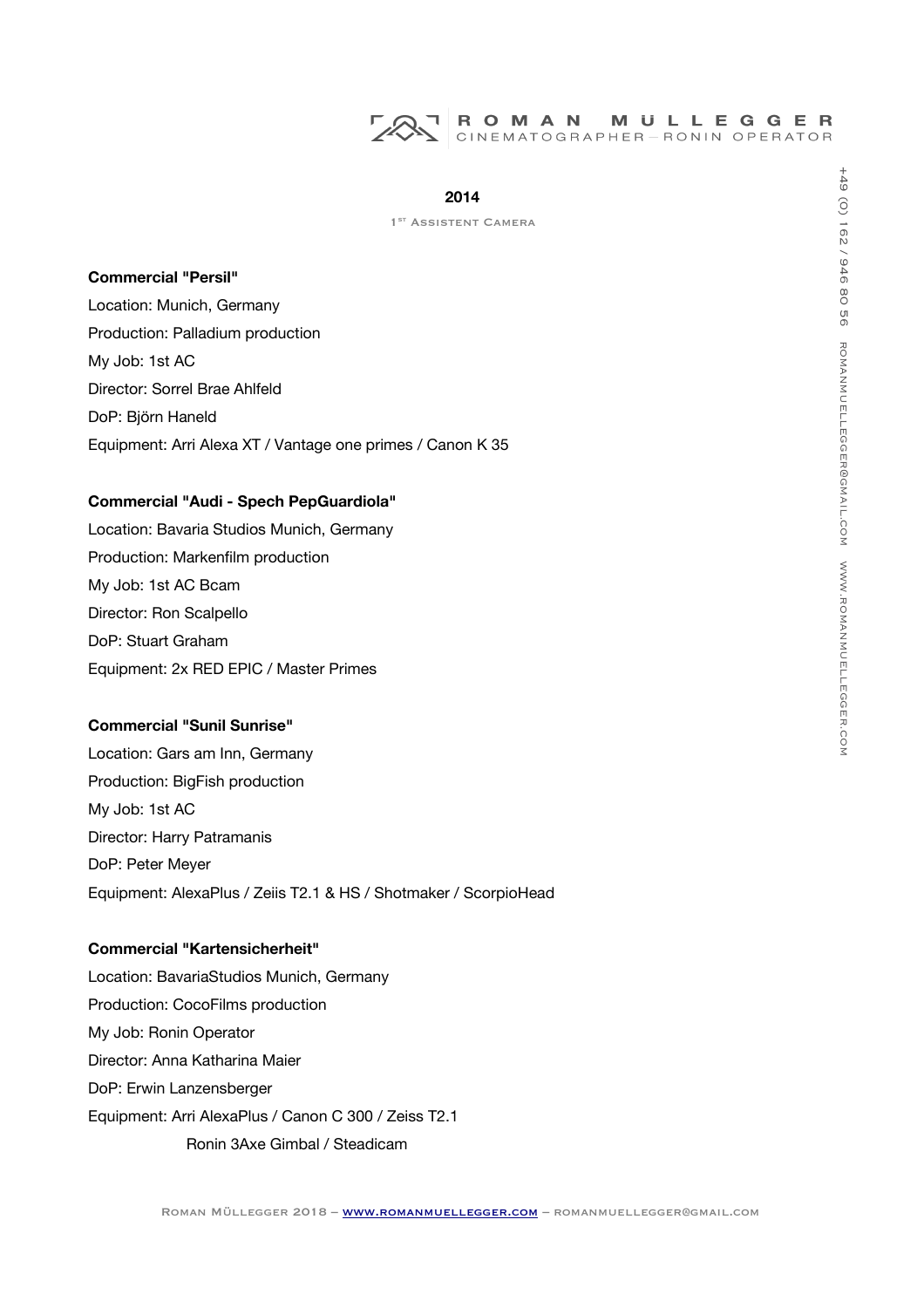

1<sup>ST</sup> ASSISTENT CAMERA

#### **Commercial "Persil"**

Location: Munich, Germany Production: Palladium production My Job: 1st AC Director: Sorrel Brae Ahlfeld DoP: Björn Haneld Equipment: Arri Alexa XT / Vantage one primes / Canon K 35

# **Commercial "Audi - Spech PepGuardiola"**

Location: Bavaria Studios Munich, Germany Production: Markenflm production My Job: 1st AC Bcam Director: Ron Scalpello DoP: Stuart Graham Equipment: 2x RED EPIC / Master Primes

# **Commercial "Sunil Sunrise"**

Location: Gars am Inn, Germany Production: BigFish production My Job: 1st AC Director: Harry Patramanis DoP: Peter Meyer Equipment: AlexaPlus / Zeiis T2.1 & HS / Shotmaker / ScorpioHead

# **Commercial "Kartensicherheit"**

Location: BavariaStudios Munich, Germany Production: CocoFilms production My Job: Ronin Operator Director: Anna Katharina Maier DoP: Erwin Lanzensberger Equipment: Arri AlexaPlus / Canon C 300 / Zeiss T2.1 Ronin 3Axe Gimbal / Steadicam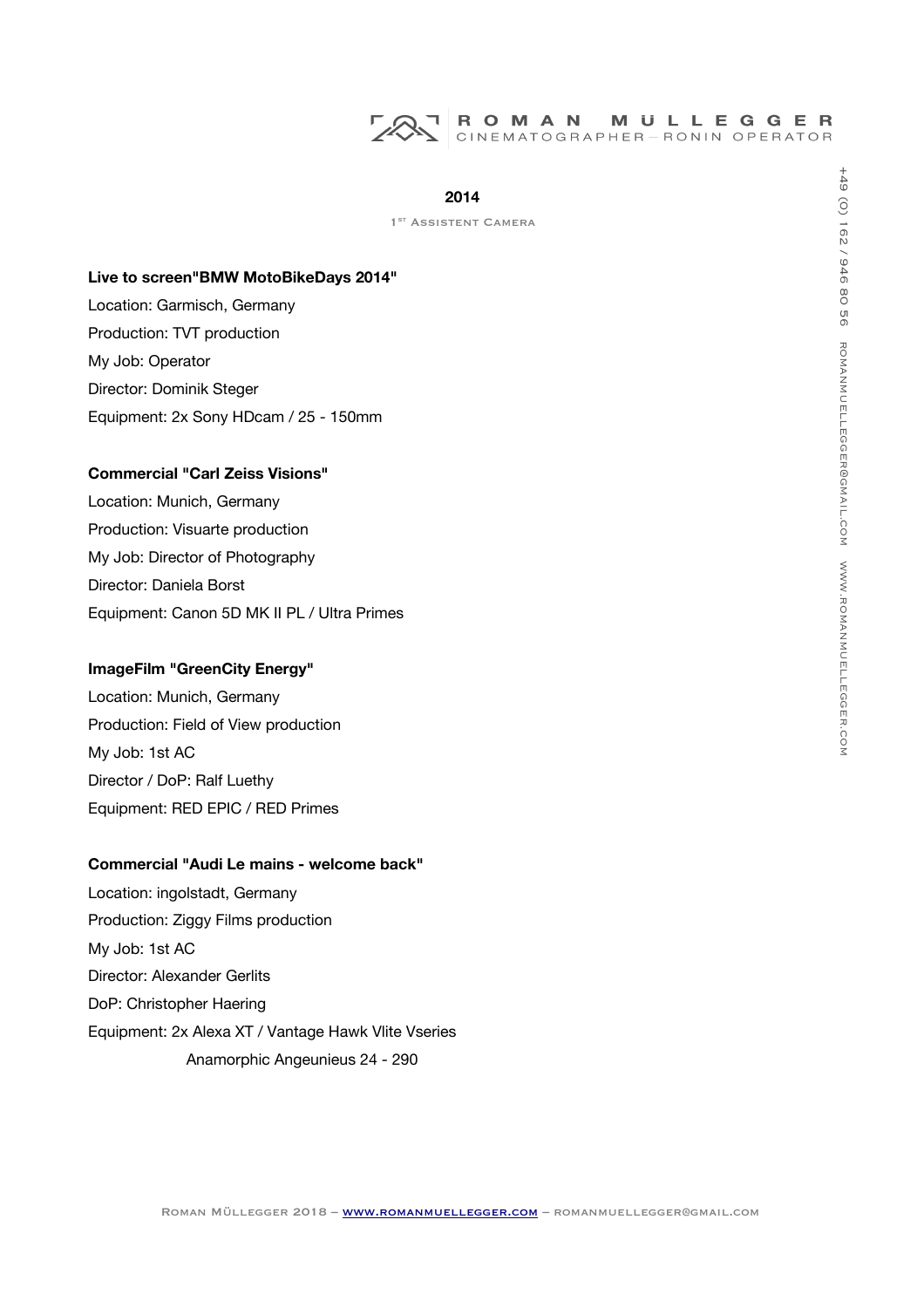# **2014**

1<sup>ST</sup> ASSISTENT CAMERA

#### **Live to screen"BMW MotoBikeDays 2014"**

Location: Garmisch, Germany Production: TVT production My Job: Operator Director: Dominik Steger Equipment: 2x Sony HDcam / 25 - 150mm

# **Commercial "Carl Zeiss Visions"**

Location: Munich, Germany Production: Visuarte production My Job: Director of Photography Director: Daniela Borst Equipment: Canon 5D MK II PL / Ultra Primes

#### **ImageFilm "GreenCity Energy"**

Location: Munich, Germany Production: Field of View production My Job: 1st AC Director / DoP: Ralf Luethy Equipment: RED EPIC / RED Primes

# **Commercial "Audi Le mains - welcome back"**

Location: ingolstadt, Germany Production: Ziggy Films production My Job: 1st AC Director: Alexander Gerlits DoP: Christopher Haering Equipment: 2x Alexa XT / Vantage Hawk Vlite Vseries Anamorphic Angeunieus 24 - 290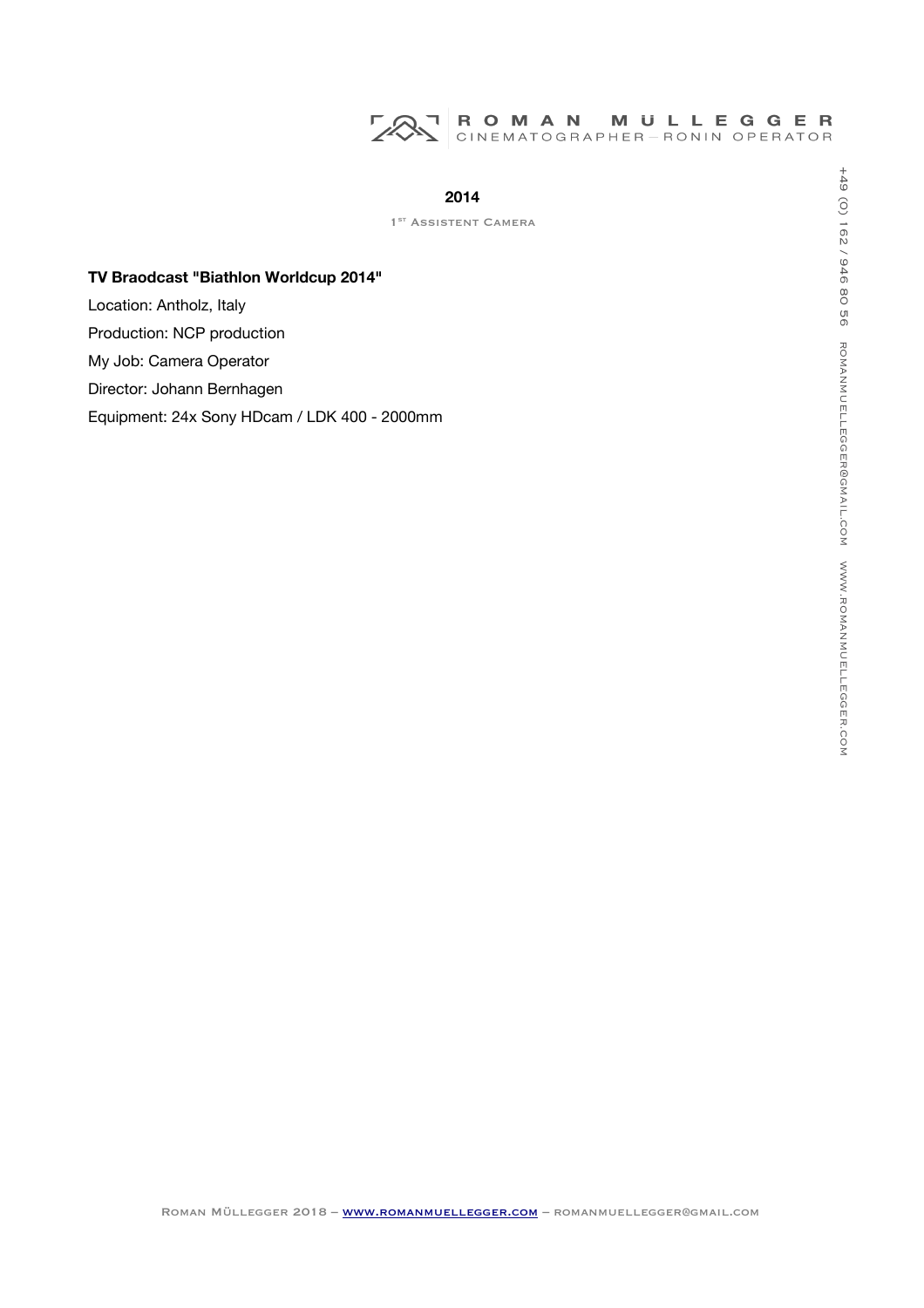# ROMAN MULLEGGER<br>CINEMATOGRAPHER-RONIN OPERATOR 725

# **2014**

1<sup>ST</sup> ASSISTENT CAMERA

# **TV Braodcast "Biathlon Worldcup 2014"**

Location: Antholz, Italy

Production: NCP production

My Job: Camera Operator

Director: Johann Bernhagen

Equipment: 24x Sony HDcam / LDK 400 - 2000mm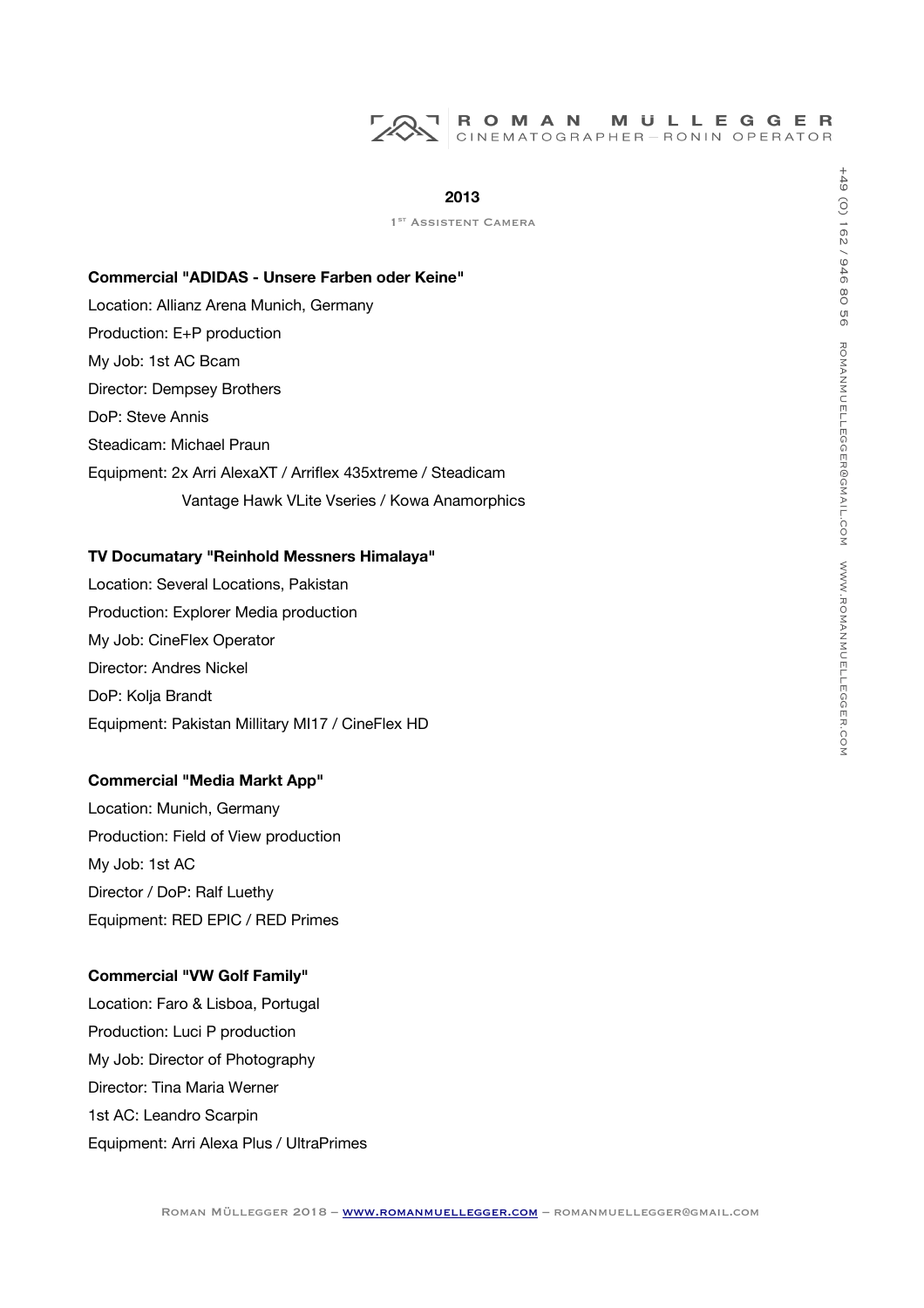## **2013**

1<sup>ST</sup> ASSISTENT CAMERA

#### **Commercial "ADIDAS - Unsere Farben oder Keine"**

Location: Allianz Arena Munich, Germany Production: E+P production My Job: 1st AC Bcam Director: Dempsey Brothers DoP: Steve Annis Steadicam: Michael Praun Equipment: 2x Arri AlexaXT / Arrifex 435xtreme / Steadicam Vantage Hawk VLite Vseries / Kowa Anamorphics

#### **TV Documatary "Reinhold Messners Himalaya"**

Location: Several Locations, Pakistan Production: Explorer Media production My Job: CineFlex Operator Director: Andres Nickel DoP: Kolja Brandt Equipment: Pakistan Millitary MI17 / CineFlex HD

#### **Commercial "Media Markt App"**

Location: Munich, Germany Production: Field of View production My Job: 1st AC Director / DoP: Ralf Luethy Equipment: RED EPIC / RED Primes

## **Commercial "VW Golf Family"**

Location: Faro & Lisboa, Portugal Production: Luci P production My Job: Director of Photography Director: Tina Maria Werner 1st AC: Leandro Scarpin Equipment: Arri Alexa Plus / UltraPrimes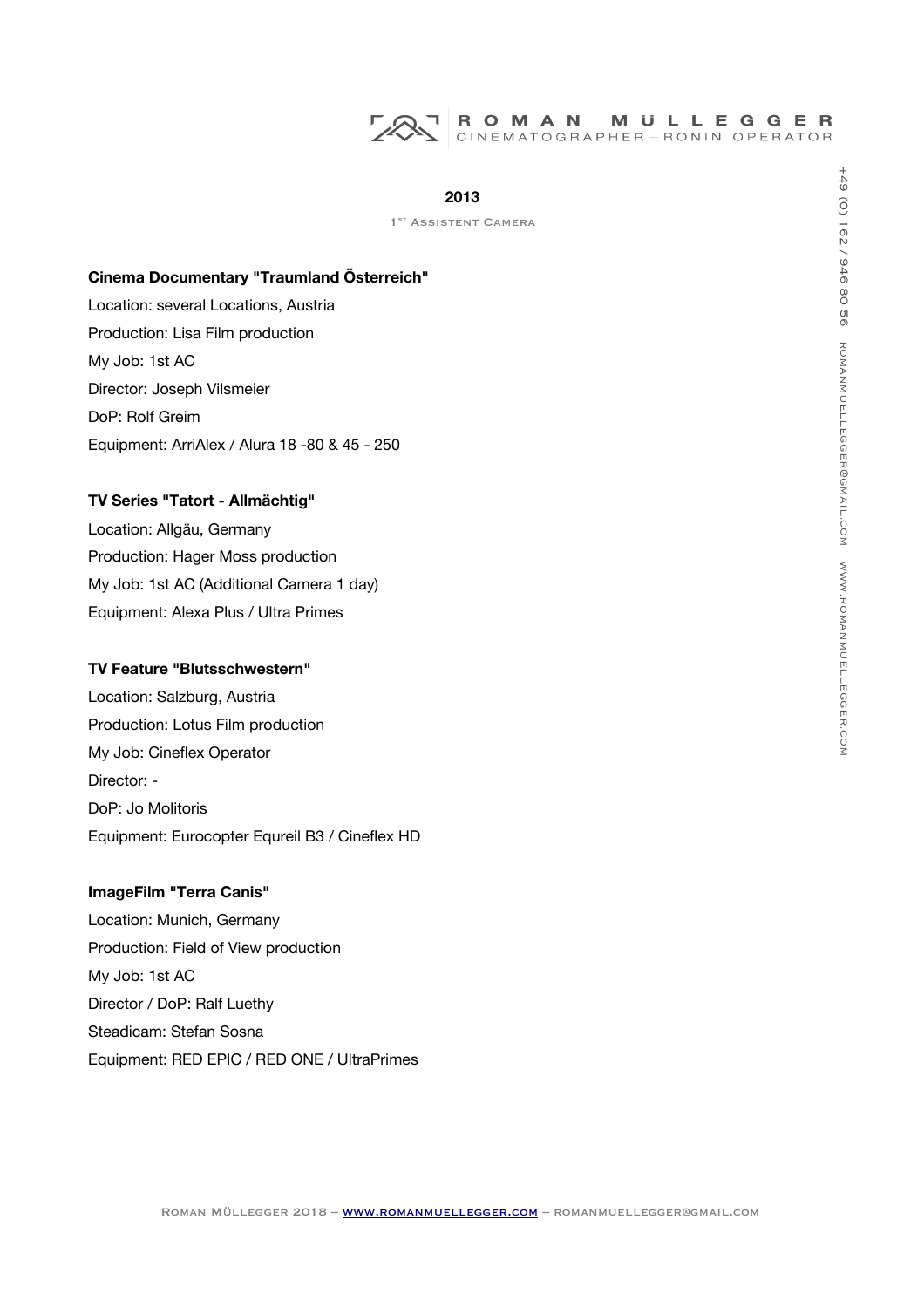## **2013**

1<sup>ST</sup> ASSISTENT CAMERA

#### **Cinema Documentary "Traumland Österreich"**

Location: several Locations, Austria Production: Lisa Film production My Job: 1st AC Director: Joseph Vilsmeier DoP: Rolf Greim Equipment: ArriAlex / Alura 18 -80 & 45 - 250

# **TV Series "Tatort - Allmächtig"**

Location: Allgäu, Germany Production: Hager Moss production My Job: 1st AC (Additional Camera 1 day) Equipment: Alexa Plus / Ultra Primes

#### **TV Feature "Blutsschwestern"**

Location: Salzburg, Austria Production: Lotus Film production My Job: Cineflex Operator Director: - DoP: Jo Molitoris Equipment: Eurocopter Equreil B3 / Cinefex HD

#### **ImageFilm "Terra Canis"**

Location: Munich, Germany Production: Field of View production My Job: 1st AC Director / DoP: Ralf Luethy Steadicam: Stefan Sosna Equipment: RED EPIC / RED ONE / UltraPrimes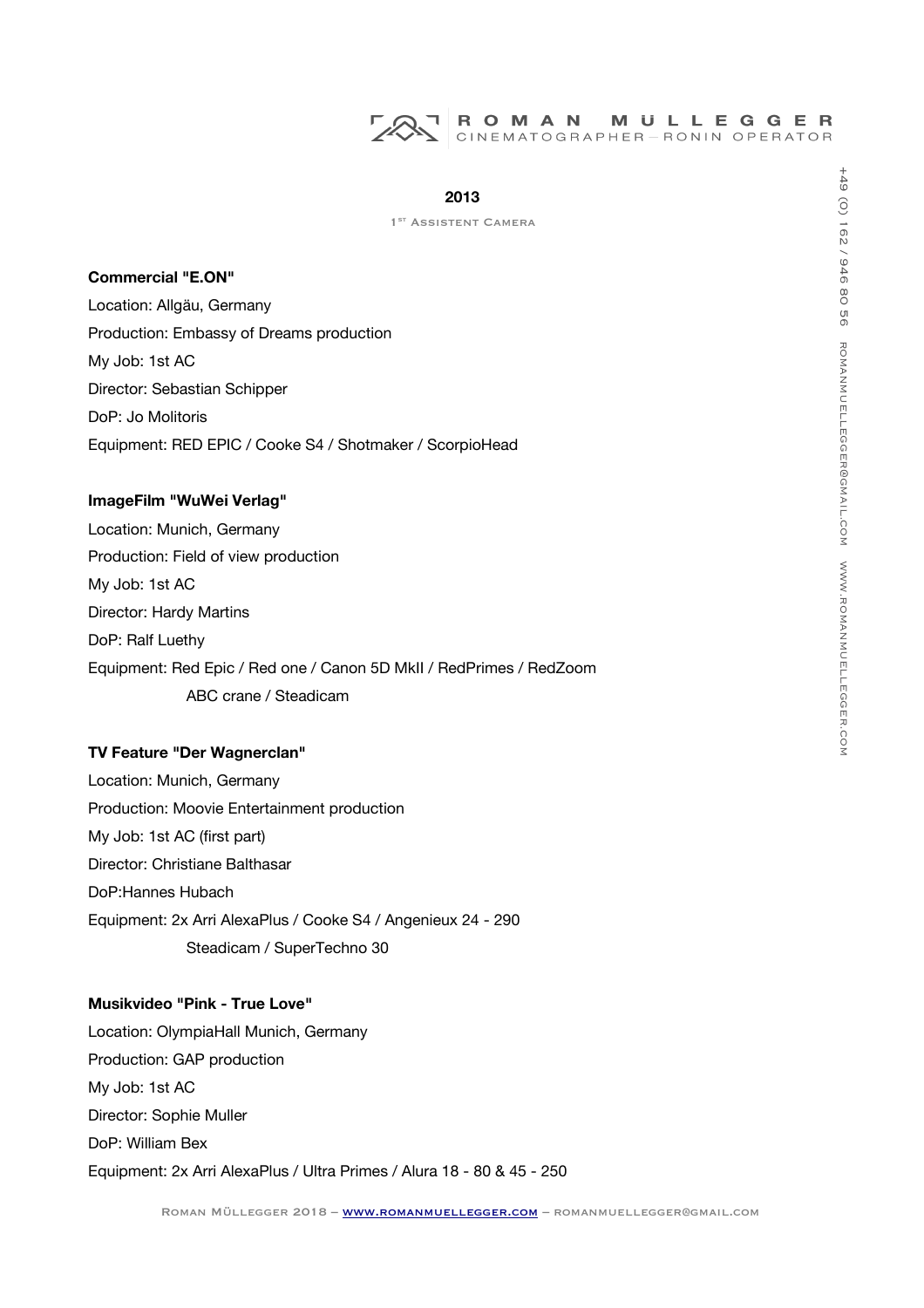

#### **Commercial "E.ON"**

Location: Allgäu, Germany Production: Embassy of Dreams production My Job: 1st AC Director: Sebastian Schipper DoP: Jo Molitoris Equipment: RED EPIC / Cooke S4 / Shotmaker / ScorpioHead

# **ImageFilm "WuWei Verlag"**

Location: Munich, Germany Production: Field of view production My Job: 1st AC Director: Hardy Martins DoP: Ralf Luethy Equipment: Red Epic / Red one / Canon 5D MkII / RedPrimes / RedZoom ABC crane / Steadicam

## **TV Feature "Der Wagnerclan"**

Location: Munich, Germany Production: Moovie Entertainment production My Job: 1st AC (first part) Director: Christiane Balthasar DoP:Hannes Hubach Equipment: 2x Arri AlexaPlus / Cooke S4 / Angenieux 24 - 290 Steadicam / SuperTechno 30

## **Musikvideo "Pink - True Love"**

Location: OlympiaHall Munich, Germany Production: GAP production My Job: 1st AC Director: Sophie Muller DoP: William Bex Equipment: 2x Arri AlexaPlus / Ultra Primes / Alura 18 - 80 & 45 - 250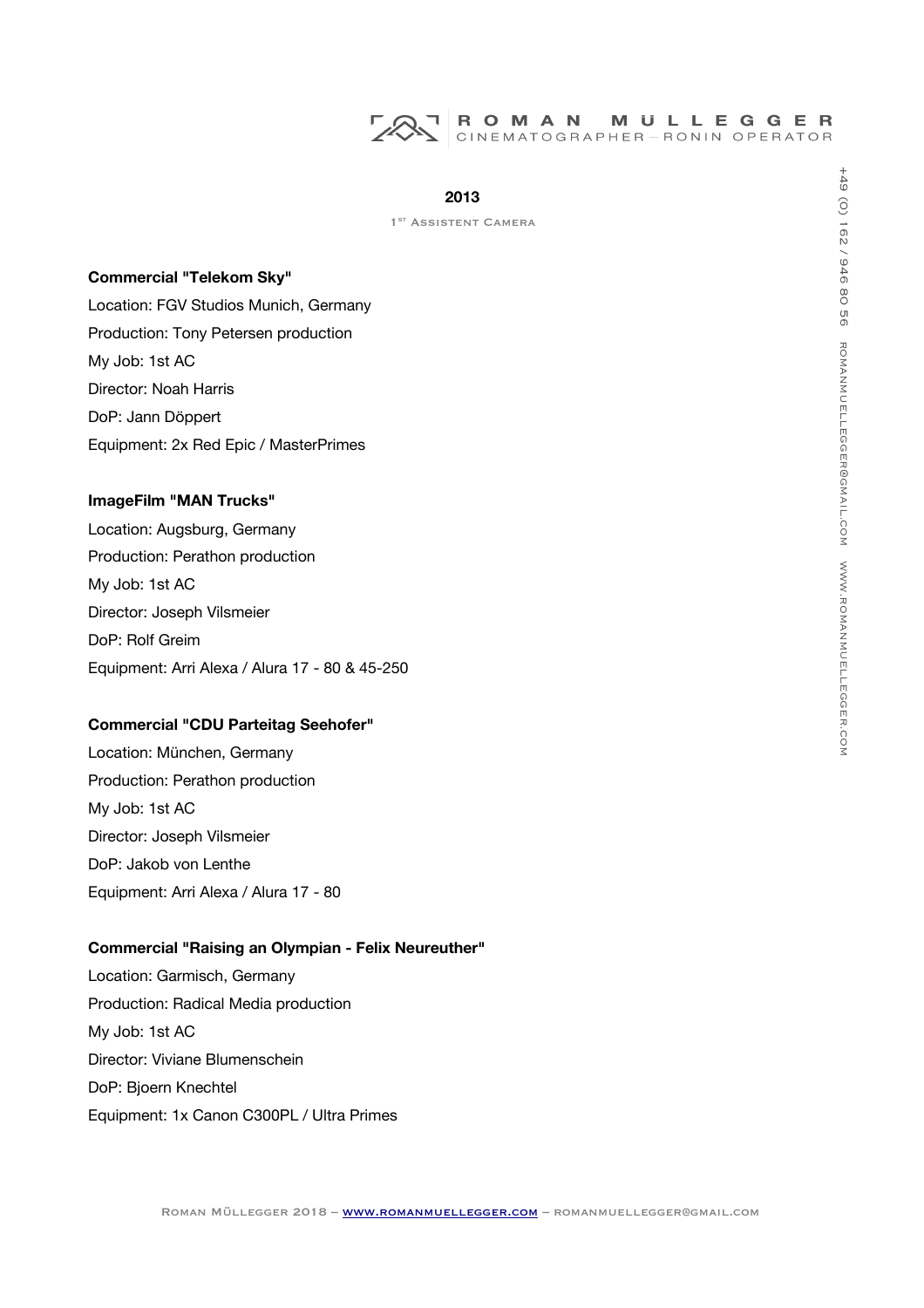

1<sup>ST</sup> ASSISTENT CAMERA

#### **Commercial "Telekom Sky"**

Location: FGV Studios Munich, Germany Production: Tony Petersen production My Job: 1st AC Director: Noah Harris DoP: Jann Döppert Equipment: 2x Red Epic / MasterPrimes

# **ImageFilm "MAN Trucks"**

Location: Augsburg, Germany Production: Perathon production My Job: 1st AC Director: Joseph Vilsmeier DoP: Rolf Greim Equipment: Arri Alexa / Alura 17 - 80 & 45-250

# **Commercial "CDU Parteitag Seehofer"**

Location: München, Germany Production: Perathon production My Job: 1st AC Director: Joseph Vilsmeier DoP: Jakob von Lenthe Equipment: Arri Alexa / Alura 17 - 80

## **Commercial "Raising an Olympian - Felix Neureuther"**

Location: Garmisch, Germany Production: Radical Media production My Job: 1st AC Director: Viviane Blumenschein DoP: Bjoern Knechtel Equipment: 1x Canon C300PL / Ultra Primes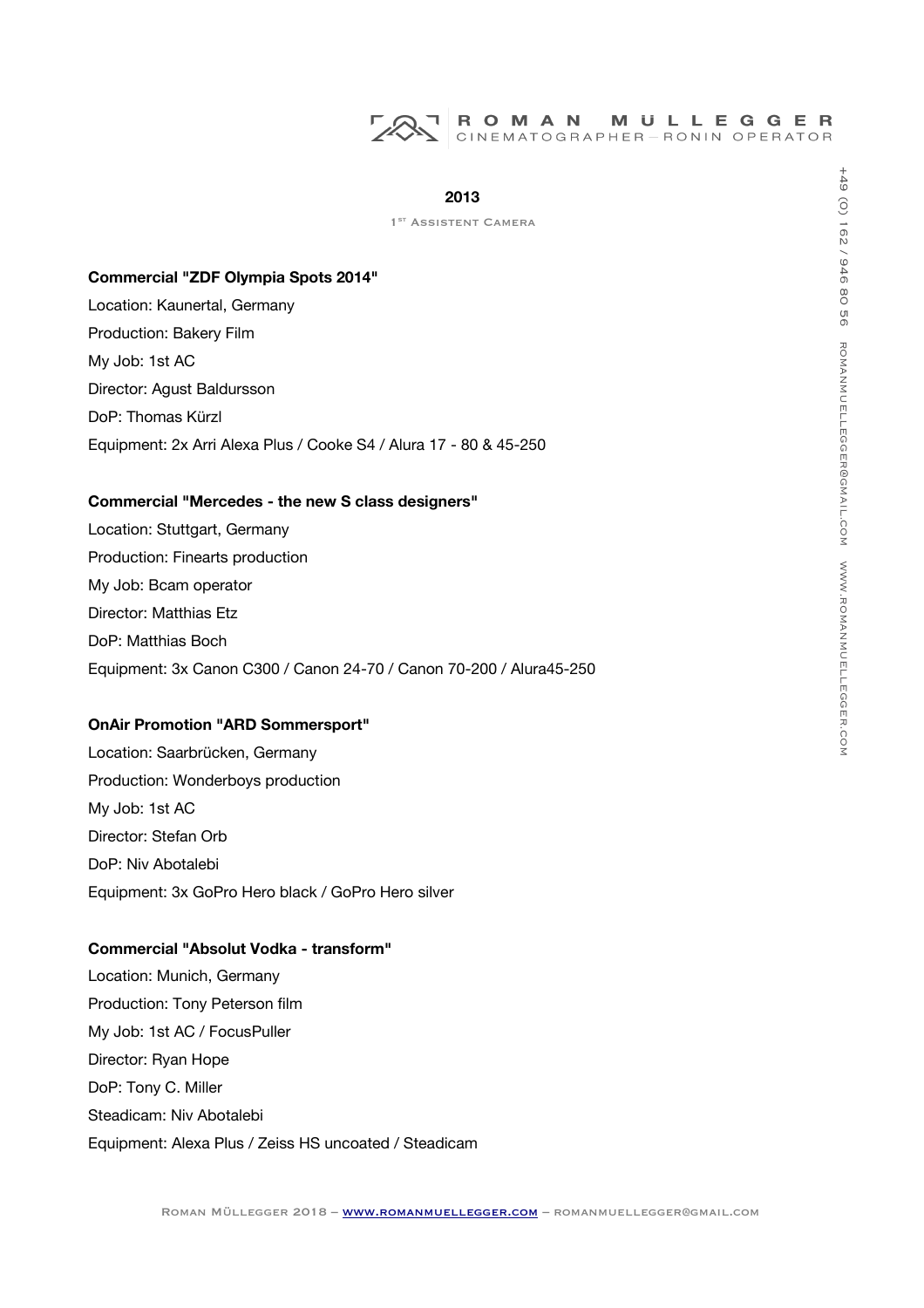## **2013**

1<sup>ST</sup> ASSISTENT CAMERA

#### **Commercial "ZDF Olympia Spots 2014"**

Location: Kaunertal, Germany Production: Bakery Film My Job: 1st AC Director: Agust Baldursson DoP: Thomas Kürzl Equipment: 2x Arri Alexa Plus / Cooke S4 / Alura 17 - 80 & 45-250

## **Commercial "Mercedes - the new S class designers"**

Location: Stuttgart, Germany Production: Finearts production My Job: Bcam operator Director: Matthias Etz DoP: Matthias Boch Equipment: 3x Canon C300 / Canon 24-70 / Canon 70-200 / Alura45-250

## **OnAir Promotion "ARD Sommersport"**

Location: Saarbrücken, Germany Production: Wonderboys production My Job: 1st AC Director: Stefan Orb DoP: Niv Abotalebi Equipment: 3x GoPro Hero black / GoPro Hero silver

# **Commercial "Absolut Vodka - transform"**

Location: Munich, Germany Production: Tony Peterson film My Job: 1st AC / FocusPuller Director: Ryan Hope DoP: Tony C. Miller Steadicam: Niv Abotalebi Equipment: Alexa Plus / Zeiss HS uncoated / Steadicam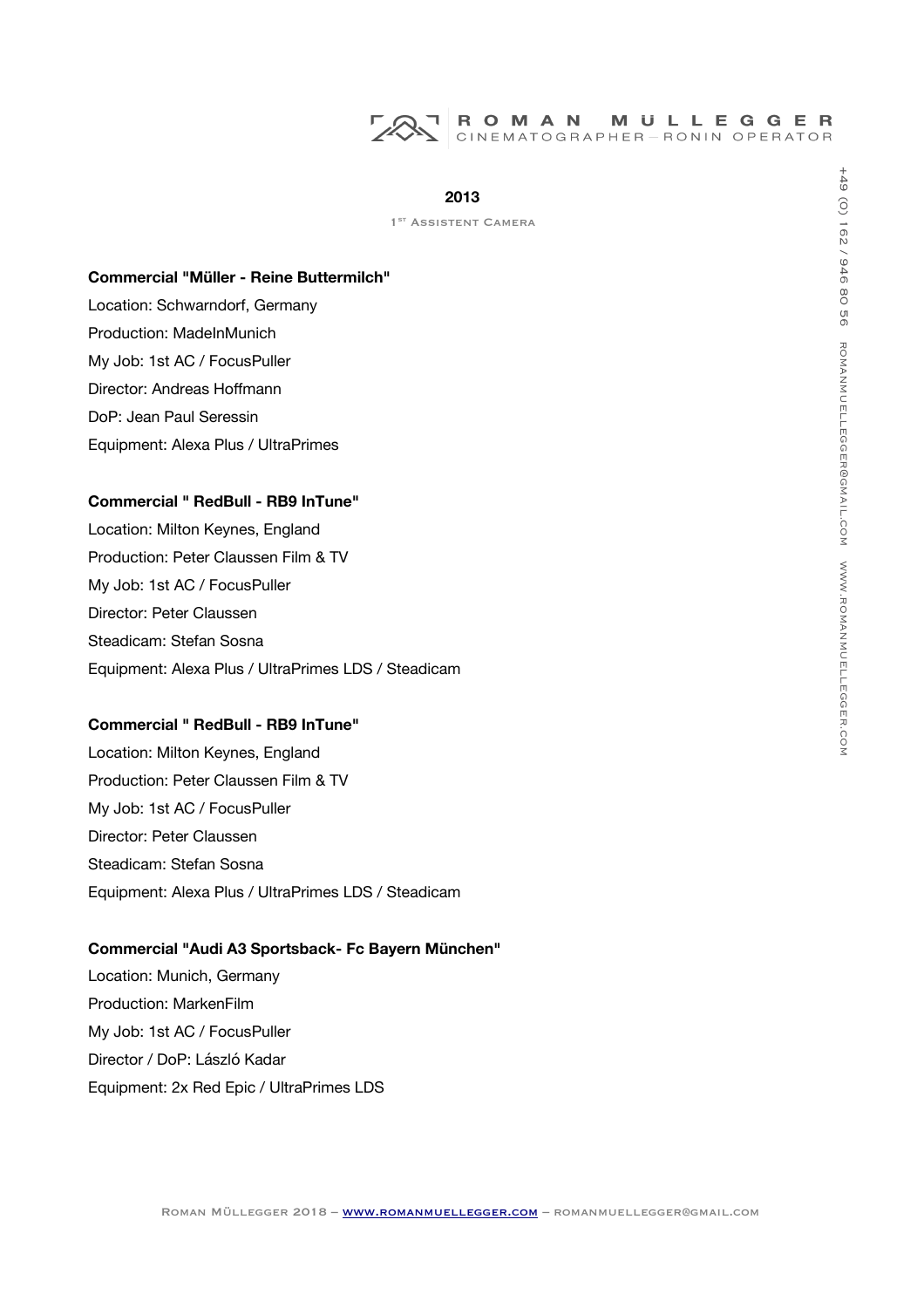

1<sup>ST</sup> ASSISTENT CAMERA

#### **Commercial "Müller - Reine Buttermilch"**

Location: Schwarndorf, Germany Production: MadeInMunich My Job: 1st AC / FocusPuller Director: Andreas Hofmann DoP: Jean Paul Seressin Equipment: Alexa Plus / UltraPrimes

## **Commercial " RedBull - RB9 InTune"**

Location: Milton Keynes, England Production: Peter Claussen Film & TV My Job: 1st AC / FocusPuller Director: Peter Claussen Steadicam: Stefan Sosna Equipment: Alexa Plus / UltraPrimes LDS / Steadicam

#### **Commercial " RedBull - RB9 InTune"**

Location: Milton Keynes, England Production: Peter Claussen Film & TV My Job: 1st AC / FocusPuller Director: Peter Claussen Steadicam: Stefan Sosna Equipment: Alexa Plus / UltraPrimes LDS / Steadicam

## **Commercial "Audi A3 Sportsback- Fc Bayern München"**

Location: Munich, Germany Production: MarkenFilm My Job: 1st AC / FocusPuller Director / DoP: László Kadar Equipment: 2x Red Epic / UltraPrimes LDS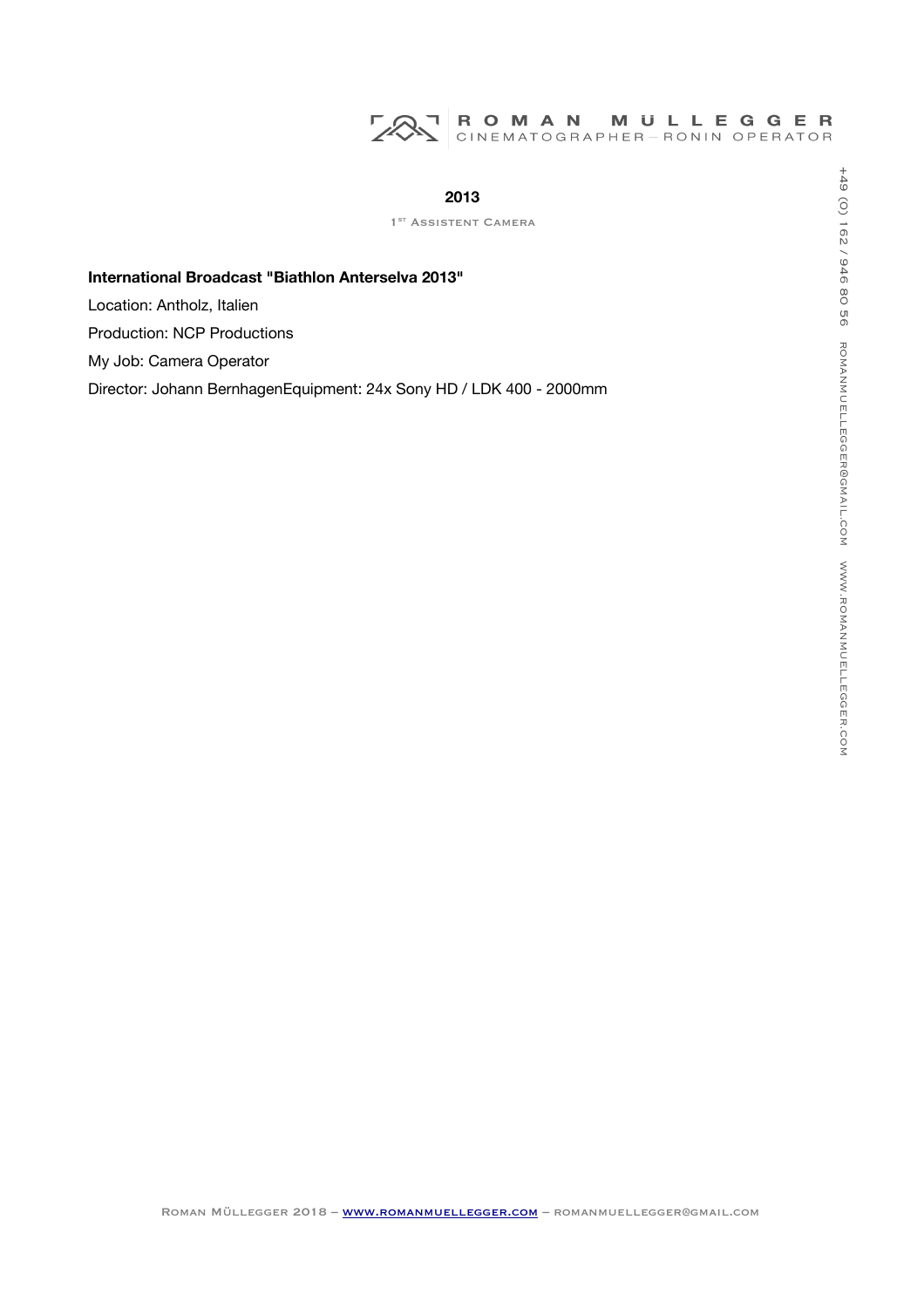# ROMAN MULLEGGER<br>CINEMATOGRAPHER-RONIN OPERATOR 725

# **2013**

1<sup>ST</sup> ASSISTENT CAMERA

# **International Broadcast "Biathlon Anterselva 2013"**

Location: Antholz, Italien

Production: NCP Productions

My Job: Camera Operator

Director: Johann BernhagenEquipment: 24x Sony HD / LDK 400 - 2000mm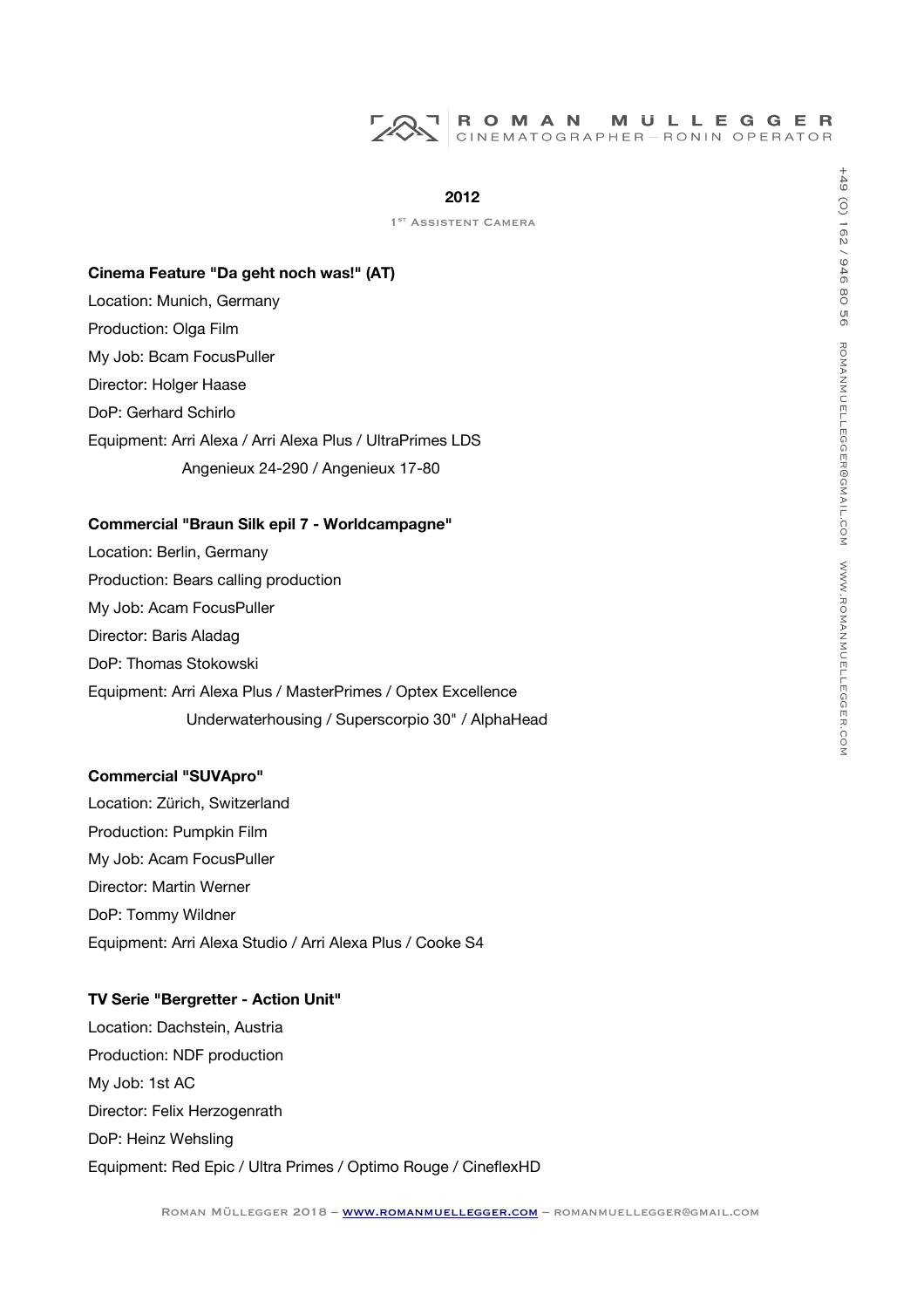## **2012**

1<sup>ST</sup> ASSISTENT CAMERA

# **Cinema Feature "Da geht noch was!" (AT)**

- Location: Munich, Germany
- Production: Olga Film
- My Job: Bcam FocusPuller Director: Holger Haase
- DoP: Gerhard Schirlo
- Equipment: Arri Alexa / Arri Alexa Plus / UltraPrimes LDS Angenieux 24-290 / Angenieux 17-80

#### **Commercial "Braun Silk epil 7 - Worldcampagne"**

Location: Berlin, Germany Production: Bears calling production My Job: Acam FocusPuller Director: Baris Aladag DoP: Thomas Stokowski Equipment: Arri Alexa Plus / MasterPrimes / Optex Excellence Underwaterhousing / Superscorpio 30" / AlphaHead

#### **Commercial "SUVApro"**

Location: Zürich, Switzerland Production: Pumpkin Film My Job: Acam FocusPuller Director: Martin Werner DoP: Tommy Wildner Equipment: Arri Alexa Studio / Arri Alexa Plus / Cooke S4

# **TV Serie "Bergretter - Action Unit"**

Location: Dachstein, Austria Production: NDF production My Job: 1st AC Director: Felix Herzogenrath DoP: Heinz Wehsling Equipment: Red Epic / Ultra Primes / Optimo Rouge / CinefexHD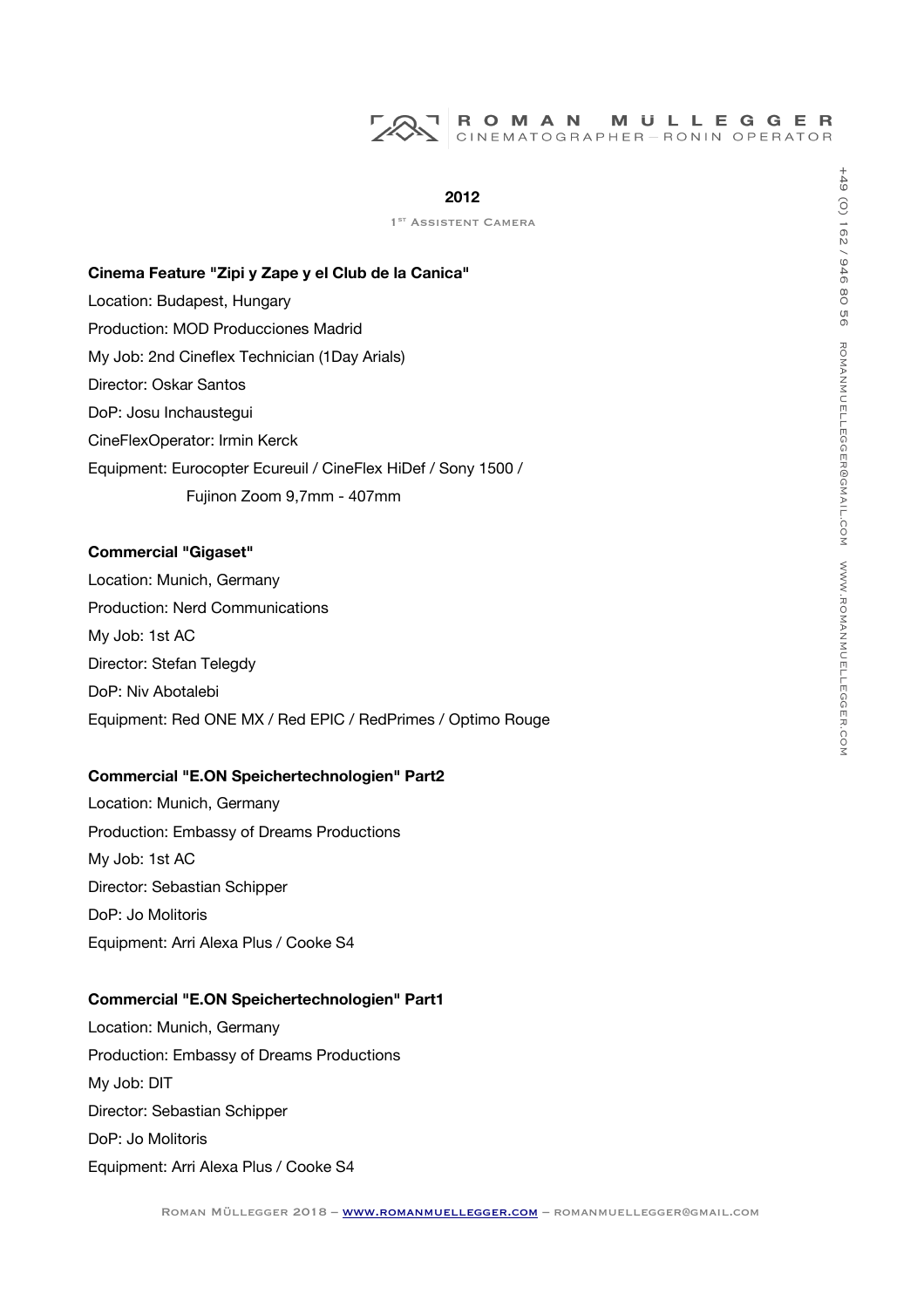## **2012**

1<sup>ST</sup> ASSISTENT CAMERA

# **Cinema Feature "Zipi y Zape y el Club de la Canica"**

Location: Budapest, Hungary

Production: MOD Producciones Madrid

My Job: 2nd Cineflex Technician (1Day Arials)

- Director: Oskar Santos
- DoP: Josu Inchaustegui

CineFlexOperator: Irmin Kerck

Equipment: Eurocopter Ecureuil / CineFlex HiDef / Sony 1500 /

Fujinon Zoom 9,7mm - 407mm

# **Commercial "Gigaset"**

Location: Munich, Germany Production: Nerd Communications My Job: 1st AC Director: Stefan Telegdy DoP: Niv Abotalebi Equipment: Red ONE MX / Red EPIC / RedPrimes / Optimo Rouge

# **Commercial "E.ON Speichertechnologien" Part2**

Location: Munich, Germany Production: Embassy of Dreams Productions My Job: 1st AC Director: Sebastian Schipper DoP: Jo Molitoris Equipment: Arri Alexa Plus / Cooke S4

# **Commercial "E.ON Speichertechnologien" Part1**

Location: Munich, Germany Production: Embassy of Dreams Productions My Job: DIT Director: Sebastian Schipper DoP: Jo Molitoris Equipment: Arri Alexa Plus / Cooke S4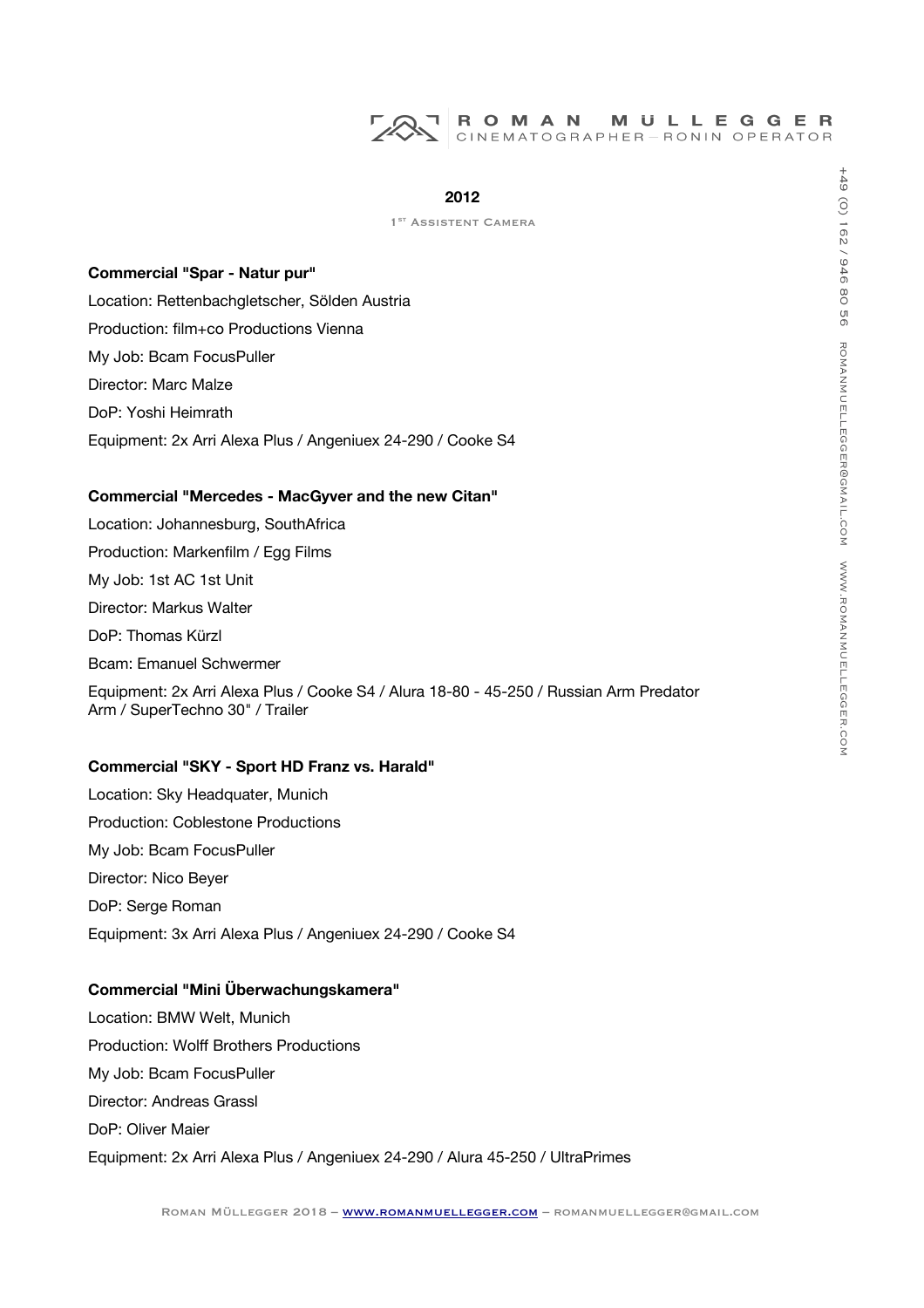## **2012**

1<sup>ST</sup> ASSISTENT CAMERA

## **Commercial "Spar - Natur pur"**

Location: Rettenbachgletscher, Sölden Austria Production: film+co Productions Vienna My Job: Bcam FocusPuller Director: Marc Malze DoP: Yoshi Heimrath Equipment: 2x Arri Alexa Plus / Angeniuex 24-290 / Cooke S4

#### **Commercial "Mercedes - MacGyver and the new Citan"**

Location: Johannesburg, SouthAfrica Production: Markenflm / Egg Films My Job: 1st AC 1st Unit Director: Markus Walter DoP: Thomas Kürzl Bcam: Emanuel Schwermer Equipment: 2x Arri Alexa Plus / Cooke S4 / Alura 18-80 - 45-250 / Russian Arm Predator Arm / SuperTechno 30" / Trailer

#### **Commercial "SKY - Sport HD Franz vs. Harald"**

Location: Sky Headquater, Munich Production: Coblestone Productions My Job: Bcam FocusPuller Director: Nico Beyer DoP: Serge Roman Equipment: 3x Arri Alexa Plus / Angeniuex 24-290 / Cooke S4

#### **Commercial "Mini Überwachungskamera"**

Location: BMW Welt, Munich Production: Wolf Brothers Productions My Job: Bcam FocusPuller Director: Andreas Grassl DoP: Oliver Maier Equipment: 2x Arri Alexa Plus / Angeniuex 24-290 / Alura 45-250 / UltraPrimes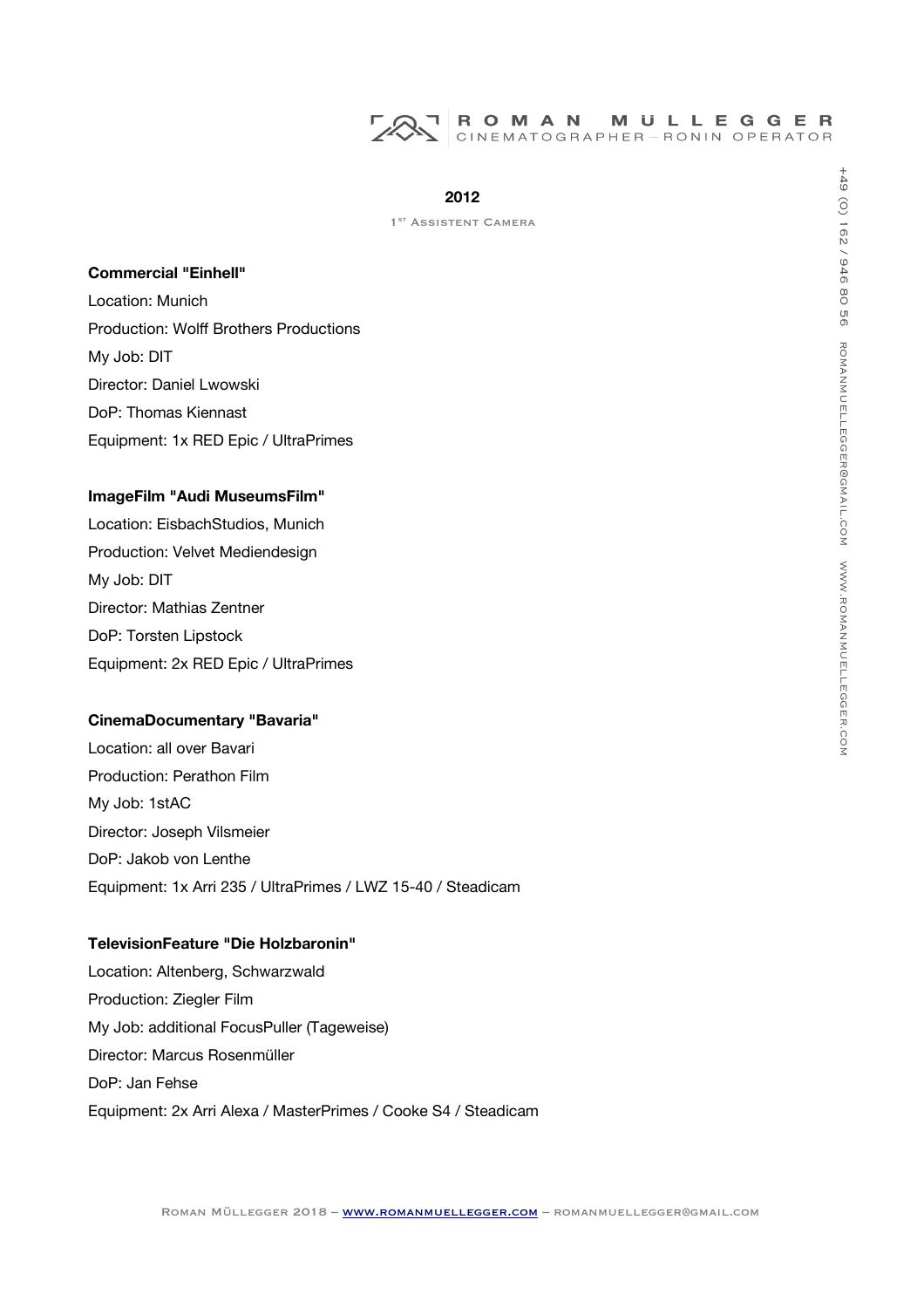

1<sup>ST</sup> ASSISTENT CAMERA

#### **Commercial "Einhell"**

Location: Munich Production: Wolf Brothers Productions My Job: DIT Director: Daniel Lwowski DoP: Thomas Kiennast Equipment: 1x RED Epic / UltraPrimes

#### **ImageFilm "Audi MuseumsFilm"**

Location: EisbachStudios, Munich Production: Velvet Mediendesign My Job: DIT Director: Mathias Zentner DoP: Torsten Lipstock Equipment: 2x RED Epic / UltraPrimes

#### **CinemaDocumentary "Bavaria"**

Location: all over Bavari Production: Perathon Film My Job: 1stAC Director: Joseph Vilsmeier DoP: Jakob von Lenthe Equipment: 1x Arri 235 / UltraPrimes / LWZ 15-40 / Steadicam

# **TelevisionFeature "Die Holzbaronin"**

Location: Altenberg, Schwarzwald Production: Ziegler Film My Job: additional FocusPuller (Tageweise) Director: Marcus Rosenmüller DoP: Jan Fehse Equipment: 2x Arri Alexa / MasterPrimes / Cooke S4 / Steadicam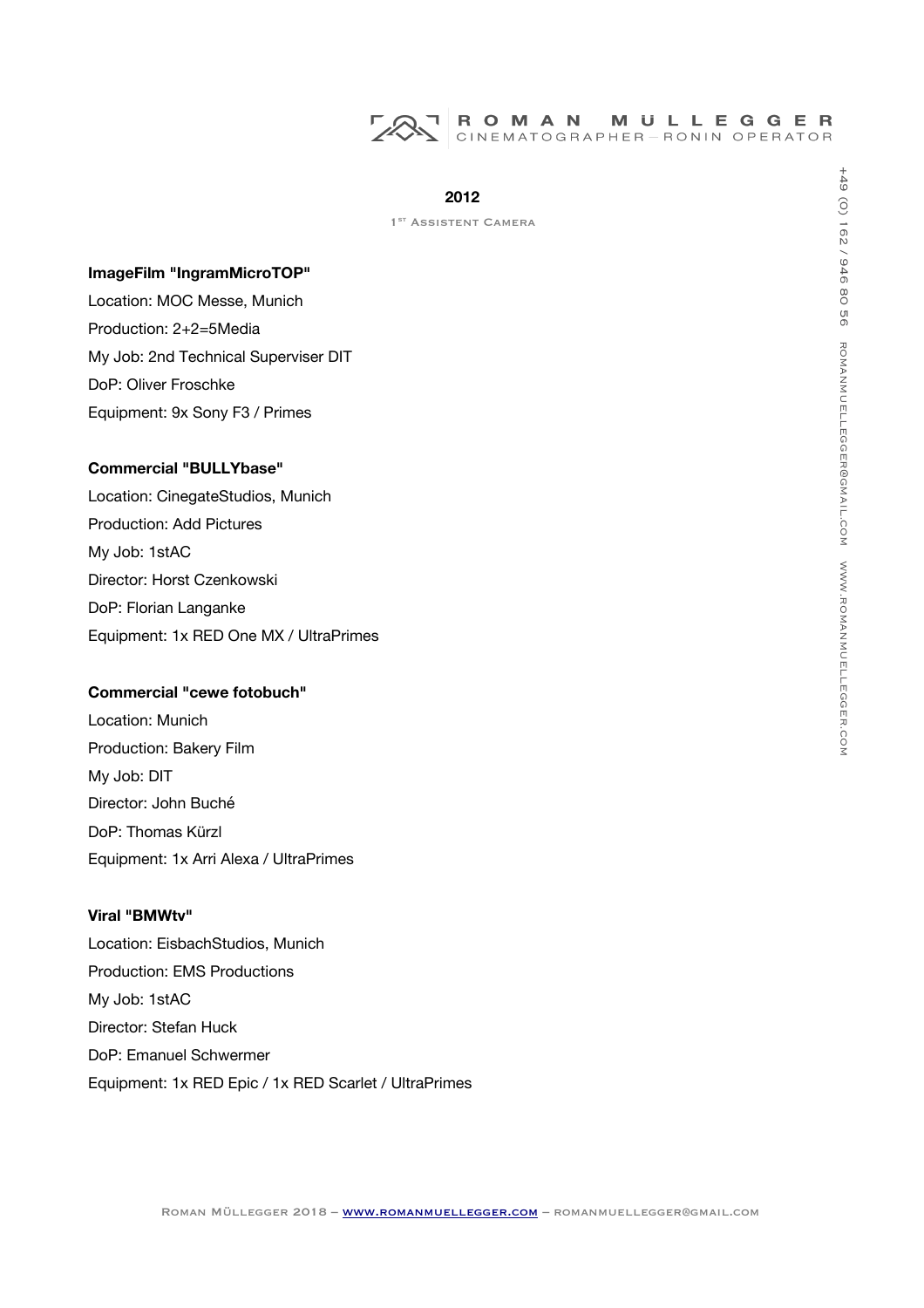

1<sup>ST</sup> ASSISTENT CAMERA

#### **ImageFilm "IngramMicroTOP"**

Location: MOC Messe, Munich Production: 2+2=5Media My Job: 2nd Technical Superviser DIT DoP: Oliver Froschke Equipment: 9x Sony F3 / Primes

## **Commercial "BULLYbase"**

Location: CinegateStudios, Munich Production: Add Pictures My Job: 1stAC Director: Horst Czenkowski DoP: Florian Langanke Equipment: 1x RED One MX / UltraPrimes

# **Commercial "cewe fotobuch"**

Location: Munich Production: Bakery Film My Job: DIT Director: John Buché DoP: Thomas Kürzl Equipment: 1x Arri Alexa / UltraPrimes

#### **Viral "BMWtv"**

Location: EisbachStudios, Munich Production: EMS Productions My Job: 1stAC Director: Stefan Huck DoP: Emanuel Schwermer Equipment: 1x RED Epic / 1x RED Scarlet / UltraPrimes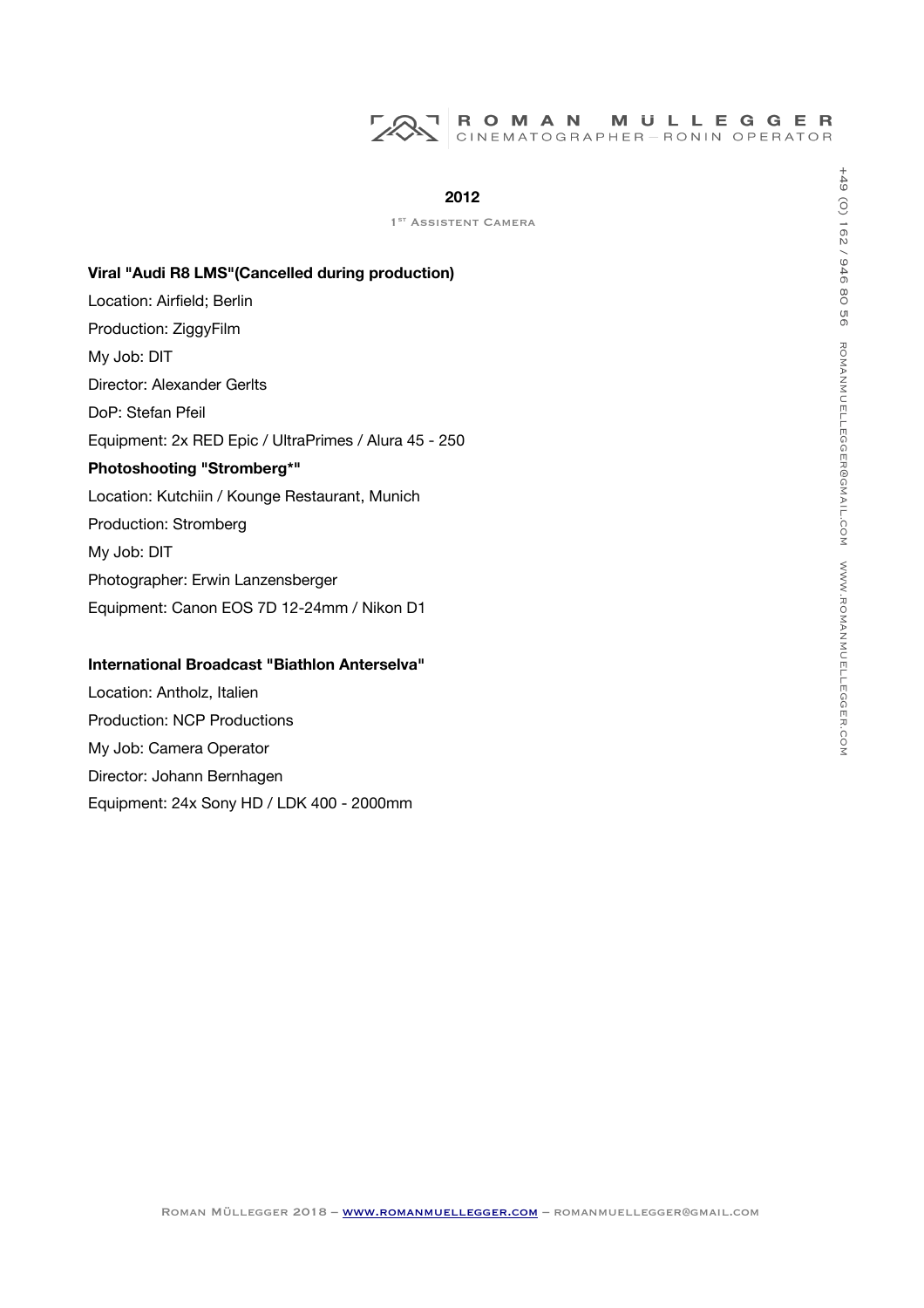#### ROMAN **MULLEGGER** ┑ CINEMATOGRAPHER-RONIN OPERATOR

## **2012**

1<sup>ST</sup> ASSISTENT CAMERA

#### **Viral "Audi R8 LMS"(Cancelled during production)**

Location: Airfield; Berlin Production: ZiggyFilm My Job: DIT Director: Alexander Gerlts DoP: Stefan Pfeil Equipment: 2x RED Epic / UltraPrimes / Alura 45 - 250 **Photoshooting "Stromberg\*"** Location: Kutchiin / Kounge Restaurant, Munich Production: Stromberg My Job: DIT Photographer: Erwin Lanzensberger Equipment: Canon EOS 7D 12-24mm / Nikon D1

#### **International Broadcast "Biathlon Anterselva"**

Location: Antholz, Italien Production: NCP Productions My Job: Camera Operator Director: Johann Bernhagen Equipment: 24x Sony HD / LDK 400 - 2000mm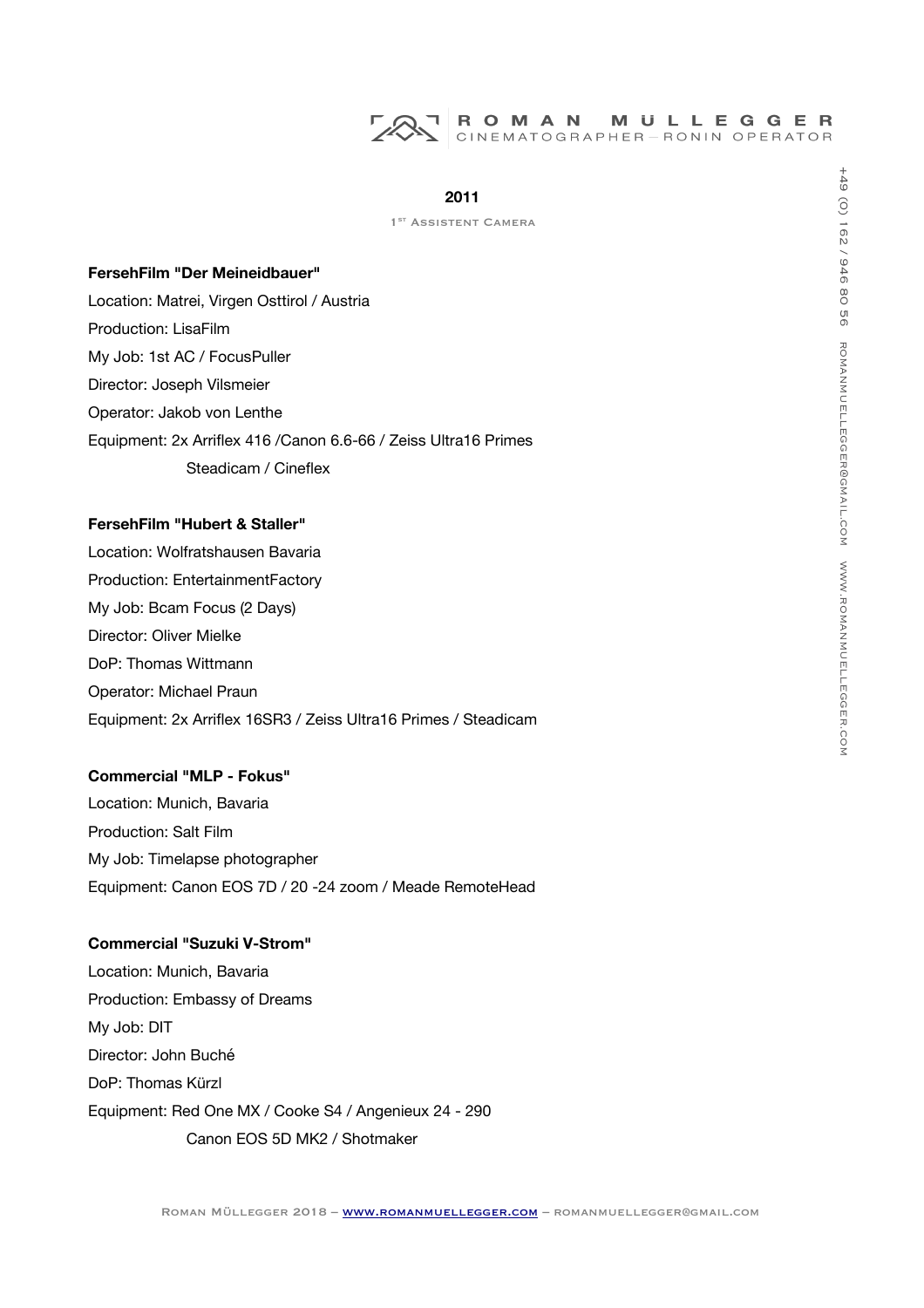# ROMAN MULLEGGER<br>CINEMATOGRAPHER-RONIN OPERATOR

# **2011**

1<sup>ST</sup> ASSISTENT CAMERA

# **FersehFilm "Der Meineidbauer"**

Location: Matrei, Virgen Osttirol / Austria Production: LisaFilm My Job: 1st AC / FocusPuller Director: Joseph Vilsmeier Operator: Jakob von Lenthe Equipment: 2x Arrifex 416 /Canon 6.6-66 / Zeiss Ultra16 Primes Steadicam / Cineflex

#### **FersehFilm "Hubert & Staller"**

Location: Wolfratshausen Bavaria Production: EntertainmentFactory My Job: Bcam Focus (2 Days) Director: Oliver Mielke DoP: Thomas Wittmann Operator: Michael Praun Equipment: 2x Arrifex 16SR3 / Zeiss Ultra16 Primes / Steadicam

# **Commercial "MLP - Fokus"**

Location: Munich, Bavaria Production: Salt Film My Job: Timelapse photographer Equipment: Canon EOS 7D / 20 -24 zoom / Meade RemoteHead

# **Commercial "Suzuki V-Strom"**

Location: Munich, Bavaria Production: Embassy of Dreams My Job: DIT Director: John Buché DoP: Thomas Kürzl Equipment: Red One MX / Cooke S4 / Angenieux 24 - 290 Canon EOS 5D MK2 / Shotmaker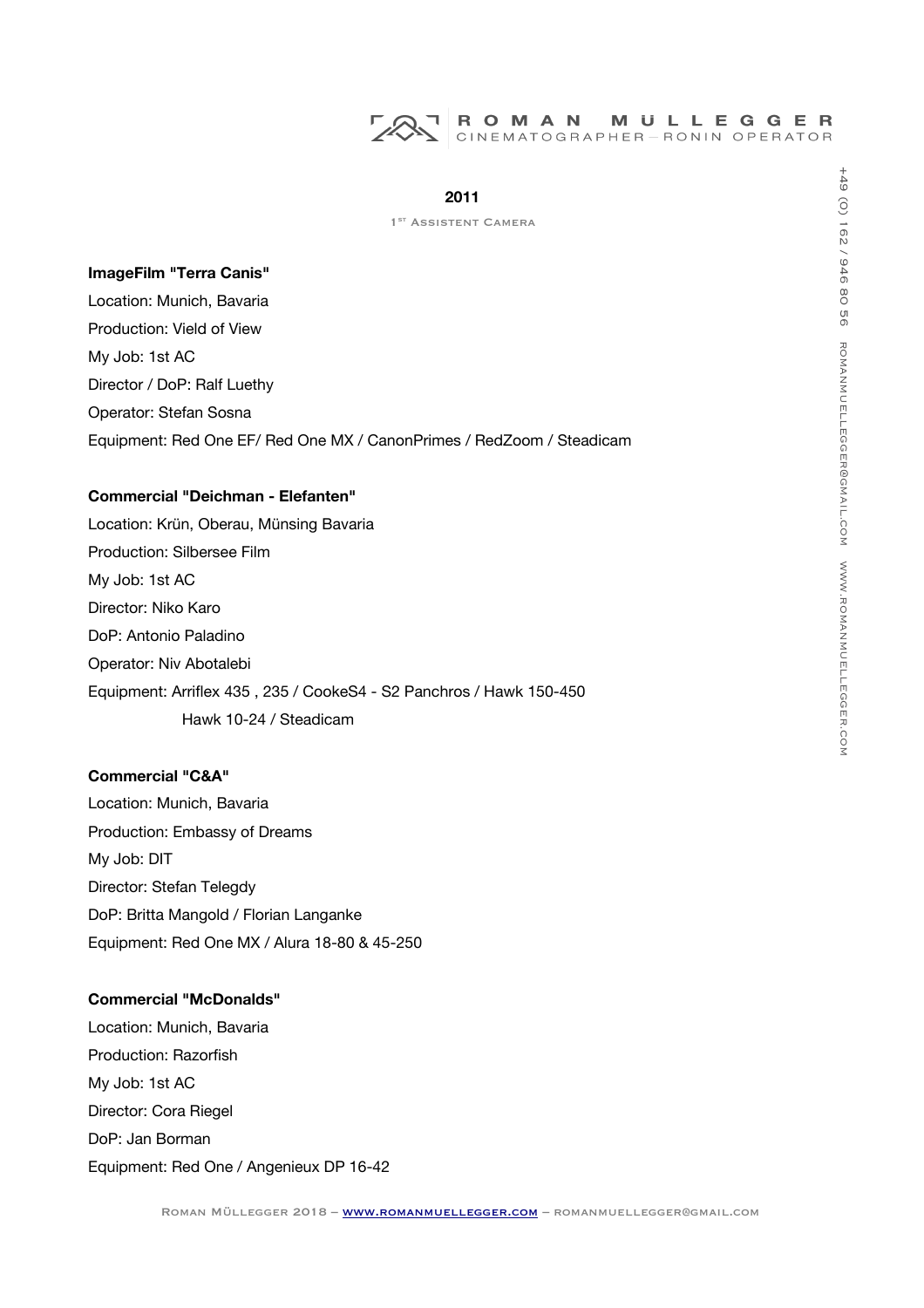

1<sup>ST</sup> ASSISTENT CAMERA

## **ImageFilm "Terra Canis"**

Location: Munich, Bavaria Production: Vield of View My Job: 1st AC Director / DoP: Ralf Luethy Operator: Stefan Sosna Equipment: Red One EF/ Red One MX / CanonPrimes / RedZoom / Steadicam

# **Commercial "Deichman - Elefanten"**

Location: Krün, Oberau, Münsing Bavaria Production: Silbersee Film My Job: 1st AC Director: Niko Karo DoP: Antonio Paladino Operator: Niv Abotalebi Equipment: Arrifex 435 , 235 / CookeS4 - S2 Panchros / Hawk 150-450 Hawk 10-24 / Steadicam

# **Commercial "C&A"**

Location: Munich, Bavaria Production: Embassy of Dreams My Job: DIT Director: Stefan Telegdy DoP: Britta Mangold / Florian Langanke Equipment: Red One MX / Alura 18-80 & 45-250

#### **Commercial "McDonalds"**

Location: Munich, Bavaria Production: Razorfish My Job: 1st AC Director: Cora Riegel DoP: Jan Borman Equipment: Red One / Angenieux DP 16-42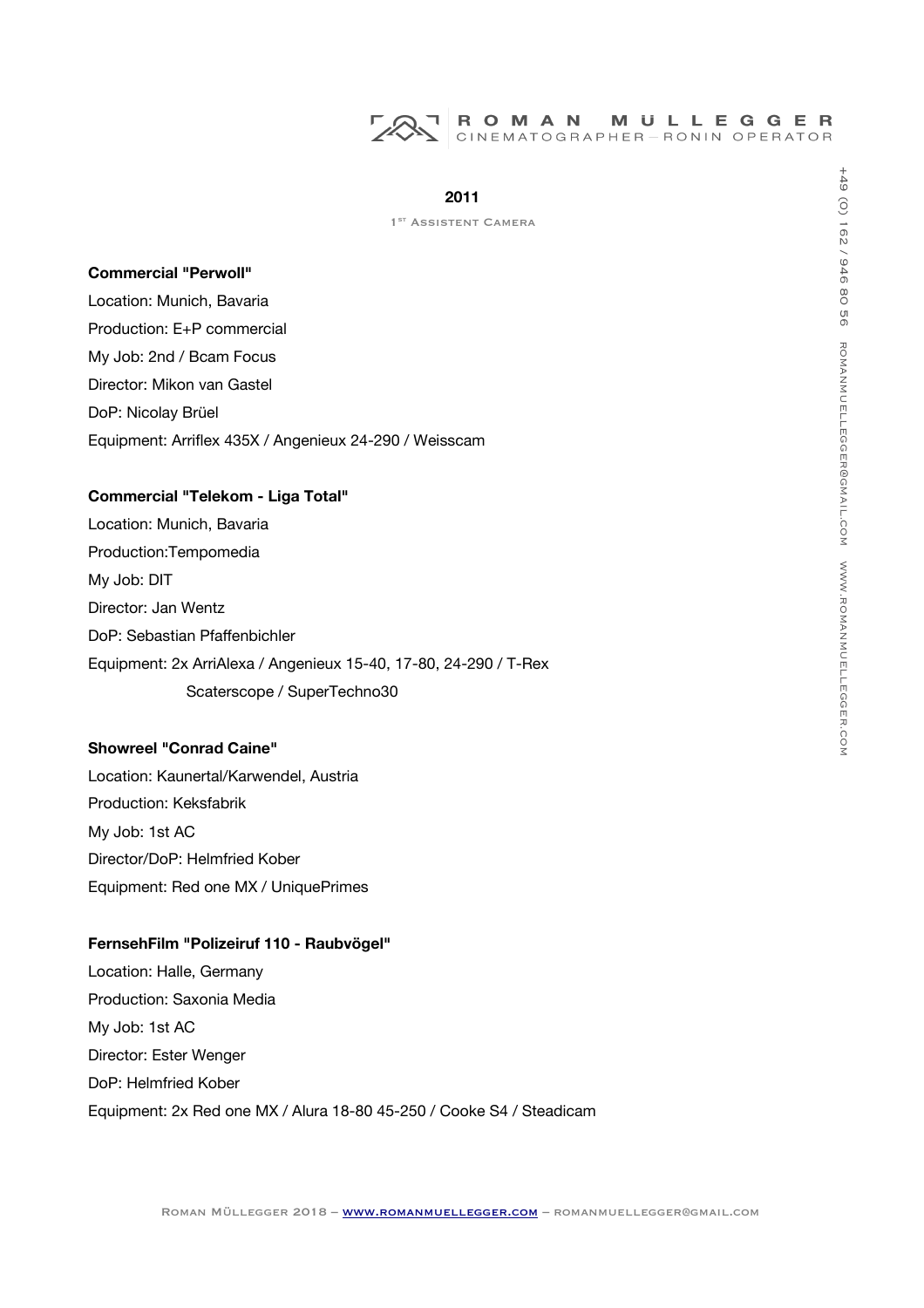

1<sup>ST</sup> ASSISTENT CAMERA

#### **Commercial "Perwoll"**

Location: Munich, Bavaria Production: E+P commercial My Job: 2nd / Bcam Focus Director: Mikon van Gastel DoP: Nicolay Brüel Equipment: Arrifex 435X / Angenieux 24-290 / Weisscam

## **Commercial "Telekom - Liga Total"**

Location: Munich, Bavaria Production:Tempomedia My Job: DIT Director: Jan Wentz DoP: Sebastian Pfafenbichler Equipment: 2x ArriAlexa / Angenieux 15-40, 17-80, 24-290 / T-Rex Scaterscope / SuperTechno30

#### **Showreel "Conrad Caine"**

Location: Kaunertal/Karwendel, Austria Production: Keksfabrik My Job: 1st AC Director/DoP: Helmfried Kober Equipment: Red one MX / UniquePrimes

# **FernsehFilm "Polizeiruf 110 - Raubvögel"**

Location: Halle, Germany Production: Saxonia Media My Job: 1st AC Director: Ester Wenger DoP: Helmfried Kober Equipment: 2x Red one MX / Alura 18-80 45-250 / Cooke S4 / Steadicam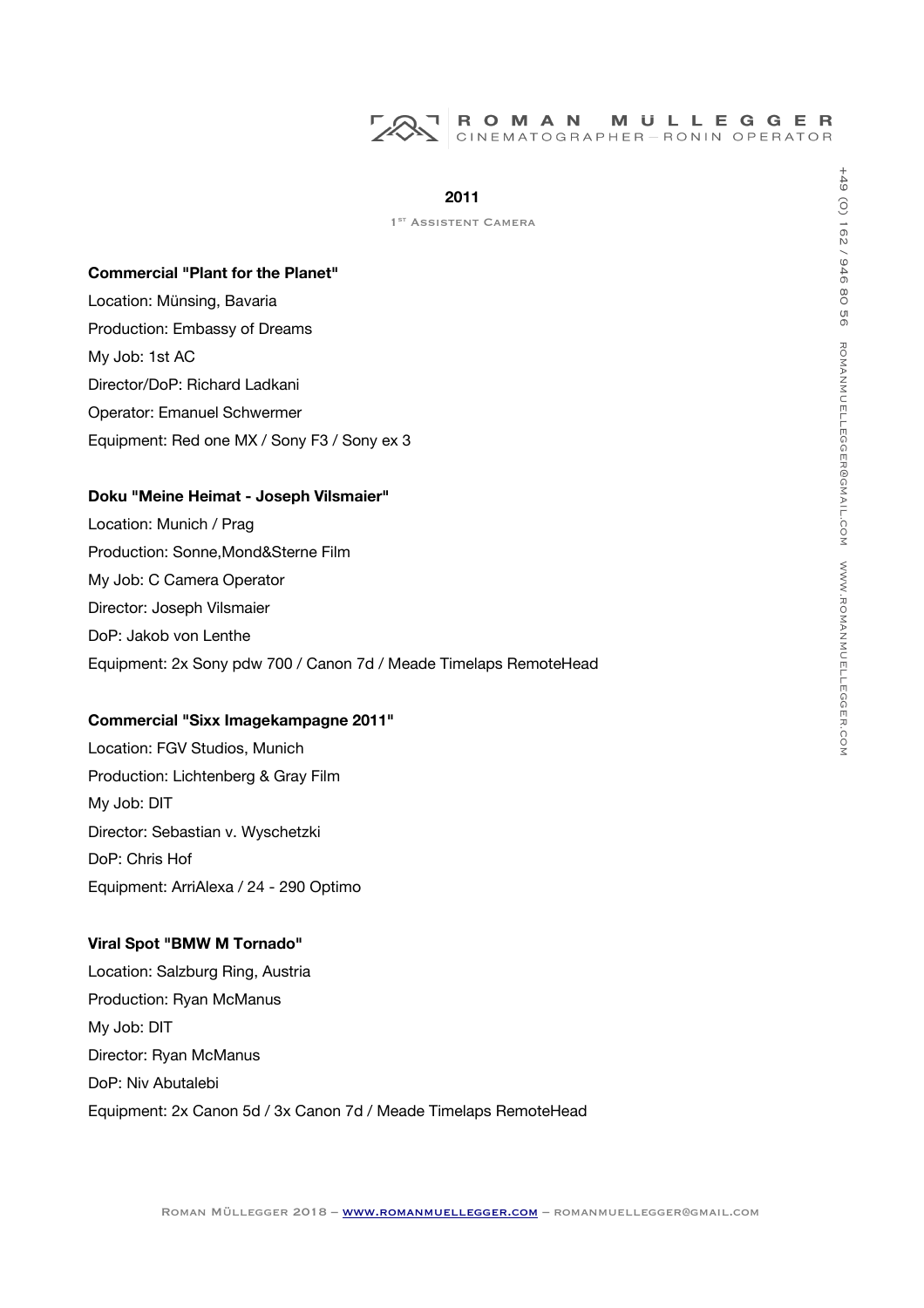

1<sup>ST</sup> ASSISTENT CAMERA

#### **Commercial "Plant for the Planet"**

Location: Münsing, Bavaria Production: Embassy of Dreams My Job: 1st AC Director/DoP: Richard Ladkani Operator: Emanuel Schwermer Equipment: Red one MX / Sony F3 / Sony ex 3

#### **Doku "Meine Heimat - Joseph Vilsmaier"**

Location: Munich / Prag Production: Sonne,Mond&Sterne Film My Job: C Camera Operator Director: Joseph Vilsmaier DoP: Jakob von Lenthe Equipment: 2x Sony pdw 700 / Canon 7d / Meade Timelaps RemoteHead

#### **Commercial "Sixx Imagekampagne 2011"**

Location: FGV Studios, Munich Production: Lichtenberg & Gray Film My Job: DIT Director: Sebastian v. Wyschetzki DoP: Chris Hof Equipment: ArriAlexa / 24 - 290 Optimo

## **Viral Spot "BMW M Tornado"**

Location: Salzburg Ring, Austria Production: Ryan McManus My Job: DIT Director: Ryan McManus DoP: Niv Abutalebi Equipment: 2x Canon 5d / 3x Canon 7d / Meade Timelaps RemoteHead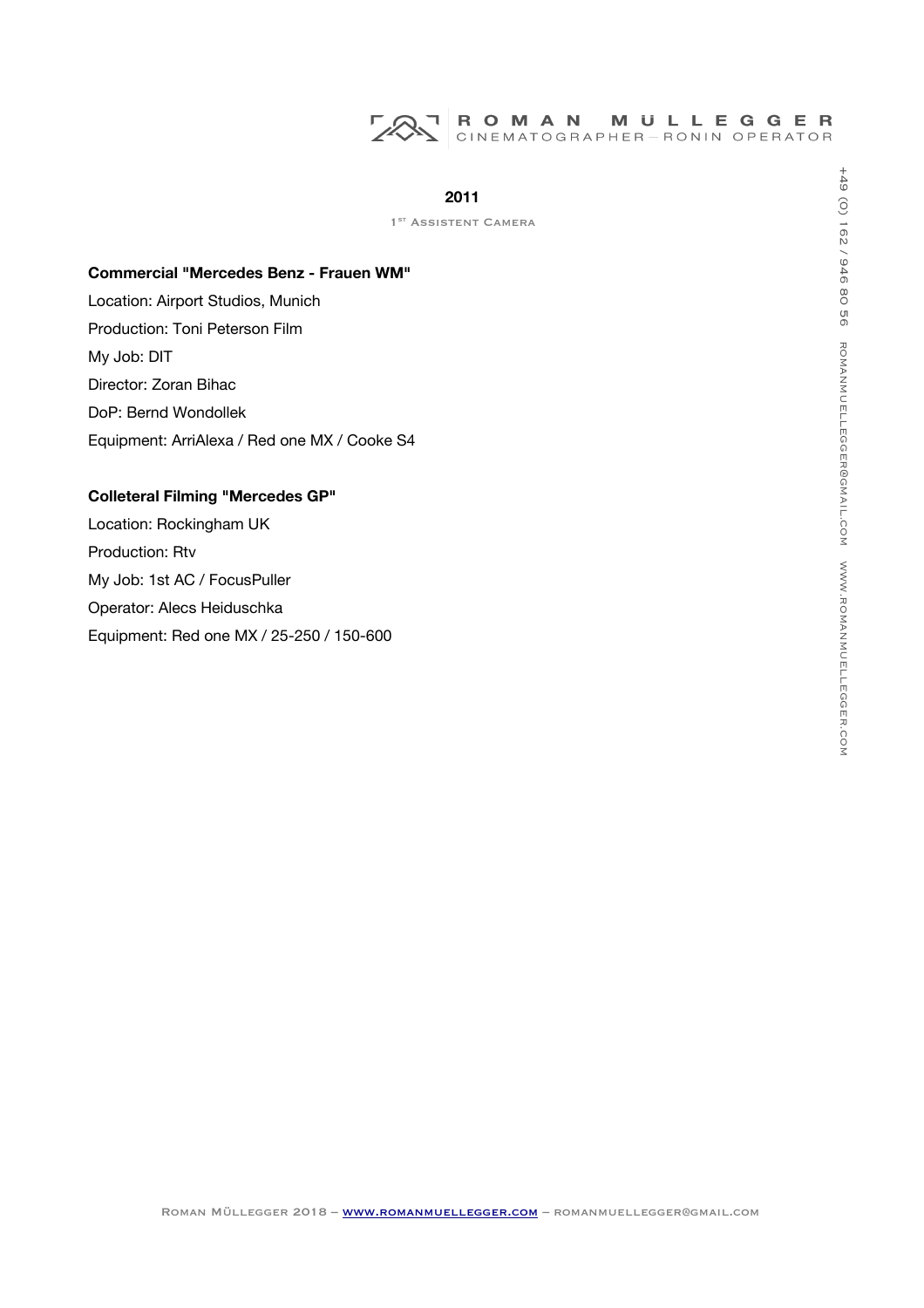

1<sup>ST</sup> ASSISTENT CAMERA

#### **Commercial "Mercedes Benz - Frauen WM"**

Location: Airport Studios, Munich Production: Toni Peterson Film My Job: DIT Director: Zoran Bihac DoP: Bernd Wondollek Equipment: ArriAlexa / Red one MX / Cooke S4

# **Colleteral Filming "Mercedes GP"**

Location: Rockingham UK Production: Rtv My Job: 1st AC / FocusPuller Operator: Alecs Heiduschka Equipment: Red one MX / 25-250 / 150-600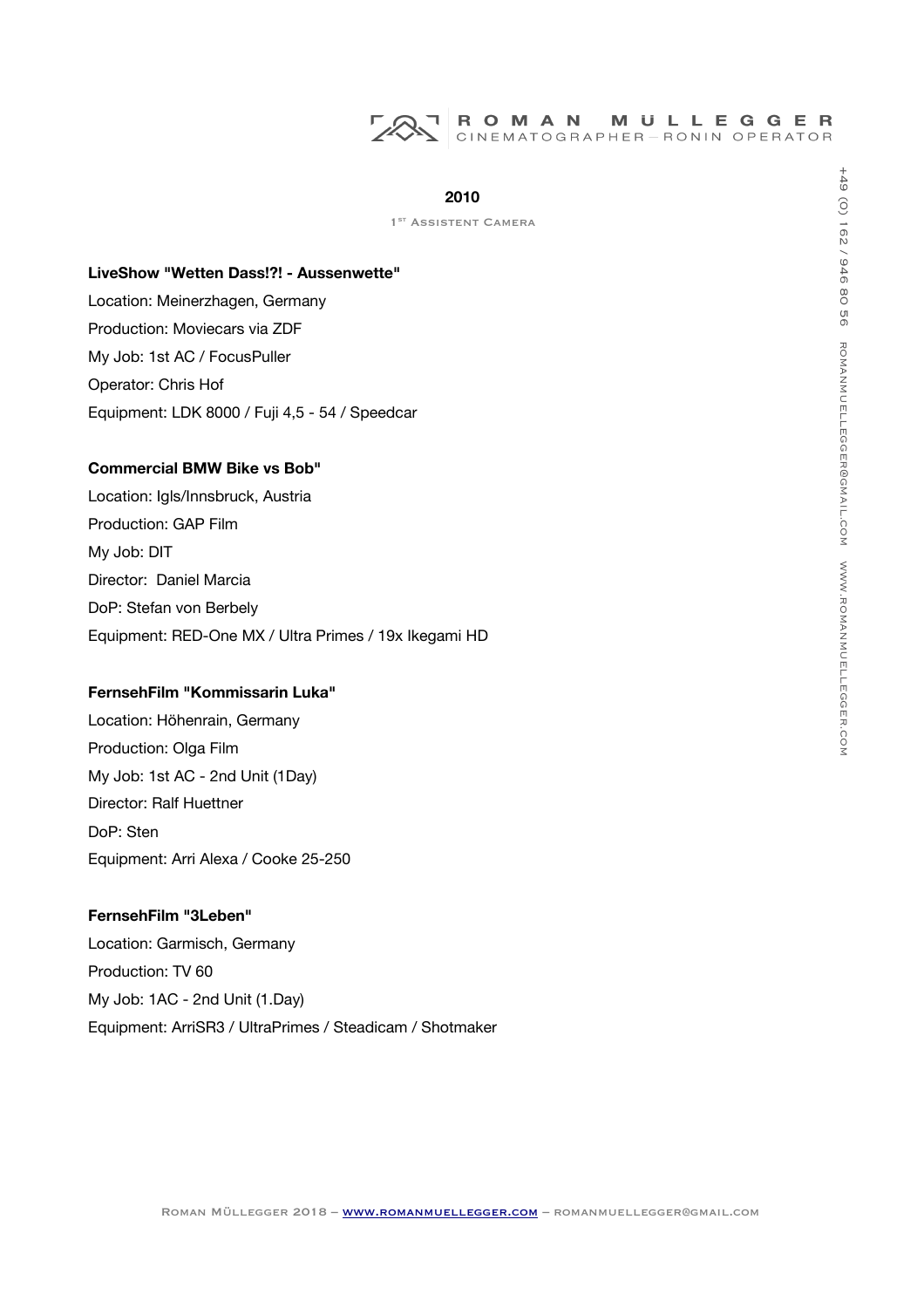# ROMAN MULLEGGER<br>CINEMATOGRAPHER-RONIN OPERATOR

## **2010**

1<sup>ST</sup> ASSISTENT CAMERA

#### **LiveShow "Wetten Dass!?! - Aussenwette"**

Location: Meinerzhagen, Germany Production: Moviecars via ZDF My Job: 1st AC / FocusPuller Operator: Chris Hof Equipment: LDK 8000 / Fuji 4,5 - 54 / Speedcar

# **Commercial BMW Bike vs Bob"**

Location: Igls/Innsbruck, Austria Production: GAP Film My Job: DIT Director: Daniel Marcia DoP: Stefan von Berbely Equipment: RED-One MX / Ultra Primes / 19x Ikegami HD

# **FernsehFilm "Kommissarin Luka"**

Location: Höhenrain, Germany Production: Olga Film My Job: 1st AC - 2nd Unit (1Day) Director: Ralf Huettner DoP: Sten Equipment: Arri Alexa / Cooke 25-250

# **FernsehFilm "3Leben"**

Location: Garmisch, Germany Production: TV 60 My Job: 1AC - 2nd Unit (1.Day) Equipment: ArriSR3 / UltraPrimes / Steadicam / Shotmaker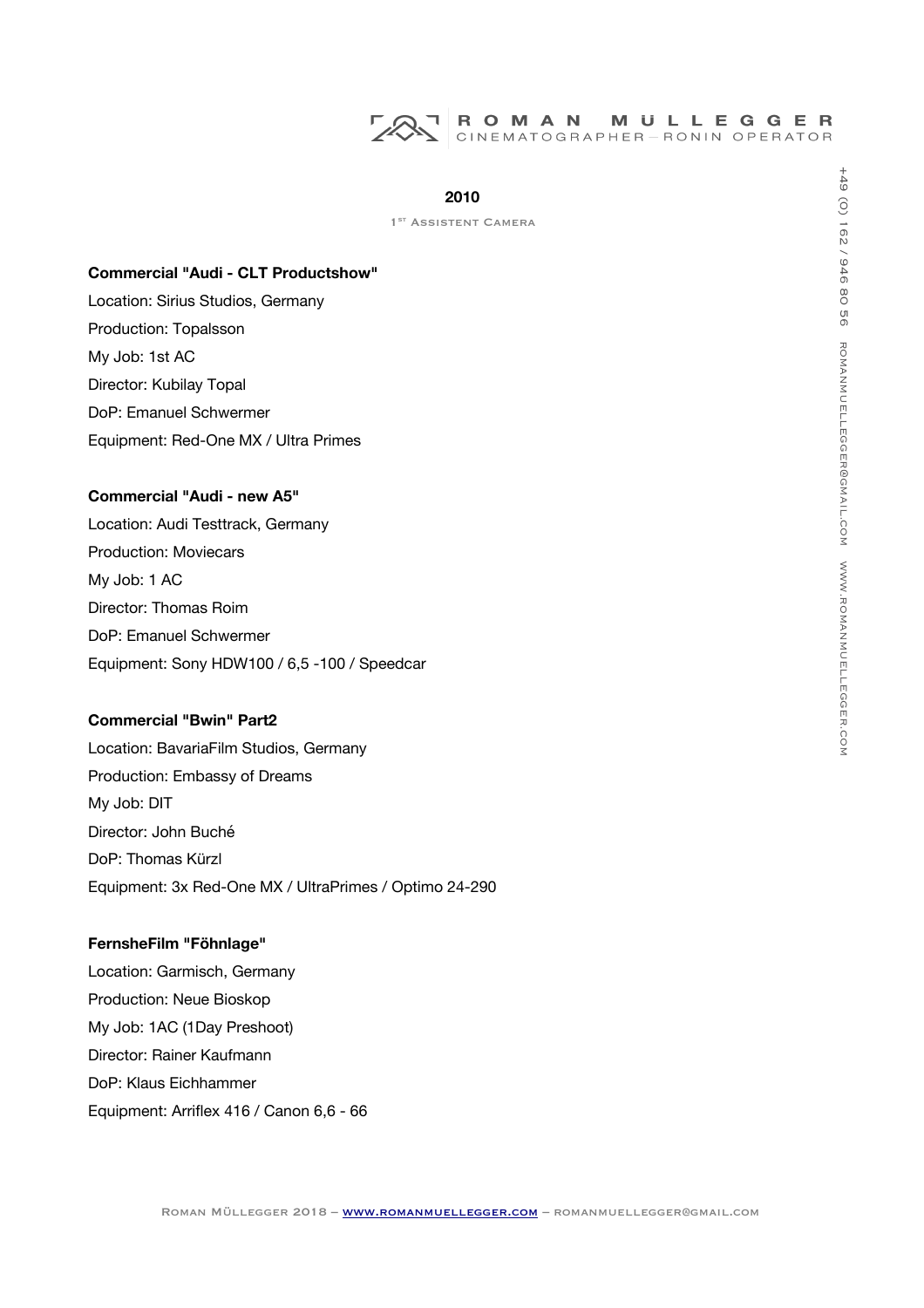# **2010**

1<sup>ST</sup> ASSISTENT CAMERA

#### **Commercial "Audi - CLT Productshow"**

Location: Sirius Studios, Germany Production: Topalsson My Job: 1st AC Director: Kubilay Topal DoP: Emanuel Schwermer Equipment: Red-One MX / Ultra Primes

# **Commercial "Audi - new A5"**

Location: Audi Testtrack, Germany Production: Moviecars My Job: 1 AC Director: Thomas Roim DoP: Emanuel Schwermer Equipment: Sony HDW100 / 6,5 -100 / Speedcar

#### **Commercial "Bwin" Part2**

Location: BavariaFilm Studios, Germany Production: Embassy of Dreams My Job: DIT Director: John Buché DoP: Thomas Kürzl Equipment: 3x Red-One MX / UltraPrimes / Optimo 24-290

# **FernsheFilm "Föhnlage"**

Location: Garmisch, Germany Production: Neue Bioskop My Job: 1AC (1Day Preshoot) Director: Rainer Kaufmann DoP: Klaus Eichhammer Equipment: Arrifex 416 / Canon 6,6 - 66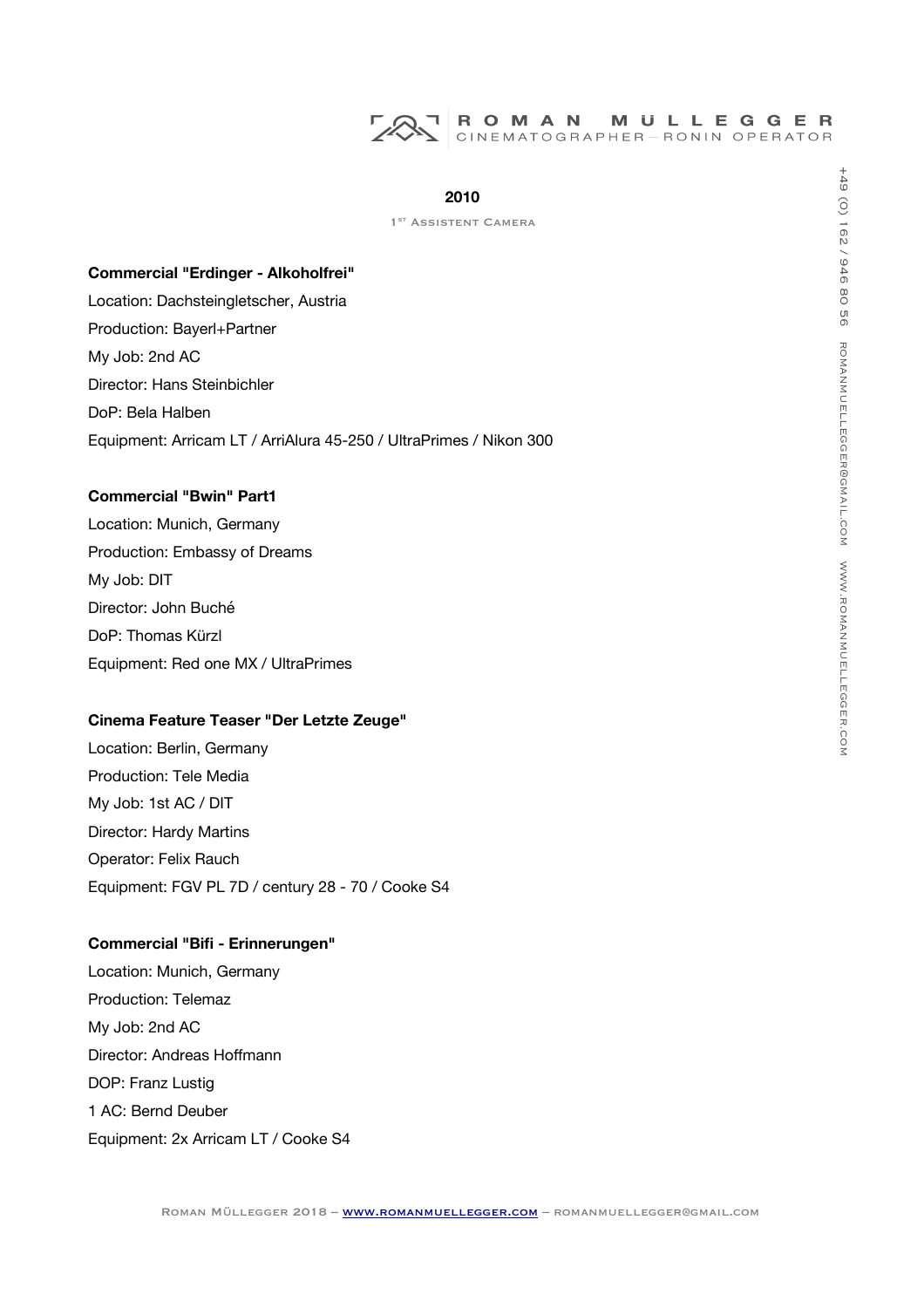## **2010**

1<sup>ST</sup> ASSISTENT CAMERA

#### **Commercial "Erdinger - Alkoholfrei"**

Location: Dachsteingletscher, Austria Production: Bayerl+Partner My Job: 2nd AC Director: Hans Steinbichler DoP: Bela Halben Equipment: Arricam LT / ArriAlura 45-250 / UltraPrimes / Nikon 300

# **Commercial "Bwin" Part1**

Location: Munich, Germany Production: Embassy of Dreams My Job: DIT Director: John Buché DoP: Thomas Kürzl Equipment: Red one MX / UltraPrimes

#### **Cinema Feature Teaser "Der Letzte Zeuge"**

Location: Berlin, Germany Production: Tele Media My Job: 1st AC / DIT Director: Hardy Martins Operator: Felix Rauch Equipment: FGV PL 7D / century 28 - 70 / Cooke S4

# **Commercial "Bifi - Erinnerungen"**

Location: Munich, Germany Production: Telemaz My Job: 2nd AC Director: Andreas Hofmann DOP: Franz Lustig 1 AC: Bernd Deuber Equipment: 2x Arricam LT / Cooke S4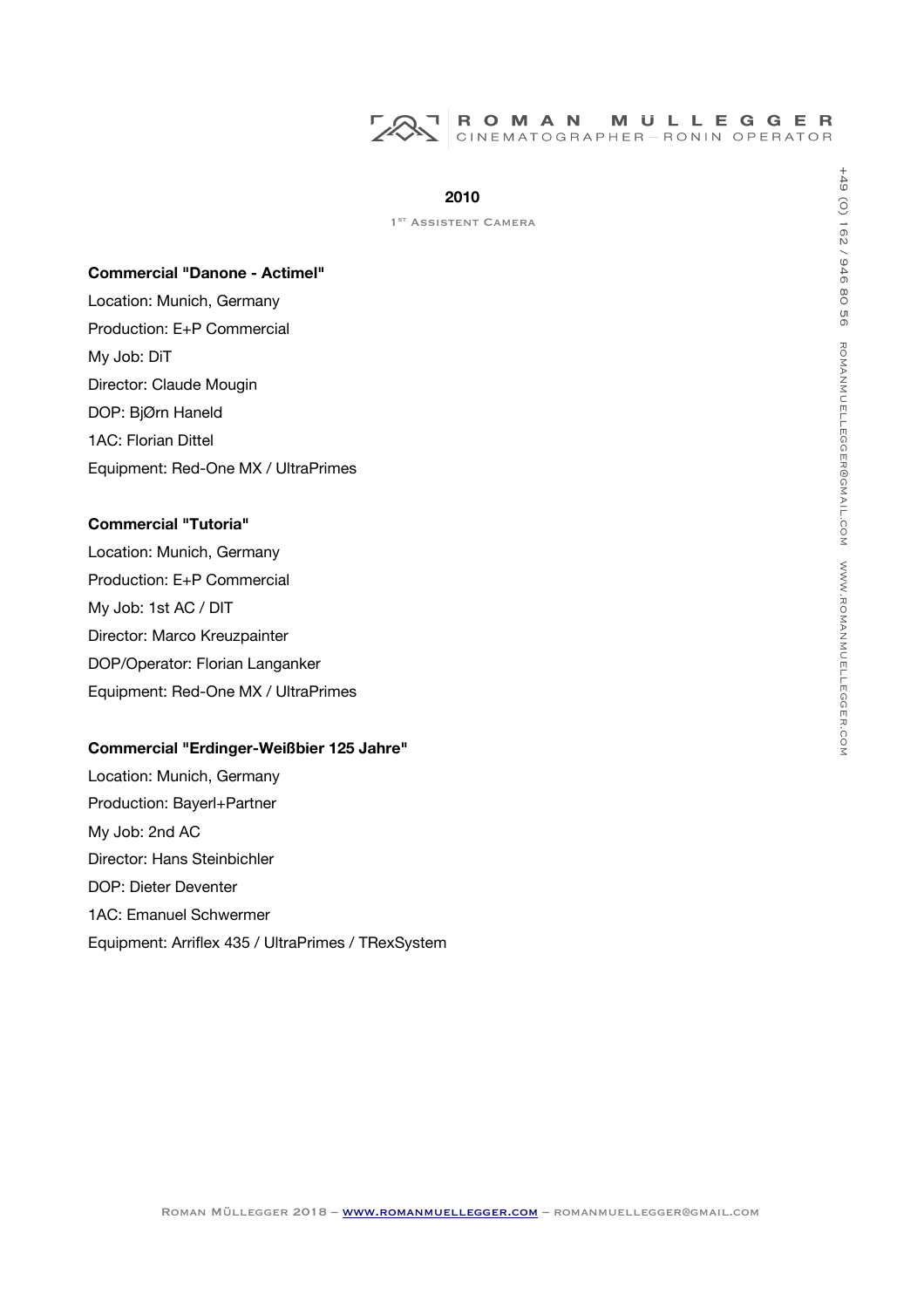

1<sup>ST</sup> ASSISTENT CAMERA

#### **Commercial "Danone - Actimel"**

Location: Munich, Germany Production: E+P Commercial My Job: DiT Director: Claude Mougin DOP: BjØrn Haneld 1AC: Florian Dittel Equipment: Red-One MX / UltraPrimes

#### **Commercial "Tutoria"**

Location: Munich, Germany Production: E+P Commercial My Job: 1st AC / DIT Director: Marco Kreuzpainter DOP/Operator: Florian Langanker Equipment: Red-One MX / UltraPrimes

#### **Commercial "Erdinger-Weißbier 125 Jahre"**

Location: Munich, Germany Production: Bayerl+Partner My Job: 2nd AC Director: Hans Steinbichler DOP: Dieter Deventer 1AC: Emanuel Schwermer Equipment: Arrifex 435 / UltraPrimes / TRexSystem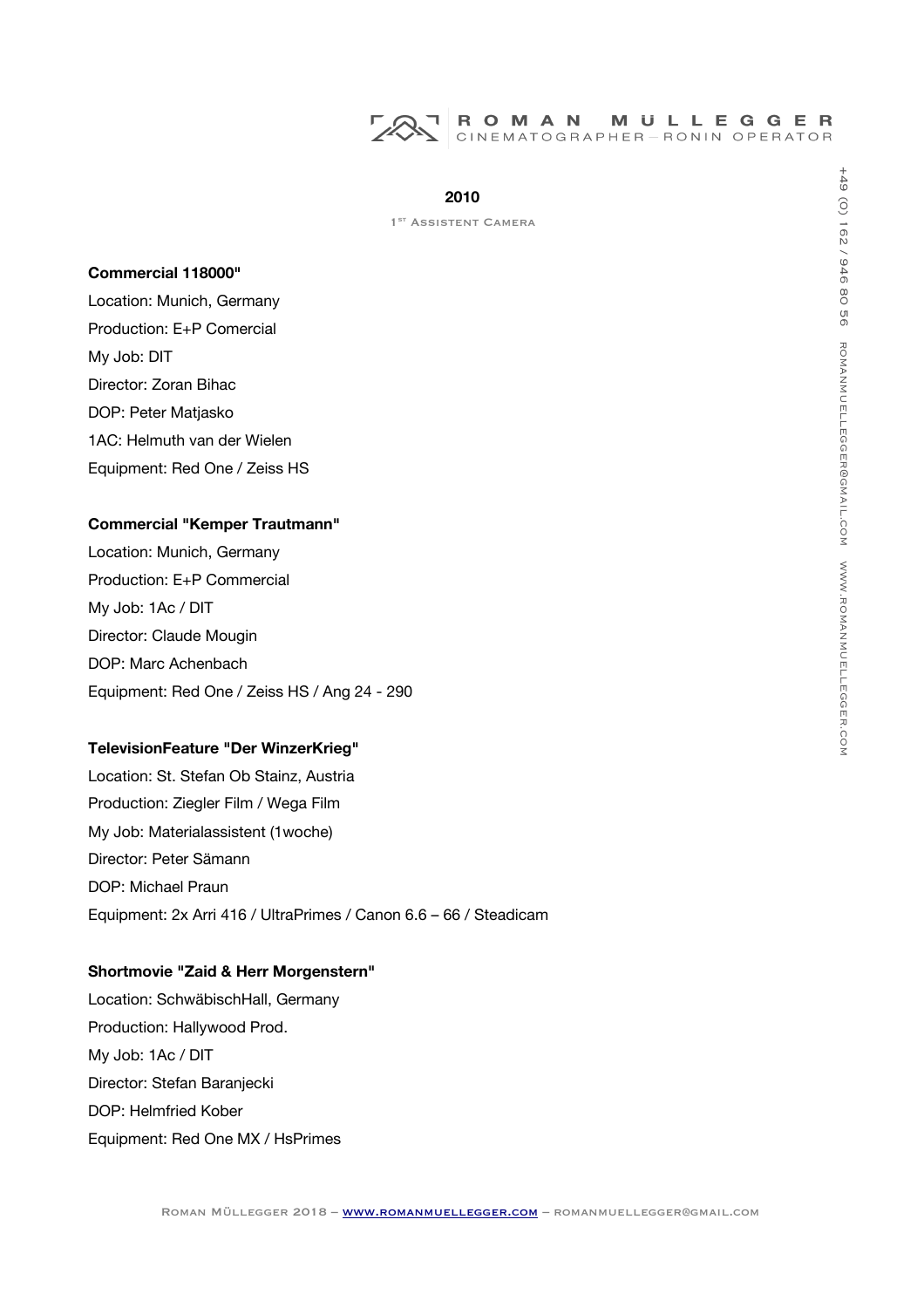

1<sup>ST</sup> ASSISTENT CAMERA

#### **Commercial 118000"**

Location: Munich, Germany Production: E+P Comercial My Job: DIT Director: Zoran Bihac DOP: Peter Matjasko 1AC: Helmuth van der Wielen Equipment: Red One / Zeiss HS

#### **Commercial "Kemper Trautmann"**

Location: Munich, Germany Production: E+P Commercial My Job: 1Ac / DIT Director: Claude Mougin DOP: Marc Achenbach Equipment: Red One / Zeiss HS / Ang 24 - 290

# **TelevisionFeature "Der WinzerKrieg"**

Location: St. Stefan Ob Stainz, Austria Production: Ziegler Film / Wega Film My Job: Materialassistent (1woche) Director: Peter Sämann DOP: Michael Praun Equipment: 2x Arri 416 / UltraPrimes / Canon 6.6 – 66 / Steadicam

#### **Shortmovie "Zaid & Herr Morgenstern"**

Location: SchwäbischHall, Germany Production: Hallywood Prod. My Job: 1Ac / DIT Director: Stefan Baranjecki DOP: Helmfried Kober Equipment: Red One MX / HsPrimes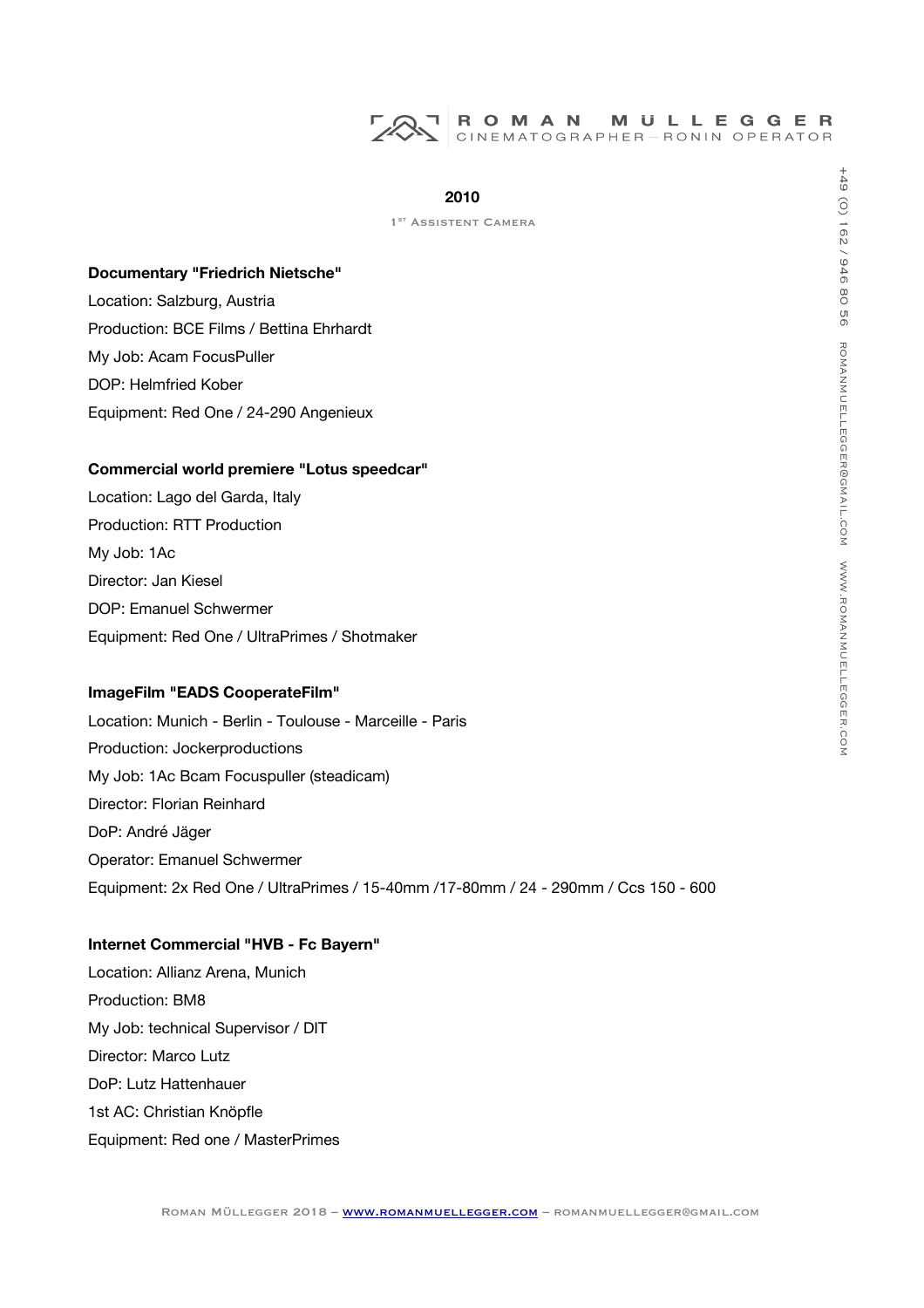## **2010**

1<sup>ST</sup> ASSISTENT CAMERA

#### **Documentary "Friedrich Nietsche"**

Location: Salzburg, Austria Production: BCE Films / Bettina Ehrhardt My Job: Acam FocusPuller DOP: Helmfried Kober Equipment: Red One / 24-290 Angenieux

#### **Commercial world premiere "Lotus speedcar"**

Location: Lago del Garda, Italy Production: RTT Production My Job: 1Ac Director: Jan Kiesel DOP: Emanuel Schwermer Equipment: Red One / UltraPrimes / Shotmaker

## **ImageFilm "EADS CooperateFilm"**

Location: Munich - Berlin - Toulouse - Marceille - Paris Production: Jockerproductions My Job: 1Ac Bcam Focuspuller (steadicam) Director: Florian Reinhard DoP: André Jäger Operator: Emanuel Schwermer Equipment: 2x Red One / UltraPrimes / 15-40mm /17-80mm / 24 - 290mm / Ccs 150 - 600

#### **Internet Commercial "HVB - Fc Bayern"**

Location: Allianz Arena, Munich Production: BM8 My Job: technical Supervisor / DIT Director: Marco Lutz DoP: Lutz Hattenhauer 1st AC: Christian Knöpfle Equipment: Red one / MasterPrimes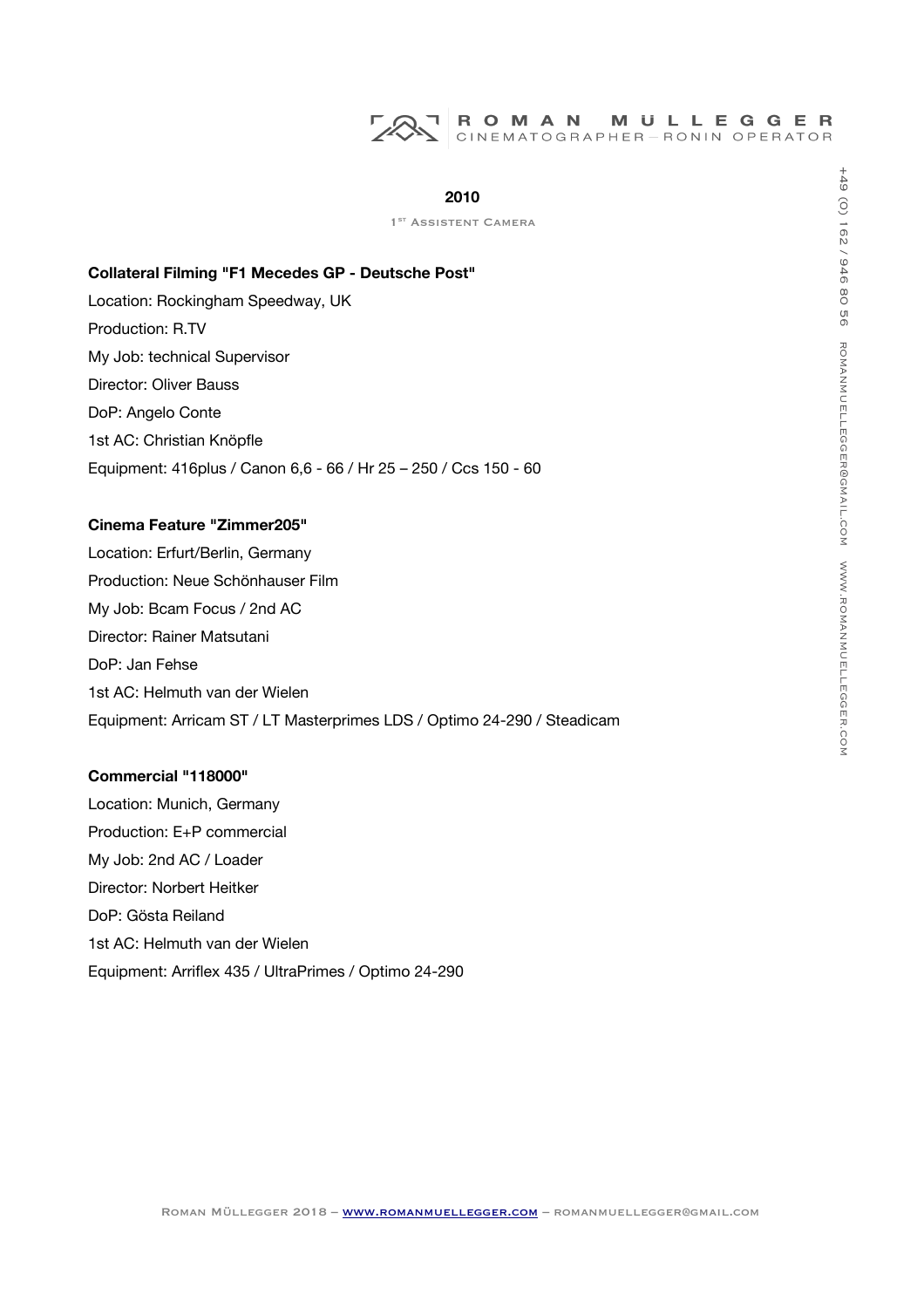#### **2010**

1<sup>ST</sup> ASSISTENT CAMERA

#### **Collateral Filming "F1 Mecedes GP - Deutsche Post"**

Location: Rockingham Speedway, UK Production: R.TV My Job: technical Supervisor Director: Oliver Bauss DoP: Angelo Conte 1st AC: Christian Knöpfle Equipment: 416plus / Canon 6,6 - 66 / Hr 25 – 250 / Ccs 150 - 60

#### **Cinema Feature "Zimmer205"**

Location: Erfurt/Berlin, Germany Production: Neue Schönhauser Film My Job: Bcam Focus / 2nd AC Director: Rainer Matsutani DoP: Jan Fehse 1st AC: Helmuth van der Wielen Equipment: Arricam ST / LT Masterprimes LDS / Optimo 24-290 / Steadicam

#### **Commercial "118000"**

Location: Munich, Germany Production: E+P commercial My Job: 2nd AC / Loader Director: Norbert Heitker DoP: Gösta Reiland 1st AC: Helmuth van der Wielen Equipment: Arrifex 435 / UltraPrimes / Optimo 24-290  $\leq$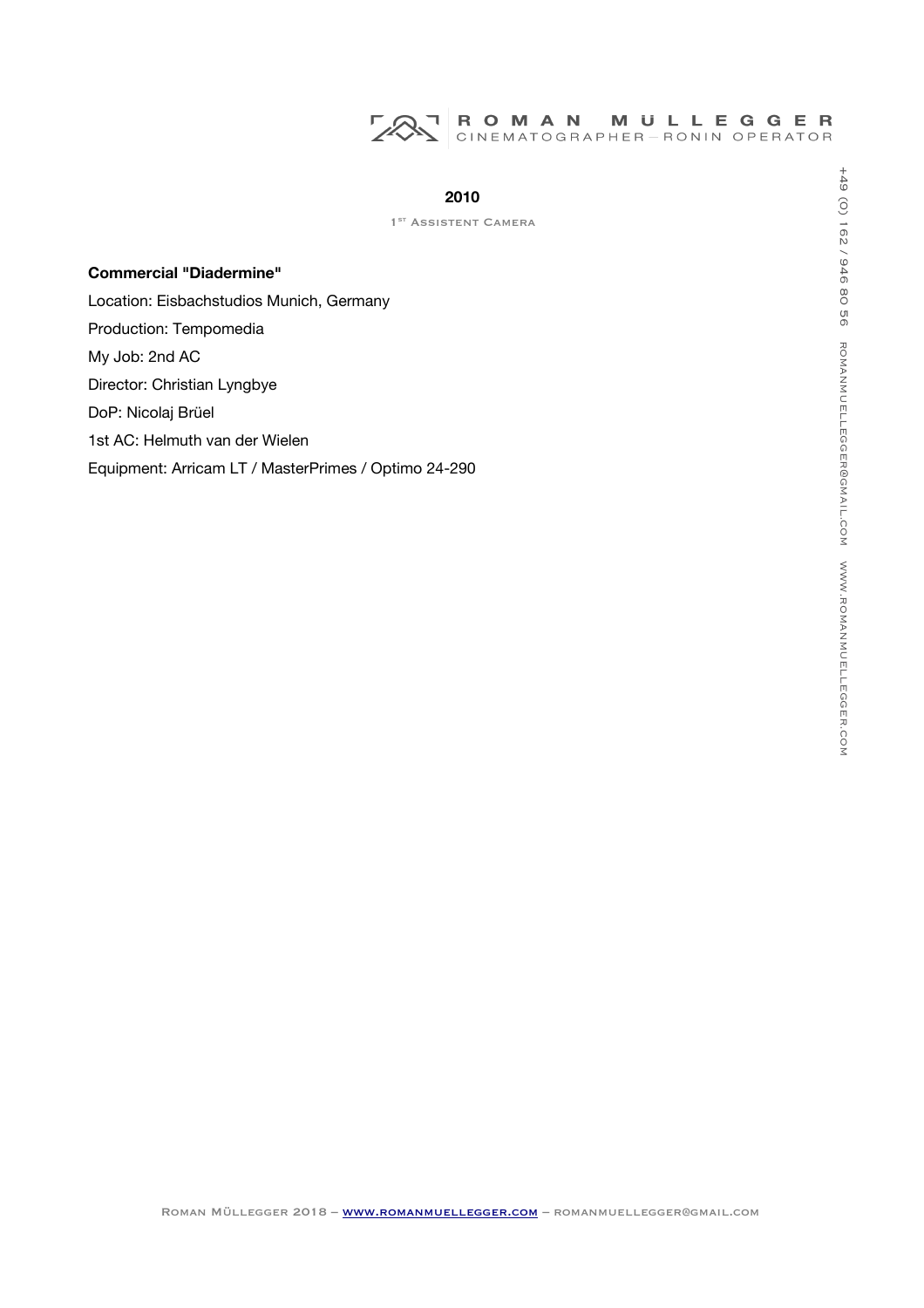

1<sup>ST</sup> ASSISTENT CAMERA

# **Commercial "Diadermine"**

Location: Eisbachstudios Munich, Germany Production: Tempomedia My Job: 2nd AC Director: Christian Lyngbye DoP: Nicolaj Brüel 1st AC: Helmuth van der Wielen Equipment: Arricam LT / MasterPrimes / Optimo 24-290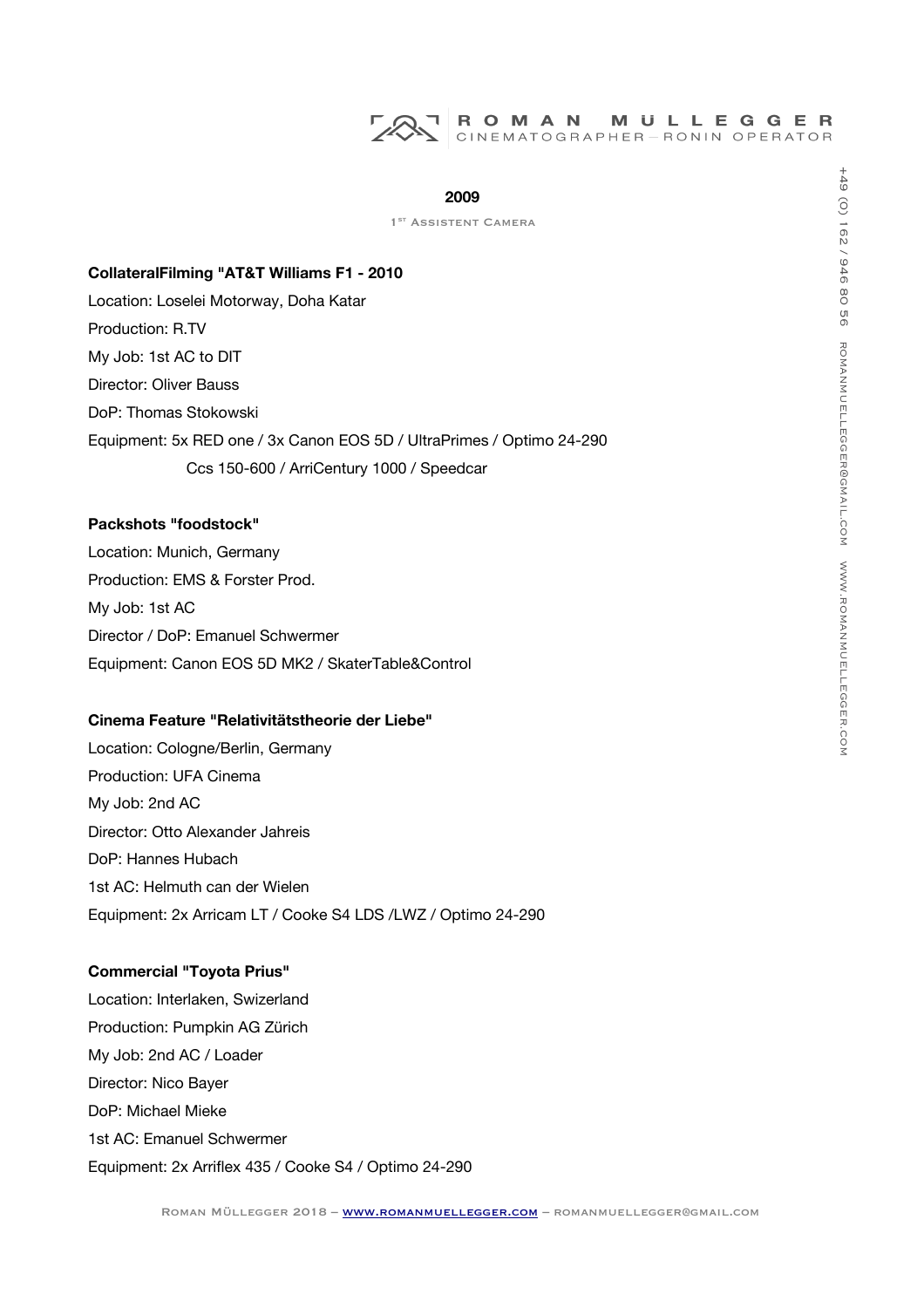#### **2009**

1<sup>ST</sup> ASSISTENT CAMERA

#### **CollateralFilming "AT&T Williams F1 - 2010**

Location: Loselei Motorway, Doha Katar Production: R.TV My Job: 1st AC to DIT Director: Oliver Bauss DoP: Thomas Stokowski Equipment: 5x RED one / 3x Canon EOS 5D / UltraPrimes / Optimo 24-290 Ccs 150-600 / ArriCentury 1000 / Speedcar

# **Packshots "foodstock"**

Location: Munich, Germany Production: EMS & Forster Prod. My Job: 1st AC Director / DoP: Emanuel Schwermer Equipment: Canon EOS 5D MK2 / SkaterTable&Control

#### **Cinema Feature "Relativitätstheorie der Liebe"**

Location: Cologne/Berlin, Germany Production: UFA Cinema My Job: 2nd AC Director: Otto Alexander Jahreis DoP: Hannes Hubach 1st AC: Helmuth can der Wielen Equipment: 2x Arricam LT / Cooke S4 LDS /LWZ / Optimo 24-290

# **Commercial "Toyota Prius"**

Location: Interlaken, Swizerland Production: Pumpkin AG Zürich My Job: 2nd AC / Loader Director: Nico Bayer DoP: Michael Mieke 1st AC: Emanuel Schwermer Equipment: 2x Arrifex 435 / Cooke S4 / Optimo 24-290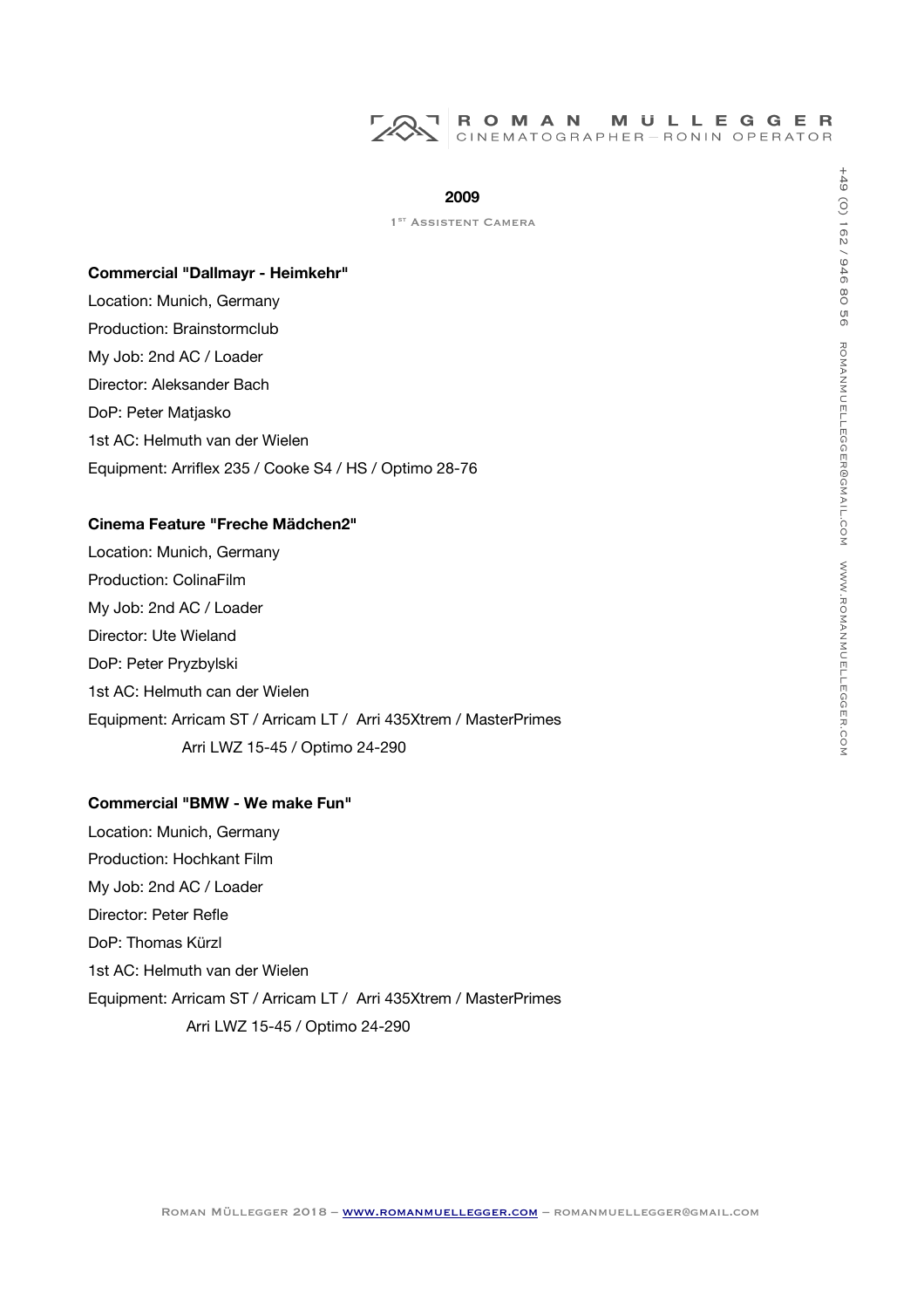#### **2009**

1<sup>ST</sup> ASSISTENT CAMERA

#### **Commercial "Dallmayr - Heimkehr"**

Location: Munich, Germany Production: Brainstormclub My Job: 2nd AC / Loader Director: Aleksander Bach DoP: Peter Matjasko 1st AC: Helmuth van der Wielen Equipment: Arrifex 235 / Cooke S4 / HS / Optimo 28-76

#### **Cinema Feature "Freche Mädchen2"**

Location: Munich, Germany Production: ColinaFilm My Job: 2nd AC / Loader Director: Ute Wieland DoP: Peter Pryzbylski 1st AC: Helmuth can der Wielen Equipment: Arricam ST / Arricam LT / Arri 435Xtrem / MasterPrimes Arri LWZ 15-45 / Optimo 24-290

## **Commercial "BMW - We make Fun"**

Location: Munich, Germany Production: Hochkant Film My Job: 2nd AC / Loader Director: Peter Refle DoP: Thomas Kürzl 1st AC: Helmuth van der Wielen Equipment: Arricam ST / Arricam LT / Arri 435Xtrem / MasterPrimes Arri LWZ 15-45 / Optimo 24-290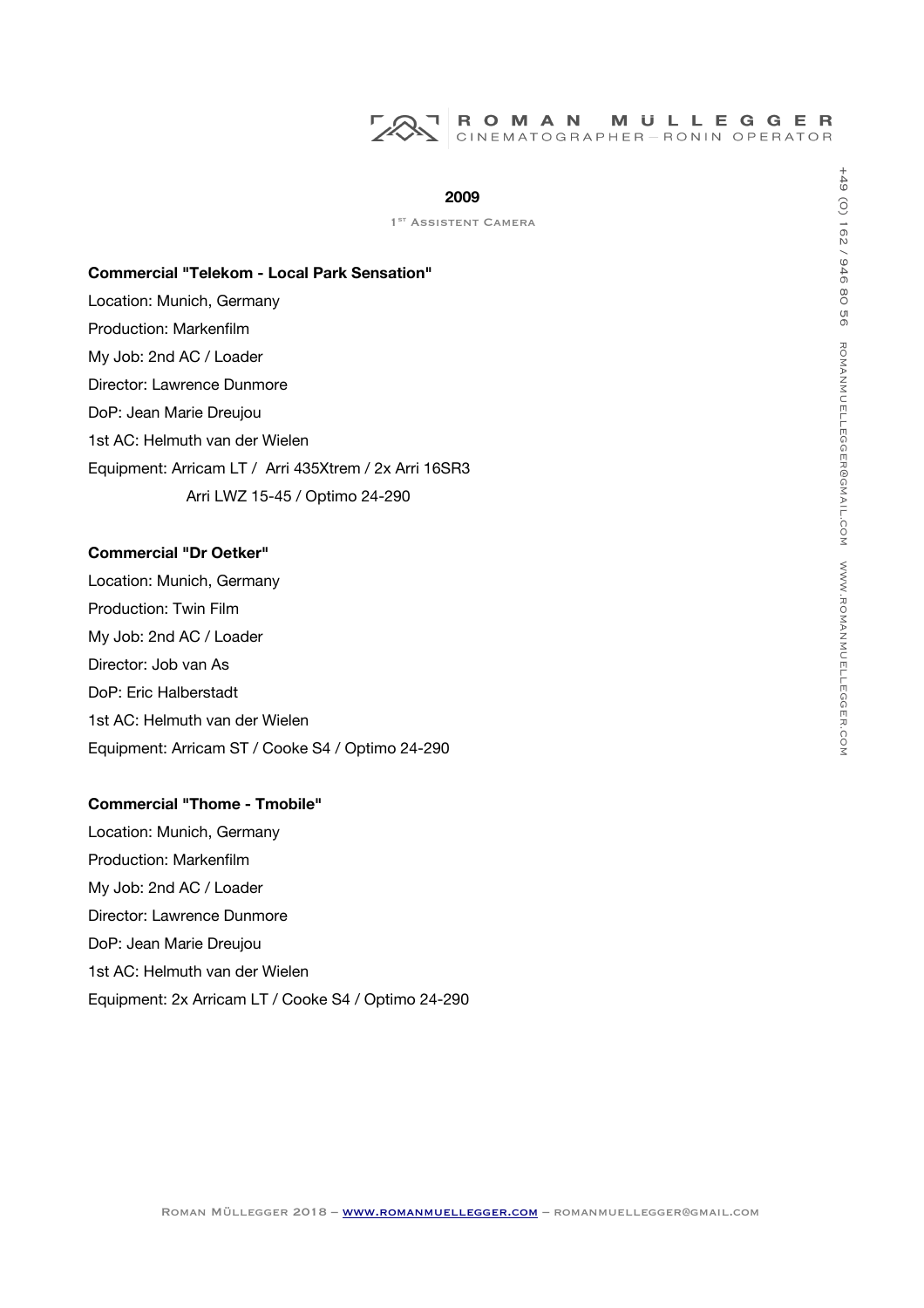

1<sup>ST</sup> ASSISTENT CAMERA

#### **Commercial "Telekom - Local Park Sensation"**

Location: Munich, Germany Production: Markenflm My Job: 2nd AC / Loader Director: Lawrence Dunmore DoP: Jean Marie Dreujou 1st AC: Helmuth van der Wielen Equipment: Arricam LT / Arri 435Xtrem / 2x Arri 16SR3 Arri LWZ 15-45 / Optimo 24-290

# **Commercial "Dr Oetker"**

Location: Munich, Germany Production: Twin Film My Job: 2nd AC / Loader Director: Job van As DoP: Eric Halberstadt 1st AC: Helmuth van der Wielen Equipment: Arricam ST / Cooke S4 / Optimo 24-290

## **Commercial "Thome - Tmobile"**

Location: Munich, Germany Production: Markenflm My Job: 2nd AC / Loader Director: Lawrence Dunmore DoP: Jean Marie Dreujou 1st AC: Helmuth van der Wielen Equipment: 2x Arricam LT / Cooke S4 / Optimo 24-290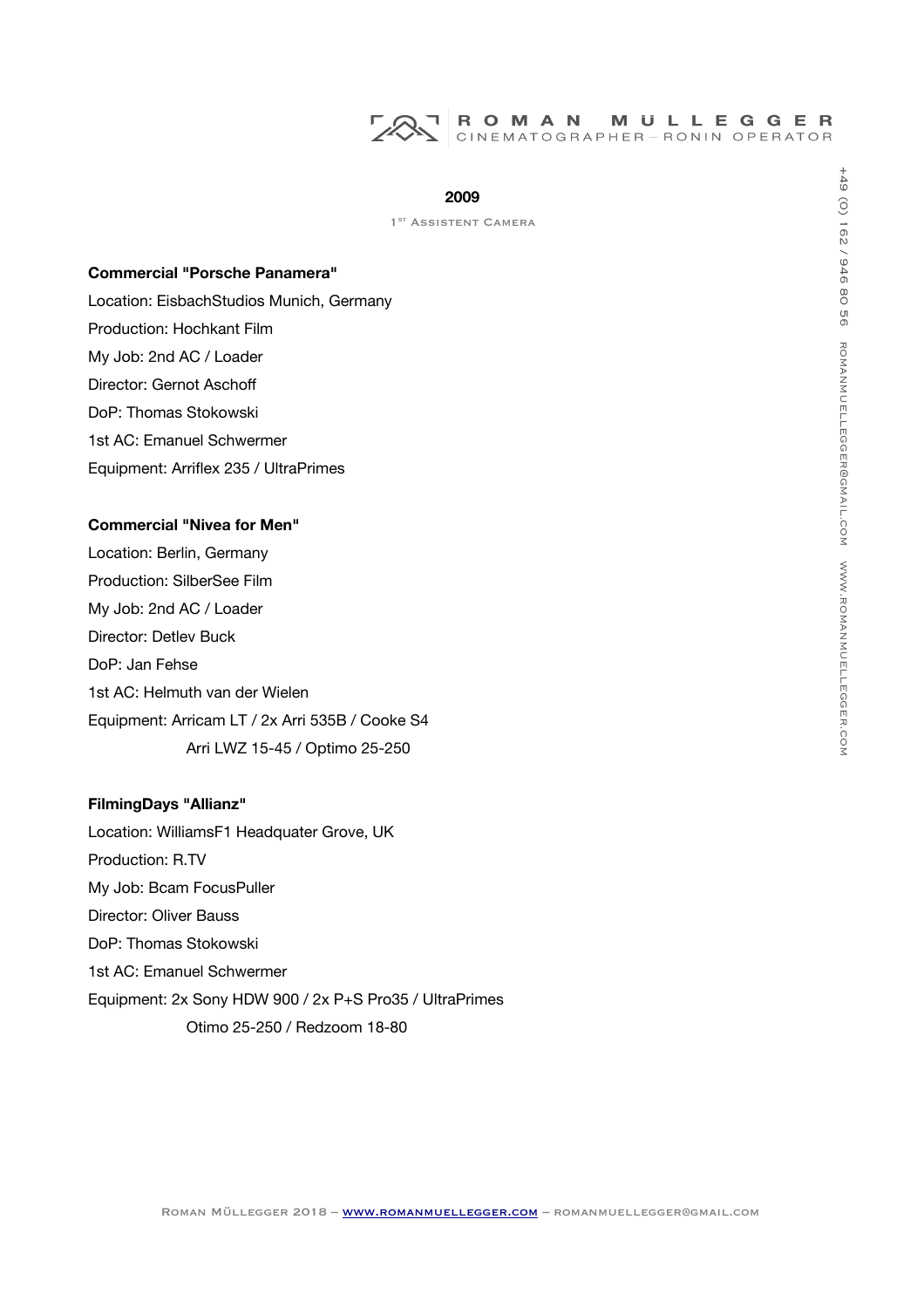# ROMAN MULLEGGER<br>CINEMATOGRAPHER-RONIN OPERATOR

#### **2009**

1<sup>ST</sup> ASSISTENT CAMERA

#### **Commercial "Porsche Panamera"**

Location: EisbachStudios Munich, Germany Production: Hochkant Film My Job: 2nd AC / Loader Director: Gernot Aschof DoP: Thomas Stokowski 1st AC: Emanuel Schwermer Equipment: Arrifex 235 / UltraPrimes

#### **Commercial "Nivea for Men"**

Location: Berlin, Germany Production: SilberSee Film My Job: 2nd AC / Loader Director: Detlev Buck DoP: Jan Fehse 1st AC: Helmuth van der Wielen Equipment: Arricam LT / 2x Arri 535B / Cooke S4 Arri LWZ 15-45 / Optimo 25-250

## **FilmingDays "Allianz"**

Location: WilliamsF1 Headquater Grove, UK Production: R.TV My Job: Bcam FocusPuller Director: Oliver Bauss DoP: Thomas Stokowski 1st AC: Emanuel Schwermer Equipment: 2x Sony HDW 900 / 2x P+S Pro35 / UltraPrimes Otimo 25-250 / Redzoom 18-80